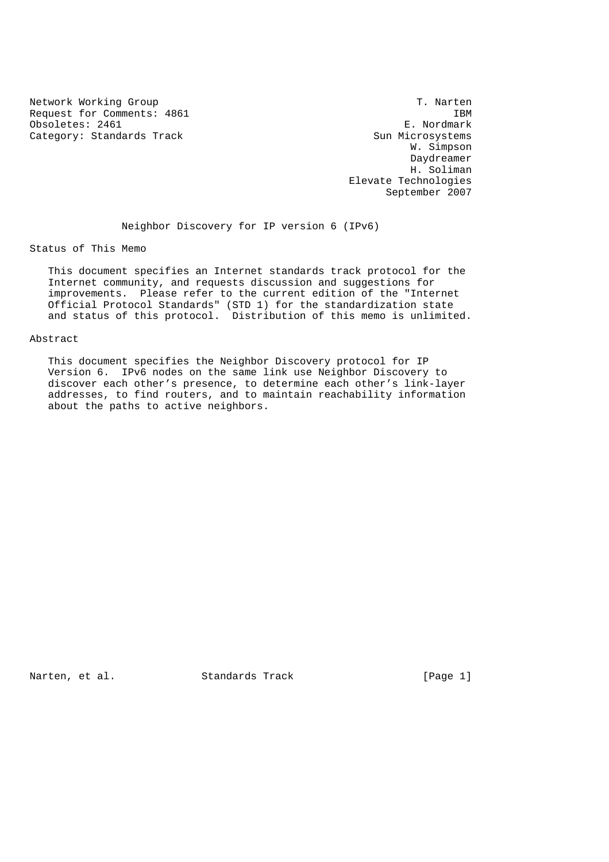Network Working Group T. Narten Request for Comments: 4861 IBM<br>
Obsoletes: 2461 E. Nordmark Obsoletes: 2461 Category: Standards Track Sun Microsystems

 W. Simpson Daydreamer H. Soliman Elevate Technologies September 2007

Neighbor Discovery for IP version 6 (IPv6)

Status of This Memo

 This document specifies an Internet standards track protocol for the Internet community, and requests discussion and suggestions for improvements. Please refer to the current edition of the "Internet Official Protocol Standards" (STD 1) for the standardization state and status of this protocol. Distribution of this memo is unlimited.

#### Abstract

 This document specifies the Neighbor Discovery protocol for IP Version 6. IPv6 nodes on the same link use Neighbor Discovery to discover each other's presence, to determine each other's link-layer addresses, to find routers, and to maintain reachability information about the paths to active neighbors.

Narten, et al. Standards Track [Page 1]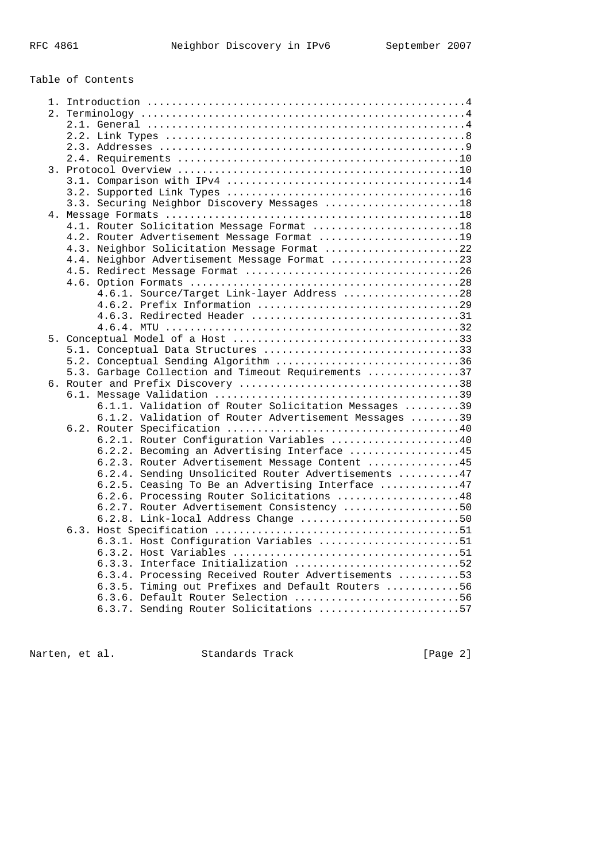# Table of Contents

| 3.3. Securing Neighbor Discovery Messages 18          |  |
|-------------------------------------------------------|--|
|                                                       |  |
| 4.1. Router Solicitation Message Format 18            |  |
| 4.2. Router Advertisement Message Format 19           |  |
| 4.3. Neighbor Solicitation Message Format 22          |  |
| 4.4. Neighbor Advertisement Message Format 23         |  |
|                                                       |  |
|                                                       |  |
| 4.6.1. Source/Target Link-layer Address 28            |  |
|                                                       |  |
|                                                       |  |
|                                                       |  |
|                                                       |  |
| 5.1. Conceptual Data Structures 33                    |  |
| 5.2. Conceptual Sending Algorithm 36                  |  |
| 5.3. Garbage Collection and Timeout Requirements 37   |  |
|                                                       |  |
|                                                       |  |
| 6.1.1. Validation of Router Solicitation Messages 39  |  |
| 6.1.2. Validation of Router Advertisement Messages 39 |  |
|                                                       |  |
| 6.2.1. Router Configuration Variables 40              |  |
| 6.2.2. Becoming an Advertising Interface 45           |  |
| 6.2.3. Router Advertisement Message Content 45        |  |
| 6.2.4. Sending Unsolicited Router Advertisements 47   |  |
| 6.2.5. Ceasing To Be an Advertising Interface 47      |  |
| 6.2.6. Processing Router Solicitations 48             |  |
| 6.2.7. Router Advertisement Consistency 50            |  |
| 6.2.8. Link-local Address Change 50                   |  |
|                                                       |  |
|                                                       |  |
| 6.3.1. Host Configuration Variables 51                |  |
|                                                       |  |
| 6.3.3. Interface Initialization 52                    |  |
| 6.3.4. Processing Received Router Advertisements 53   |  |
| 6.3.5. Timing out Prefixes and Default Routers 56     |  |
| 6.3.6. Default Router Selection 56                    |  |
| 6.3.7. Sending Router Solicitations 57                |  |

Narten, et al. Standards Track (Page 2)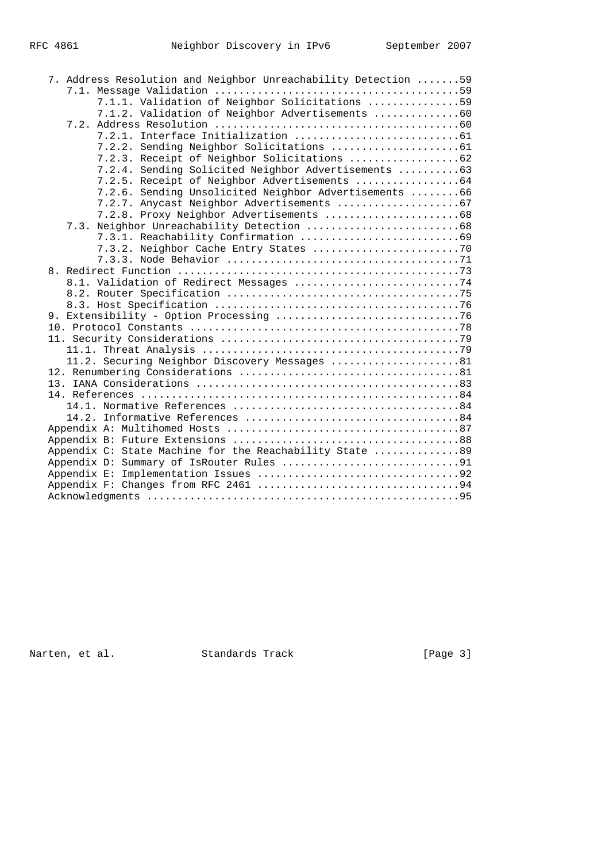| 7. Address Resolution and Neighbor Unreachability Detection 59 |
|----------------------------------------------------------------|
|                                                                |
| 7.1.1. Validation of Neighbor Solicitations 59                 |
| 7.1.2. Validation of Neighbor Advertisements 60                |
|                                                                |
|                                                                |
|                                                                |
| 7.2.3. Receipt of Neighbor Solicitations 62                    |
| 7.2.4. Sending Solicited Neighbor Advertisements 63            |
| 7.2.5. Receipt of Neighbor Advertisements 64                   |
| 7.2.6. Sending Unsolicited Neighbor Advertisements 66          |
|                                                                |
|                                                                |
|                                                                |
|                                                                |
|                                                                |
|                                                                |
|                                                                |
|                                                                |
|                                                                |
|                                                                |
|                                                                |
|                                                                |
|                                                                |
|                                                                |
| 11.2. Securing Neighbor Discovery Messages 81                  |
|                                                                |
|                                                                |
|                                                                |
|                                                                |
|                                                                |
|                                                                |
|                                                                |
| Appendix C: State Machine for the Reachability State 89        |
| Appendix D: Summary of IsRouter Rules 91                       |
|                                                                |
|                                                                |
|                                                                |

Narten, et al. Standards Track (Page 3)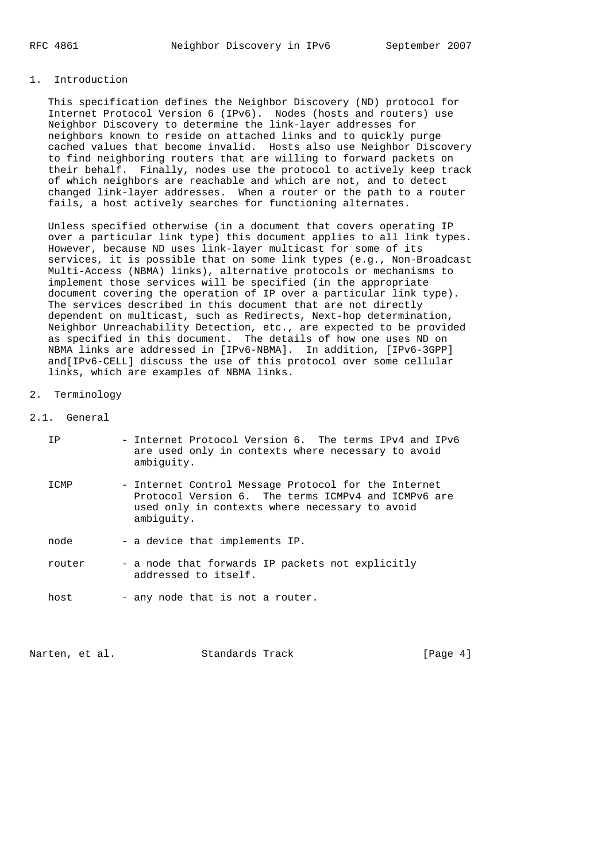# 1. Introduction

 This specification defines the Neighbor Discovery (ND) protocol for Internet Protocol Version 6 (IPv6). Nodes (hosts and routers) use Neighbor Discovery to determine the link-layer addresses for neighbors known to reside on attached links and to quickly purge cached values that become invalid. Hosts also use Neighbor Discovery to find neighboring routers that are willing to forward packets on their behalf. Finally, nodes use the protocol to actively keep track of which neighbors are reachable and which are not, and to detect changed link-layer addresses. When a router or the path to a router fails, a host actively searches for functioning alternates.

 Unless specified otherwise (in a document that covers operating IP over a particular link type) this document applies to all link types. However, because ND uses link-layer multicast for some of its services, it is possible that on some link types (e.g., Non-Broadcast Multi-Access (NBMA) links), alternative protocols or mechanisms to implement those services will be specified (in the appropriate document covering the operation of IP over a particular link type). The services described in this document that are not directly dependent on multicast, such as Redirects, Next-hop determination, Neighbor Unreachability Detection, etc., are expected to be provided as specified in this document. The details of how one uses ND on NBMA links are addressed in [IPv6-NBMA]. In addition, [IPv6-3GPP] and[IPv6-CELL] discuss the use of this protocol over some cellular links, which are examples of NBMA links.

### 2. Terminology

### 2.1. General

| IP.    | - Internet Protocol Version 6. The terms IPv4 and IPv6<br>are used only in contexts where necessary to avoid<br>ambiquity.                                                  |
|--------|-----------------------------------------------------------------------------------------------------------------------------------------------------------------------------|
| ICMP   | - Internet Control Message Protocol for the Internet<br>Protocol Version 6. The terms ICMPv4 and ICMPv6 are<br>used only in contexts where necessary to avoid<br>ambiquity. |
| node   | - a device that implements IP.                                                                                                                                              |
| router | - a node that forwards IP packets not explicitly<br>addressed to itself.                                                                                                    |
| host   | - any node that is not a router.                                                                                                                                            |

Narten, et al. Standards Track [Page 4]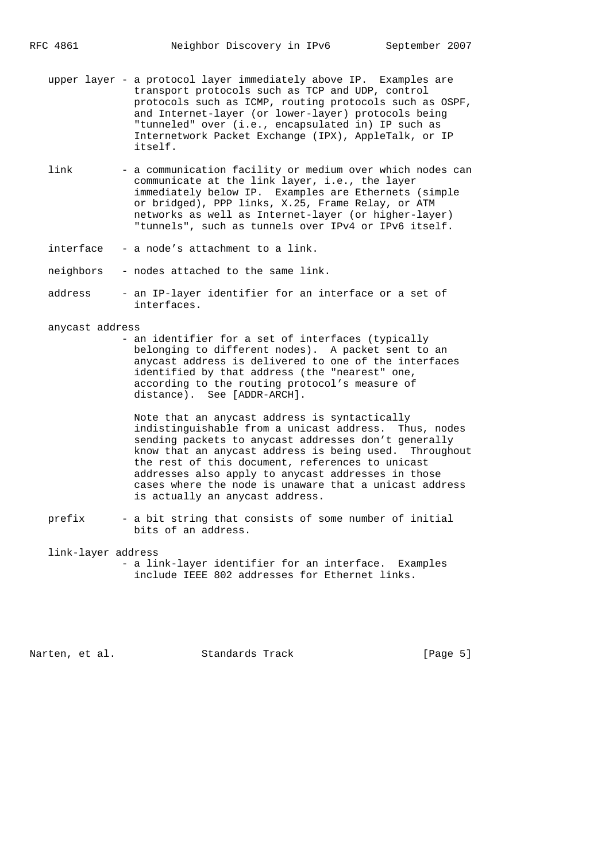- upper layer a protocol layer immediately above IP. Examples are transport protocols such as TCP and UDP, control protocols such as ICMP, routing protocols such as OSPF, and Internet-layer (or lower-layer) protocols being "tunneled" over (i.e., encapsulated in) IP such as Internetwork Packet Exchange (IPX), AppleTalk, or IP itself.
- link a communication facility or medium over which nodes can communicate at the link layer, i.e., the layer immediately below IP. Examples are Ethernets (simple or bridged), PPP links, X.25, Frame Relay, or ATM networks as well as Internet-layer (or higher-layer) "tunnels", such as tunnels over IPv4 or IPv6 itself.
- interface a node's attachment to a link.
- neighbors nodes attached to the same link.
- address an IP-layer identifier for an interface or a set of interfaces.
- anycast address
- an identifier for a set of interfaces (typically belonging to different nodes). A packet sent to an anycast address is delivered to one of the interfaces identified by that address (the "nearest" one, according to the routing protocol's measure of distance). See [ADDR-ARCH].

 Note that an anycast address is syntactically indistinguishable from a unicast address. Thus, nodes sending packets to anycast addresses don't generally know that an anycast address is being used. Throughout the rest of this document, references to unicast addresses also apply to anycast addresses in those cases where the node is unaware that a unicast address is actually an anycast address.

- prefix a bit string that consists of some number of initial bits of an address.
- link-layer address
	- a link-layer identifier for an interface. Examples include IEEE 802 addresses for Ethernet links.

Narten, et al. Standards Track [Page 5]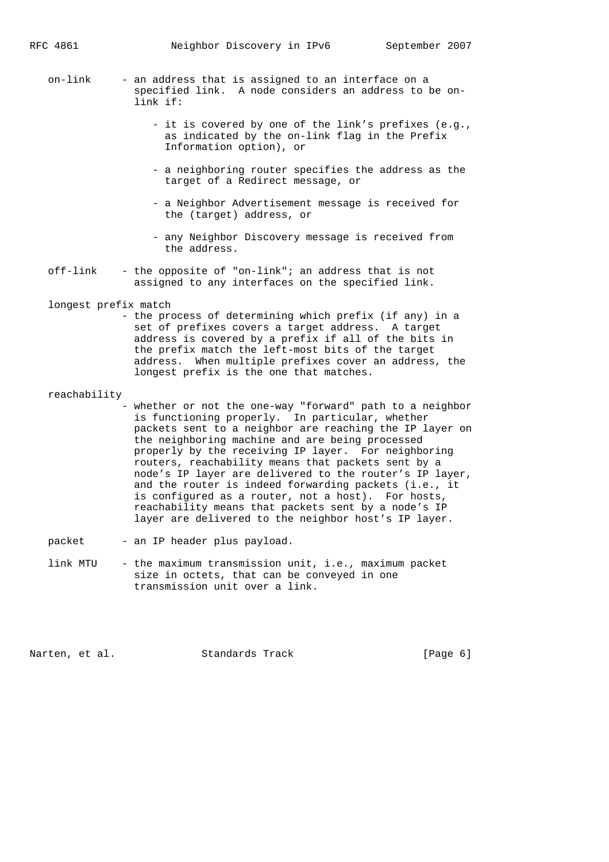- on-link an address that is assigned to an interface on a specified link. A node considers an address to be on link if:
	- it is covered by one of the link's prefixes (e.g., as indicated by the on-link flag in the Prefix Information option), or
	- a neighboring router specifies the address as the target of a Redirect message, or
	- a Neighbor Advertisement message is received for the (target) address, or
	- any Neighbor Discovery message is received from the address.
- off-link the opposite of "on-link"; an address that is not assigned to any interfaces on the specified link.
- longest prefix match
- the process of determining which prefix (if any) in a set of prefixes covers a target address. A target address is covered by a prefix if all of the bits in the prefix match the left-most bits of the target address. When multiple prefixes cover an address, the longest prefix is the one that matches.
	- reachability
		- whether or not the one-way "forward" path to a neighbor is functioning properly. In particular, whether packets sent to a neighbor are reaching the IP layer on the neighboring machine and are being processed properly by the receiving IP layer. For neighboring routers, reachability means that packets sent by a node's IP layer are delivered to the router's IP layer, and the router is indeed forwarding packets (i.e., it is configured as a router, not a host). For hosts, reachability means that packets sent by a node's IP layer are delivered to the neighbor host's IP layer.
	- packet an IP header plus payload.
	- link MTU the maximum transmission unit, i.e., maximum packet size in octets, that can be conveyed in one transmission unit over a link.

Narten, et al. Standards Track [Page 6]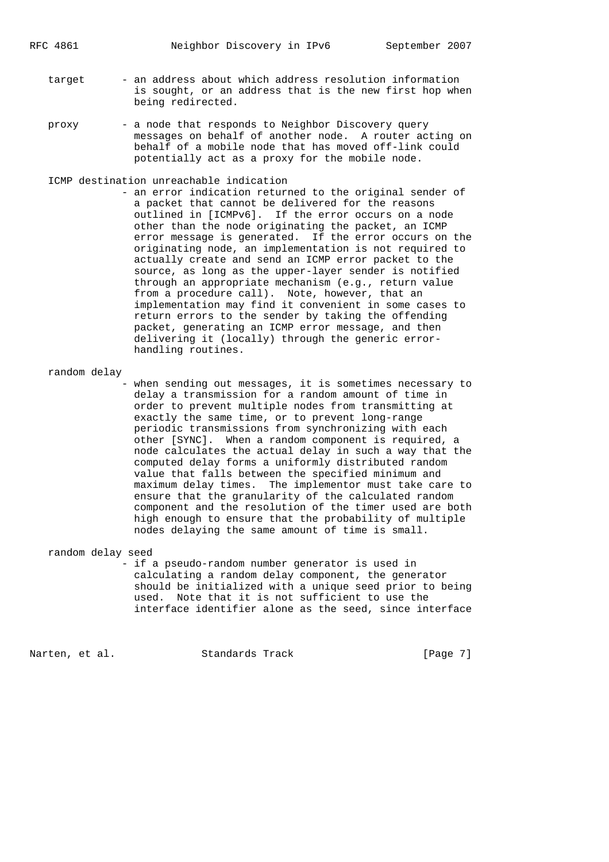- target an address about which address resolution information is sought, or an address that is the new first hop when being redirected.
- proxy a node that responds to Neighbor Discovery query messages on behalf of another node. A router acting on behalf of a mobile node that has moved off-link could potentially act as a proxy for the mobile node.
- ICMP destination unreachable indication
- an error indication returned to the original sender of a packet that cannot be delivered for the reasons outlined in [ICMPv6]. If the error occurs on a node other than the node originating the packet, an ICMP error message is generated. If the error occurs on the originating node, an implementation is not required to actually create and send an ICMP error packet to the source, as long as the upper-layer sender is notified through an appropriate mechanism (e.g., return value from a procedure call). Note, however, that an implementation may find it convenient in some cases to return errors to the sender by taking the offending packet, generating an ICMP error message, and then delivering it (locally) through the generic error handling routines.

random delay

 - when sending out messages, it is sometimes necessary to delay a transmission for a random amount of time in order to prevent multiple nodes from transmitting at exactly the same time, or to prevent long-range periodic transmissions from synchronizing with each other [SYNC]. When a random component is required, a node calculates the actual delay in such a way that the computed delay forms a uniformly distributed random value that falls between the specified minimum and maximum delay times. The implementor must take care to ensure that the granularity of the calculated random component and the resolution of the timer used are both high enough to ensure that the probability of multiple nodes delaying the same amount of time is small.

random delay seed

 - if a pseudo-random number generator is used in calculating a random delay component, the generator should be initialized with a unique seed prior to being used. Note that it is not sufficient to use the interface identifier alone as the seed, since interface

Narten, et al. Standards Track [Page 7]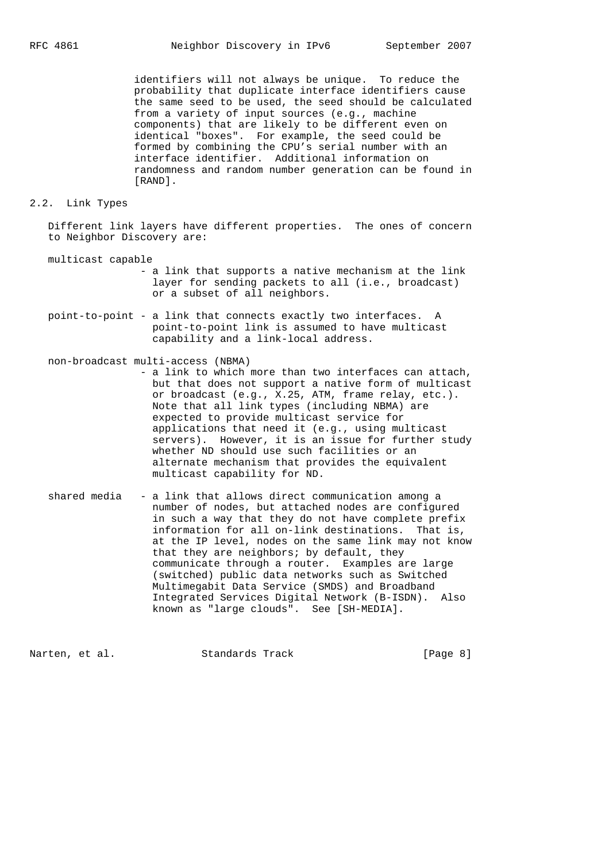identifiers will not always be unique. To reduce the probability that duplicate interface identifiers cause the same seed to be used, the seed should be calculated from a variety of input sources (e.g., machine components) that are likely to be different even on identical "boxes". For example, the seed could be formed by combining the CPU's serial number with an interface identifier. Additional information on randomness and random number generation can be found in [RAND].

### 2.2. Link Types

 Different link layers have different properties. The ones of concern to Neighbor Discovery are:

- multicast capable
	- a link that supports a native mechanism at the link layer for sending packets to all (i.e., broadcast) or a subset of all neighbors.
- point-to-point a link that connects exactly two interfaces. A point-to-point link is assumed to have multicast capability and a link-local address.
- non-broadcast multi-access (NBMA) - a link to which more than two interfaces can attach, but that does not support a native form of multicast or broadcast (e.g., X.25, ATM, frame relay, etc.). Note that all link types (including NBMA) are expected to provide multicast service for applications that need it (e.g., using multicast servers). However, it is an issue for further study whether ND should use such facilities or an alternate mechanism that provides the equivalent multicast capability for ND.
- shared media a link that allows direct communication among a number of nodes, but attached nodes are configured in such a way that they do not have complete prefix information for all on-link destinations. That is, at the IP level, nodes on the same link may not know that they are neighbors; by default, they communicate through a router. Examples are large (switched) public data networks such as Switched Multimegabit Data Service (SMDS) and Broadband Integrated Services Digital Network (B-ISDN). Also known as "large clouds". See [SH-MEDIA].

| Narten, et al. | Standards Track | [Page 8] |
|----------------|-----------------|----------|
|                |                 |          |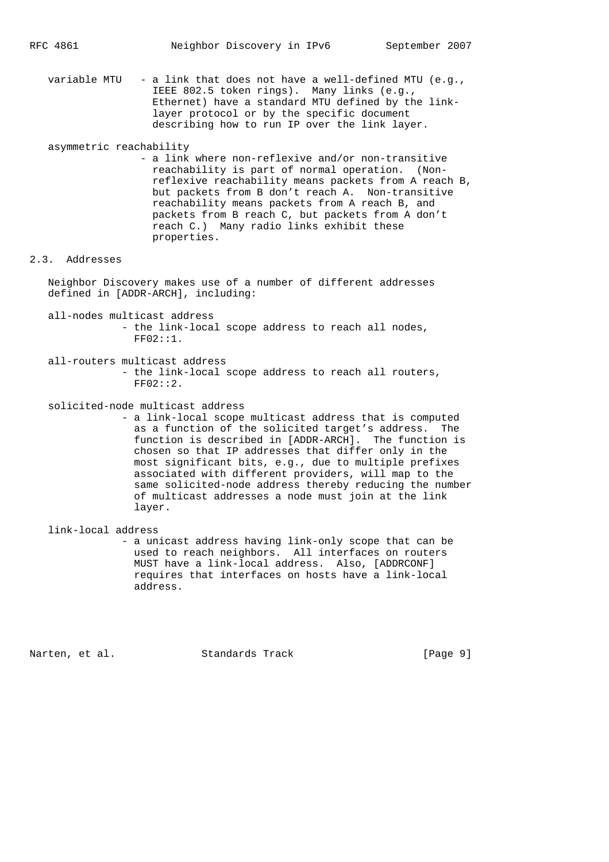variable MTU - a link that does not have a well-defined MTU (e.g., IEEE 802.5 token rings). Many links (e.g., Ethernet) have a standard MTU defined by the link layer protocol or by the specific document describing how to run IP over the link layer.

asymmetric reachability

 - a link where non-reflexive and/or non-transitive reachability is part of normal operation. (Non reflexive reachability means packets from A reach B, but packets from B don't reach A. Non-transitive reachability means packets from A reach B, and packets from B reach C, but packets from A don't reach C.) Many radio links exhibit these properties.

### 2.3. Addresses

 Neighbor Discovery makes use of a number of different addresses defined in [ADDR-ARCH], including:

- all-nodes multicast address - the link-local scope address to reach all nodes, FF02::1.
- all-routers multicast address - the link-local scope address to reach all routers, FF02::2.
- solicited-node multicast address
	- a link-local scope multicast address that is computed as a function of the solicited target's address. The function is described in [ADDR-ARCH]. The function is chosen so that IP addresses that differ only in the most significant bits, e.g., due to multiple prefixes associated with different providers, will map to the same solicited-node address thereby reducing the number of multicast addresses a node must join at the link layer.

#### link-local address

 - a unicast address having link-only scope that can be used to reach neighbors. All interfaces on routers MUST have a link-local address. Also, [ADDRCONF] requires that interfaces on hosts have a link-local address.

Narten, et al. Standards Track [Page 9]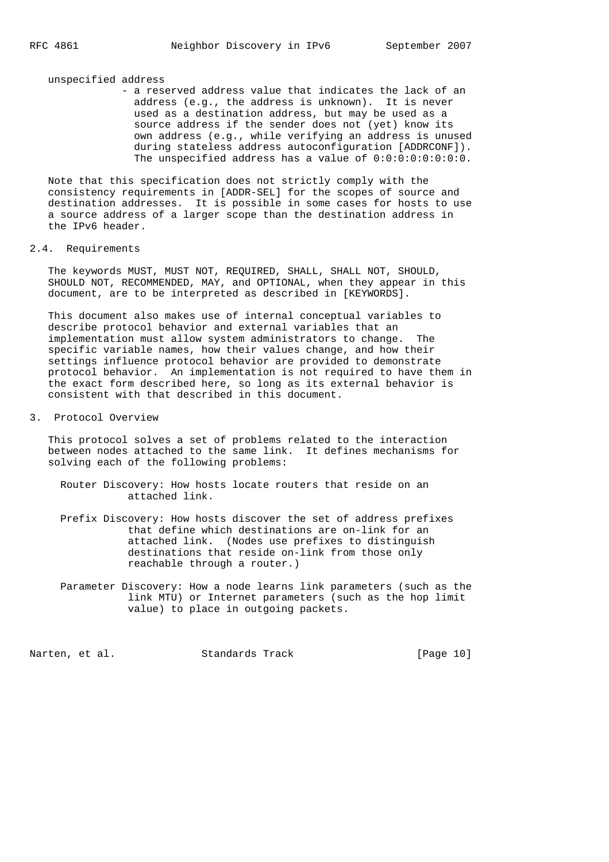#### unspecified address

 - a reserved address value that indicates the lack of an address (e.g., the address is unknown). It is never used as a destination address, but may be used as a source address if the sender does not (yet) know its own address (e.g., while verifying an address is unused during stateless address autoconfiguration [ADDRCONF]). The unspecified address has a value of 0:0:0:0:0:0:0:0.

 Note that this specification does not strictly comply with the consistency requirements in [ADDR-SEL] for the scopes of source and destination addresses. It is possible in some cases for hosts to use a source address of a larger scope than the destination address in the IPv6 header.

# 2.4. Requirements

 The keywords MUST, MUST NOT, REQUIRED, SHALL, SHALL NOT, SHOULD, SHOULD NOT, RECOMMENDED, MAY, and OPTIONAL, when they appear in this document, are to be interpreted as described in [KEYWORDS].

 This document also makes use of internal conceptual variables to describe protocol behavior and external variables that an implementation must allow system administrators to change. The specific variable names, how their values change, and how their settings influence protocol behavior are provided to demonstrate protocol behavior. An implementation is not required to have them in the exact form described here, so long as its external behavior is consistent with that described in this document.

3. Protocol Overview

 This protocol solves a set of problems related to the interaction between nodes attached to the same link. It defines mechanisms for solving each of the following problems:

- Router Discovery: How hosts locate routers that reside on an attached link.
- Prefix Discovery: How hosts discover the set of address prefixes that define which destinations are on-link for an attached link. (Nodes use prefixes to distinguish destinations that reside on-link from those only reachable through a router.)
- Parameter Discovery: How a node learns link parameters (such as the link MTU) or Internet parameters (such as the hop limit value) to place in outgoing packets.

Narten, et al. Standards Track [Page 10]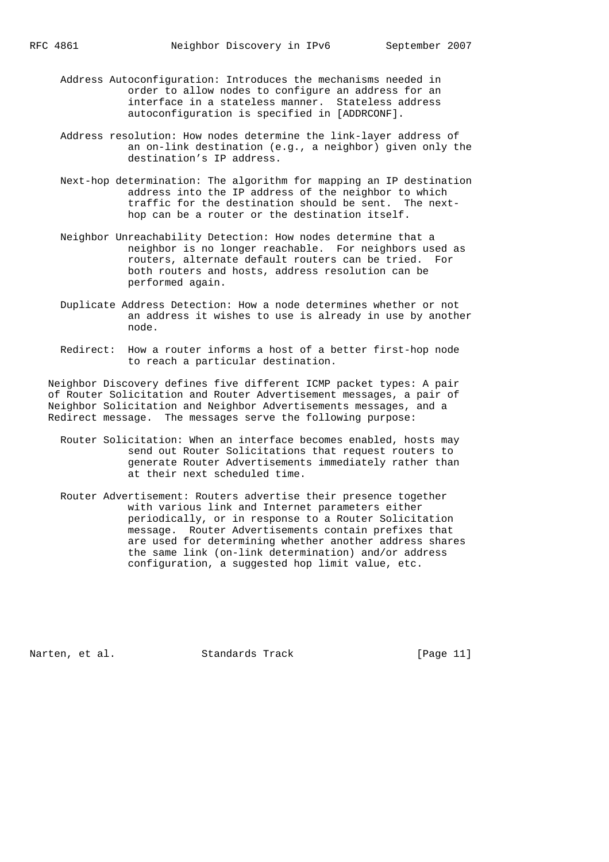- Address Autoconfiguration: Introduces the mechanisms needed in order to allow nodes to configure an address for an interface in a stateless manner. Stateless address autoconfiguration is specified in [ADDRCONF].
- Address resolution: How nodes determine the link-layer address of an on-link destination (e.g., a neighbor) given only the destination's IP address.
- Next-hop determination: The algorithm for mapping an IP destination address into the IP address of the neighbor to which traffic for the destination should be sent. The next hop can be a router or the destination itself.
- Neighbor Unreachability Detection: How nodes determine that a neighbor is no longer reachable. For neighbors used as routers, alternate default routers can be tried. For both routers and hosts, address resolution can be performed again.
- Duplicate Address Detection: How a node determines whether or not an address it wishes to use is already in use by another node.
- Redirect: How a router informs a host of a better first-hop node to reach a particular destination.

 Neighbor Discovery defines five different ICMP packet types: A pair of Router Solicitation and Router Advertisement messages, a pair of Neighbor Solicitation and Neighbor Advertisements messages, and a Redirect message. The messages serve the following purpose:

- Router Solicitation: When an interface becomes enabled, hosts may send out Router Solicitations that request routers to generate Router Advertisements immediately rather than at their next scheduled time.
- Router Advertisement: Routers advertise their presence together with various link and Internet parameters either periodically, or in response to a Router Solicitation message. Router Advertisements contain prefixes that are used for determining whether another address shares the same link (on-link determination) and/or address configuration, a suggested hop limit value, etc.

Narten, et al. Standards Track [Page 11]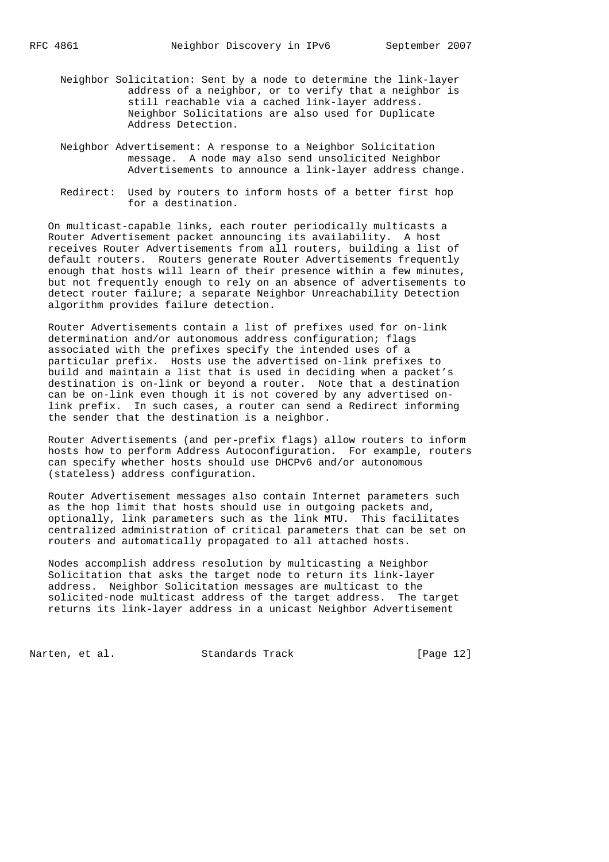- Neighbor Solicitation: Sent by a node to determine the link-layer address of a neighbor, or to verify that a neighbor is still reachable via a cached link-layer address. Neighbor Solicitations are also used for Duplicate Address Detection.
- Neighbor Advertisement: A response to a Neighbor Solicitation message. A node may also send unsolicited Neighbor Advertisements to announce a link-layer address change.
- Redirect: Used by routers to inform hosts of a better first hop for a destination.

 On multicast-capable links, each router periodically multicasts a Router Advertisement packet announcing its availability. A host receives Router Advertisements from all routers, building a list of default routers. Routers generate Router Advertisements frequently enough that hosts will learn of their presence within a few minutes, but not frequently enough to rely on an absence of advertisements to detect router failure; a separate Neighbor Unreachability Detection algorithm provides failure detection.

 Router Advertisements contain a list of prefixes used for on-link determination and/or autonomous address configuration; flags associated with the prefixes specify the intended uses of a particular prefix. Hosts use the advertised on-link prefixes to build and maintain a list that is used in deciding when a packet's destination is on-link or beyond a router. Note that a destination can be on-link even though it is not covered by any advertised on link prefix. In such cases, a router can send a Redirect informing the sender that the destination is a neighbor.

 Router Advertisements (and per-prefix flags) allow routers to inform hosts how to perform Address Autoconfiguration. For example, routers can specify whether hosts should use DHCPv6 and/or autonomous (stateless) address configuration.

 Router Advertisement messages also contain Internet parameters such as the hop limit that hosts should use in outgoing packets and, optionally, link parameters such as the link MTU. This facilitates centralized administration of critical parameters that can be set on routers and automatically propagated to all attached hosts.

 Nodes accomplish address resolution by multicasting a Neighbor Solicitation that asks the target node to return its link-layer address. Neighbor Solicitation messages are multicast to the solicited-node multicast address of the target address. The target returns its link-layer address in a unicast Neighbor Advertisement

Narten, et al. Standards Track [Page 12]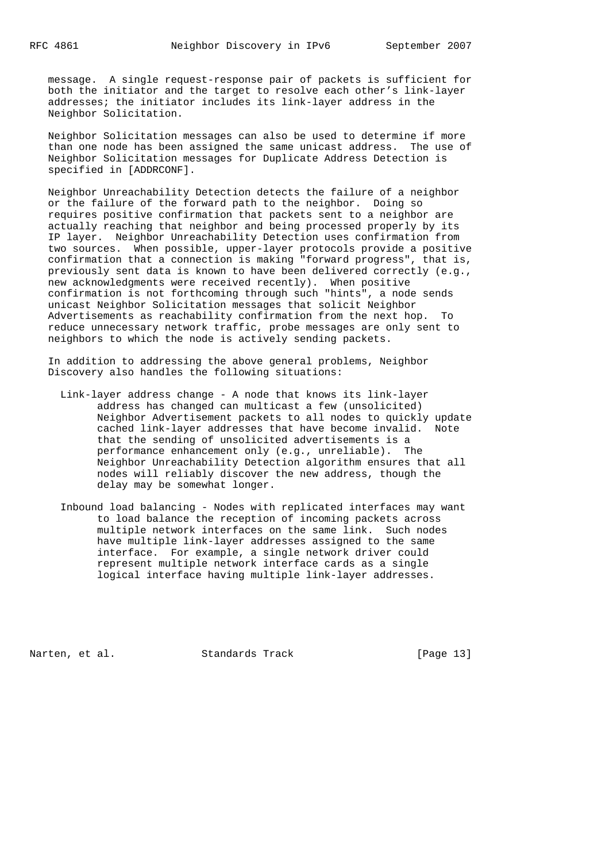message. A single request-response pair of packets is sufficient for both the initiator and the target to resolve each other's link-layer addresses; the initiator includes its link-layer address in the Neighbor Solicitation.

 Neighbor Solicitation messages can also be used to determine if more than one node has been assigned the same unicast address. The use of Neighbor Solicitation messages for Duplicate Address Detection is specified in [ADDRCONF].

 Neighbor Unreachability Detection detects the failure of a neighbor or the failure of the forward path to the neighbor. Doing so requires positive confirmation that packets sent to a neighbor are actually reaching that neighbor and being processed properly by its IP layer. Neighbor Unreachability Detection uses confirmation from two sources. When possible, upper-layer protocols provide a positive confirmation that a connection is making "forward progress", that is, previously sent data is known to have been delivered correctly (e.g., new acknowledgments were received recently). When positive confirmation is not forthcoming through such "hints", a node sends unicast Neighbor Solicitation messages that solicit Neighbor Advertisements as reachability confirmation from the next hop. To reduce unnecessary network traffic, probe messages are only sent to neighbors to which the node is actively sending packets.

 In addition to addressing the above general problems, Neighbor Discovery also handles the following situations:

- Link-layer address change A node that knows its link-layer address has changed can multicast a few (unsolicited) Neighbor Advertisement packets to all nodes to quickly update cached link-layer addresses that have become invalid. Note that the sending of unsolicited advertisements is a performance enhancement only (e.g., unreliable). The Neighbor Unreachability Detection algorithm ensures that all nodes will reliably discover the new address, though the delay may be somewhat longer.
- Inbound load balancing Nodes with replicated interfaces may want to load balance the reception of incoming packets across multiple network interfaces on the same link. Such nodes have multiple link-layer addresses assigned to the same interface. For example, a single network driver could represent multiple network interface cards as a single logical interface having multiple link-layer addresses.

Narten, et al. Standards Track [Page 13]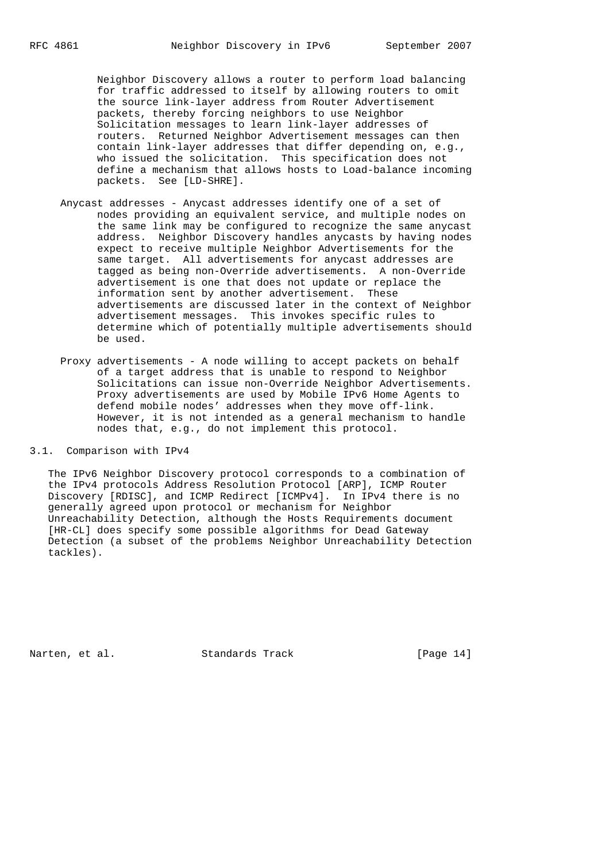Neighbor Discovery allows a router to perform load balancing for traffic addressed to itself by allowing routers to omit the source link-layer address from Router Advertisement packets, thereby forcing neighbors to use Neighbor Solicitation messages to learn link-layer addresses of routers. Returned Neighbor Advertisement messages can then contain link-layer addresses that differ depending on, e.g., who issued the solicitation. This specification does not define a mechanism that allows hosts to Load-balance incoming packets. See [LD-SHRE].

- Anycast addresses Anycast addresses identify one of a set of nodes providing an equivalent service, and multiple nodes on the same link may be configured to recognize the same anycast address. Neighbor Discovery handles anycasts by having nodes expect to receive multiple Neighbor Advertisements for the same target. All advertisements for anycast addresses are tagged as being non-Override advertisements. A non-Override advertisement is one that does not update or replace the information sent by another advertisement. These advertisements are discussed later in the context of Neighbor advertisement messages. This invokes specific rules to determine which of potentially multiple advertisements should be used.
- Proxy advertisements A node willing to accept packets on behalf of a target address that is unable to respond to Neighbor Solicitations can issue non-Override Neighbor Advertisements. Proxy advertisements are used by Mobile IPv6 Home Agents to defend mobile nodes' addresses when they move off-link. However, it is not intended as a general mechanism to handle nodes that, e.g., do not implement this protocol.

### 3.1. Comparison with IPv4

 The IPv6 Neighbor Discovery protocol corresponds to a combination of the IPv4 protocols Address Resolution Protocol [ARP], ICMP Router Discovery [RDISC], and ICMP Redirect [ICMPv4]. In IPv4 there is no generally agreed upon protocol or mechanism for Neighbor Unreachability Detection, although the Hosts Requirements document [HR-CL] does specify some possible algorithms for Dead Gateway Detection (a subset of the problems Neighbor Unreachability Detection tackles).

Narten, et al. Standards Track [Page 14]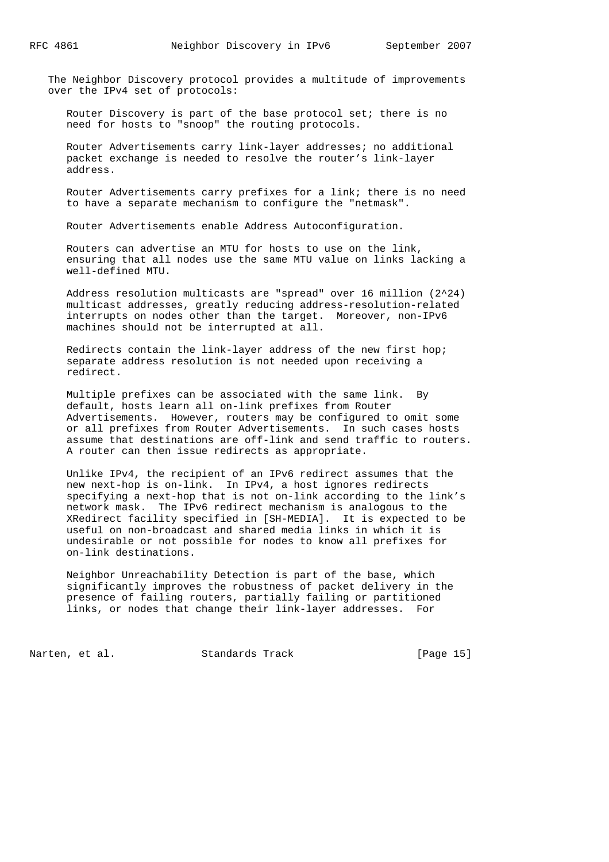The Neighbor Discovery protocol provides a multitude of improvements over the IPv4 set of protocols:

 Router Discovery is part of the base protocol set; there is no need for hosts to "snoop" the routing protocols.

 Router Advertisements carry link-layer addresses; no additional packet exchange is needed to resolve the router's link-layer address.

 Router Advertisements carry prefixes for a link; there is no need to have a separate mechanism to configure the "netmask".

Router Advertisements enable Address Autoconfiguration.

 Routers can advertise an MTU for hosts to use on the link, ensuring that all nodes use the same MTU value on links lacking a well-defined MTU.

 Address resolution multicasts are "spread" over 16 million (2^24) multicast addresses, greatly reducing address-resolution-related interrupts on nodes other than the target. Moreover, non-IPv6 machines should not be interrupted at all.

 Redirects contain the link-layer address of the new first hop; separate address resolution is not needed upon receiving a redirect.

 Multiple prefixes can be associated with the same link. By default, hosts learn all on-link prefixes from Router Advertisements. However, routers may be configured to omit some or all prefixes from Router Advertisements. In such cases hosts assume that destinations are off-link and send traffic to routers. A router can then issue redirects as appropriate.

 Unlike IPv4, the recipient of an IPv6 redirect assumes that the new next-hop is on-link. In IPv4, a host ignores redirects specifying a next-hop that is not on-link according to the link's network mask. The IPv6 redirect mechanism is analogous to the XRedirect facility specified in [SH-MEDIA]. It is expected to be useful on non-broadcast and shared media links in which it is undesirable or not possible for nodes to know all prefixes for on-link destinations.

 Neighbor Unreachability Detection is part of the base, which significantly improves the robustness of packet delivery in the presence of failing routers, partially failing or partitioned links, or nodes that change their link-layer addresses. For

Narten, et al. Standards Track [Page 15]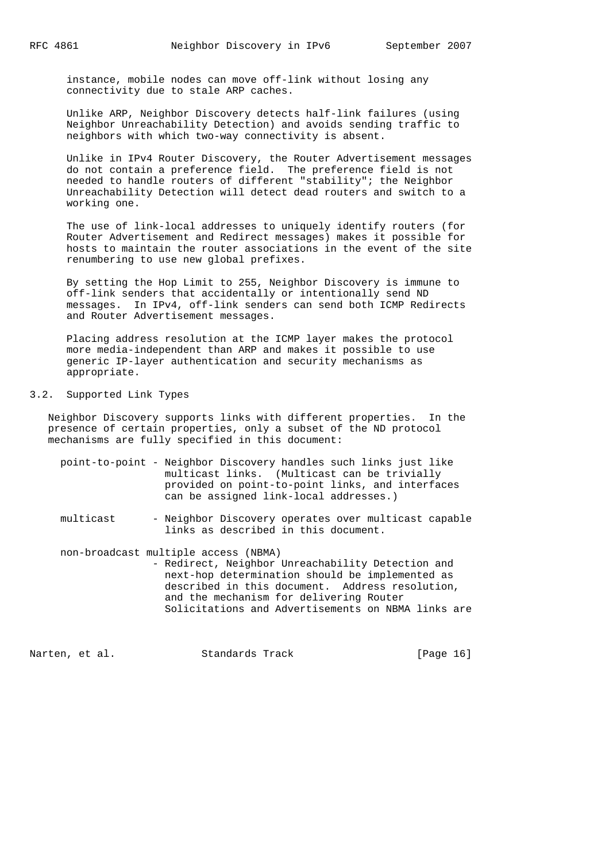instance, mobile nodes can move off-link without losing any connectivity due to stale ARP caches.

 Unlike ARP, Neighbor Discovery detects half-link failures (using Neighbor Unreachability Detection) and avoids sending traffic to neighbors with which two-way connectivity is absent.

 Unlike in IPv4 Router Discovery, the Router Advertisement messages do not contain a preference field. The preference field is not needed to handle routers of different "stability"; the Neighbor Unreachability Detection will detect dead routers and switch to a working one.

 The use of link-local addresses to uniquely identify routers (for Router Advertisement and Redirect messages) makes it possible for hosts to maintain the router associations in the event of the site renumbering to use new global prefixes.

 By setting the Hop Limit to 255, Neighbor Discovery is immune to off-link senders that accidentally or intentionally send ND messages. In IPv4, off-link senders can send both ICMP Redirects and Router Advertisement messages.

 Placing address resolution at the ICMP layer makes the protocol more media-independent than ARP and makes it possible to use generic IP-layer authentication and security mechanisms as appropriate.

# 3.2. Supported Link Types

 Neighbor Discovery supports links with different properties. In the presence of certain properties, only a subset of the ND protocol mechanisms are fully specified in this document:

- point-to-point Neighbor Discovery handles such links just like multicast links. (Multicast can be trivially provided on point-to-point links, and interfaces can be assigned link-local addresses.)
- multicast Neighbor Discovery operates over multicast capable links as described in this document.

non-broadcast multiple access (NBMA)

 - Redirect, Neighbor Unreachability Detection and next-hop determination should be implemented as described in this document. Address resolution, and the mechanism for delivering Router Solicitations and Advertisements on NBMA links are

Narten, et al. Standards Track [Page 16]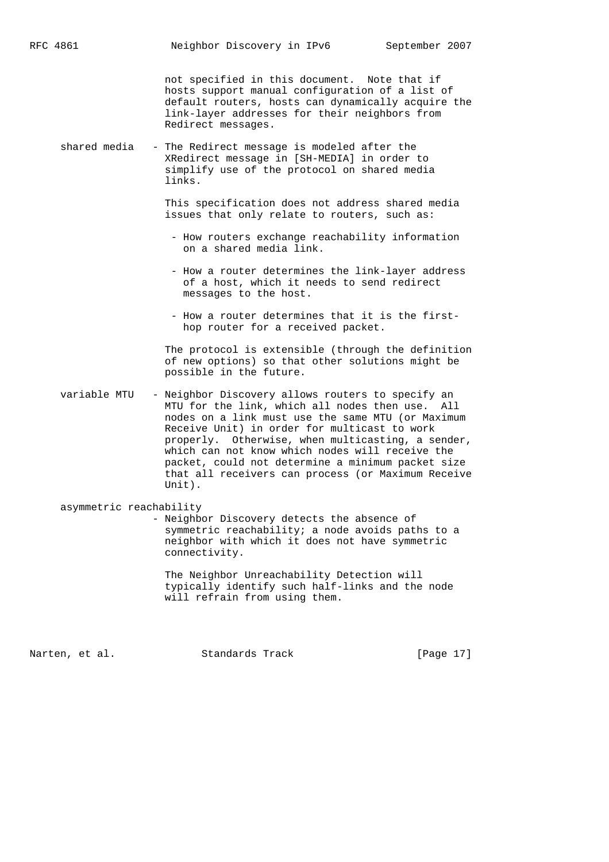not specified in this document. Note that if hosts support manual configuration of a list of default routers, hosts can dynamically acquire the link-layer addresses for their neighbors from Redirect messages.

 shared media - The Redirect message is modeled after the XRedirect message in [SH-MEDIA] in order to simplify use of the protocol on shared media links.

> This specification does not address shared media issues that only relate to routers, such as:

- How routers exchange reachability information on a shared media link.
- How a router determines the link-layer address of a host, which it needs to send redirect messages to the host.
- How a router determines that it is the first hop router for a received packet.

 The protocol is extensible (through the definition of new options) so that other solutions might be possible in the future.

- variable MTU Neighbor Discovery allows routers to specify an MTU for the link, which all nodes then use. All nodes on a link must use the same MTU (or Maximum Receive Unit) in order for multicast to work properly. Otherwise, when multicasting, a sender, which can not know which nodes will receive the packet, could not determine a minimum packet size that all receivers can process (or Maximum Receive Unit).
- asymmetric reachability

 - Neighbor Discovery detects the absence of symmetric reachability; a node avoids paths to a neighbor with which it does not have symmetric connectivity.

 The Neighbor Unreachability Detection will typically identify such half-links and the node will refrain from using them.

Narten, et al. Standards Track [Page 17]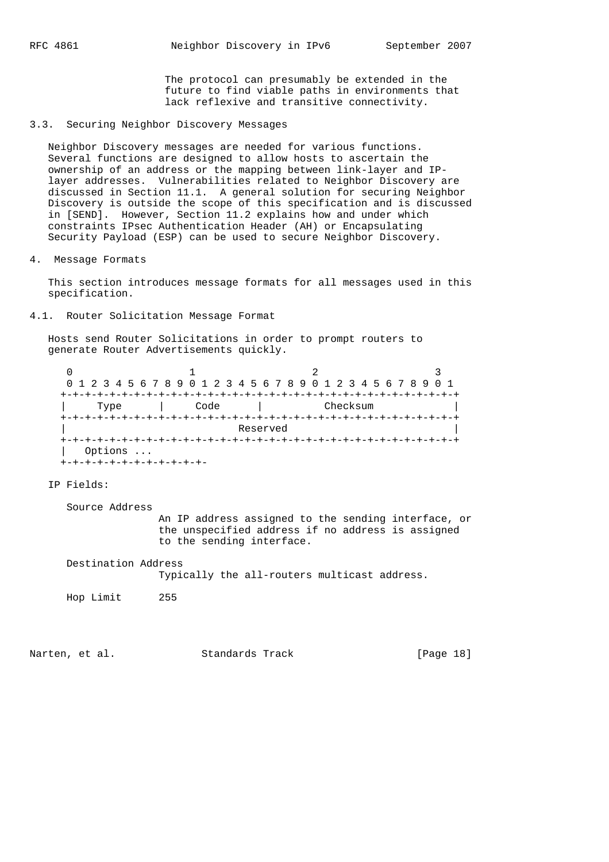The protocol can presumably be extended in the future to find viable paths in environments that lack reflexive and transitive connectivity.

3.3. Securing Neighbor Discovery Messages

 Neighbor Discovery messages are needed for various functions. Several functions are designed to allow hosts to ascertain the ownership of an address or the mapping between link-layer and IP layer addresses. Vulnerabilities related to Neighbor Discovery are discussed in Section 11.1. A general solution for securing Neighbor Discovery is outside the scope of this specification and is discussed in [SEND]. However, Section 11.2 explains how and under which constraints IPsec Authentication Header (AH) or Encapsulating Security Payload (ESP) can be used to secure Neighbor Discovery.

4. Message Formats

 This section introduces message formats for all messages used in this specification.

4.1. Router Solicitation Message Format

 Hosts send Router Solicitations in order to prompt routers to generate Router Advertisements quickly.

|         |          | 0 1 2 3 4 5 6 7 8 9 0 1 2 3 4 5 6 7 8 9 0 1 2 3 4 5 6 7 8 9 0 1 |  |  |  |  |  |  |  |  |  |  |  |  |
|---------|----------|-----------------------------------------------------------------|--|--|--|--|--|--|--|--|--|--|--|--|
|         |          |                                                                 |  |  |  |  |  |  |  |  |  |  |  |  |
| Type    | Code     | Checksum                                                        |  |  |  |  |  |  |  |  |  |  |  |  |
|         |          |                                                                 |  |  |  |  |  |  |  |  |  |  |  |  |
|         | Reserved |                                                                 |  |  |  |  |  |  |  |  |  |  |  |  |
|         |          |                                                                 |  |  |  |  |  |  |  |  |  |  |  |  |
| Options |          |                                                                 |  |  |  |  |  |  |  |  |  |  |  |  |
|         |          |                                                                 |  |  |  |  |  |  |  |  |  |  |  |  |

IP Fields:

 Source Address An IP address assigned to the sending interface, or the unspecified address if no address is assigned to the sending interface.

 Destination Address Typically the all-routers multicast address. Hop Limit 255

Narten, et al. Standards Track [Page 18]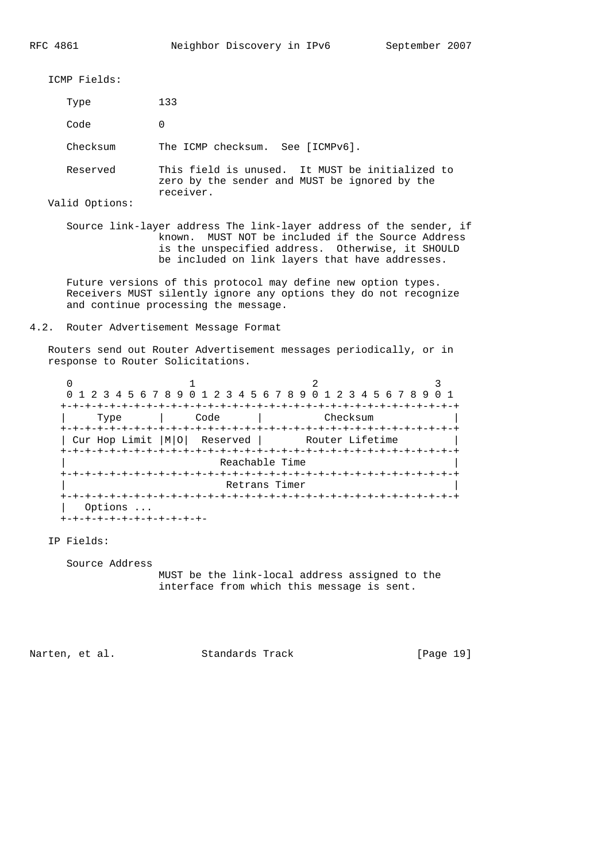ICMP Fields:

| Type           | 133                                                                                                           |
|----------------|---------------------------------------------------------------------------------------------------------------|
| Code           | 0                                                                                                             |
| Checksum       | The ICMP checksum. See [ICMPv6].                                                                              |
| Reserved       | This field is unused. It MUST be initialized to<br>zero by the sender and MUST be ignored by the<br>receiver. |
| Valid Options: |                                                                                                               |

 Source link-layer address The link-layer address of the sender, if known. MUST NOT be included if the Source Address is the unspecified address. Otherwise, it SHOULD be included on link layers that have addresses.

 Future versions of this protocol may define new option types. Receivers MUST silently ignore any options they do not recognize and continue processing the message.

### 4.2. Router Advertisement Message Format

 Routers send out Router Advertisement messages periodically, or in response to Router Solicitations.

 $0$  and  $1$  and  $2$  3 0 1 2 3 4 5 6 7 8 9 0 1 2 3 4 5 6 7 8 9 0 1 2 3 4 5 6 7 8 9 0 1 +-+-+-+-+-+-+-+-+-+-+-+-+-+-+-+-+-+-+-+-+-+-+-+-+-+-+-+-+-+-+-+-+ | Type | Code | Checksum | +-+-+-+-+-+-+-+-+-+-+-+-+-+-+-+-+-+-+-+-+-+-+-+-+-+-+-+-+-+-+-+-+ | Cur Hop Limit  $|M|0|$  Reserved | Router Lifetime +-+-+-+-+-+-+-+-+-+-+-+-+-+-+-+-+-+-+-+-+-+-+-+-+-+-+-+-+-+-+-+-+ Reachable Time +-+-+-+-+-+-+-+-+-+-+-+-+-+-+-+-+-+-+-+-+-+-+-+-+-+-+-+-+-+-+-+-+ Retrans Timer +-+-+-+-+-+-+-+-+-+-+-+-+-+-+-+-+-+-+-+-+-+-+-+-+-+-+-+-+-+-+-+-+ | Options ... +-+-+-+-+-+-+-+-+-+-+-+-

IP Fields:

Source Address

 MUST be the link-local address assigned to the interface from which this message is sent.

Narten, et al. Standards Track [Page 19]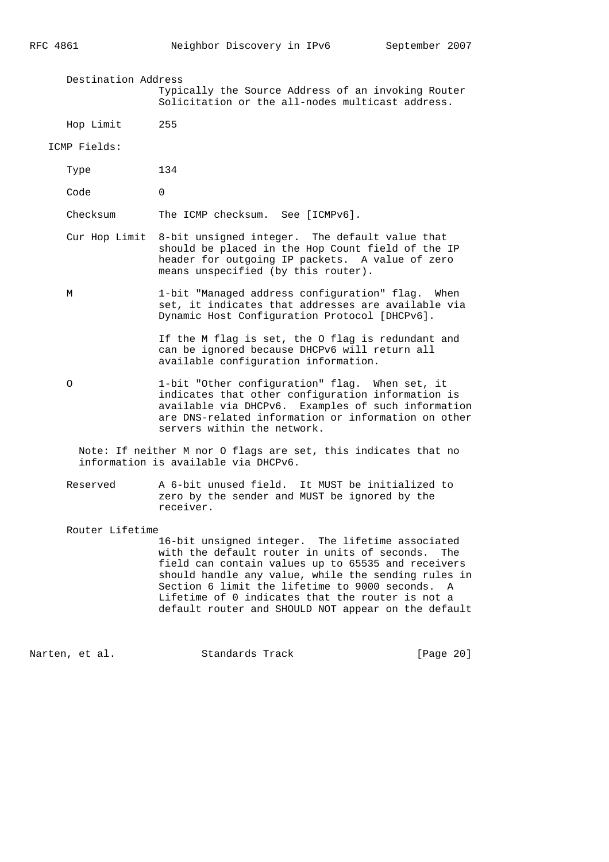Type 134

| Destination Address | Typically the Source Address of an invoking Router<br>Solicitation or the all-nodes multicast address. |
|---------------------|--------------------------------------------------------------------------------------------------------|
| Hop Limit           | 255                                                                                                    |
| TCMP Fields:        |                                                                                                        |
|                     |                                                                                                        |

| Code     |                                                                                                                   |
|----------|-------------------------------------------------------------------------------------------------------------------|
| Checksum | The ICMP checksum. See [ICMPv6].                                                                                  |
|          | Cur Hop Limit 8-bit unsigned integer. The default value that<br>should be placed in the Hop Count field of the IP |

- header for outgoing IP packets. A value of zero means unspecified (by this router).
- M 1-bit "Managed address configuration" flag. When set, it indicates that addresses are available via Dynamic Host Configuration Protocol [DHCPv6].

 If the M flag is set, the O flag is redundant and can be ignored because DHCPv6 will return all available configuration information.

 O 1-bit "Other configuration" flag. When set, it indicates that other configuration information is available via DHCPv6. Examples of such information are DNS-related information or information on other servers within the network.

 Note: If neither M nor O flags are set, this indicates that no information is available via DHCPv6.

 Reserved A 6-bit unused field. It MUST be initialized to zero by the sender and MUST be ignored by the receiver.

 Router Lifetime 16-bit unsigned integer. The lifetime associated with the default router in units of seconds. The field can contain values up to 65535 and receivers should handle any value, while the sending rules in Section 6 limit the lifetime to 9000 seconds. A Lifetime of 0 indicates that the router is not a default router and SHOULD NOT appear on the default

Narten, et al. Standards Track [Page 20]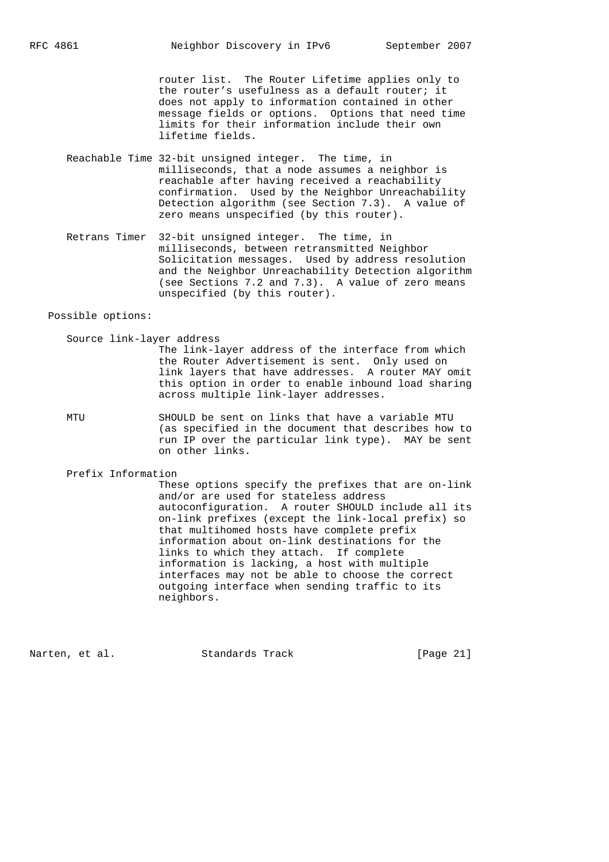router list. The Router Lifetime applies only to the router's usefulness as a default router; it does not apply to information contained in other message fields or options. Options that need time limits for their information include their own lifetime fields.

- Reachable Time 32-bit unsigned integer. The time, in milliseconds, that a node assumes a neighbor is reachable after having received a reachability confirmation. Used by the Neighbor Unreachability Detection algorithm (see Section 7.3). A value of zero means unspecified (by this router).
- Retrans Timer 32-bit unsigned integer. The time, in milliseconds, between retransmitted Neighbor Solicitation messages. Used by address resolution and the Neighbor Unreachability Detection algorithm (see Sections 7.2 and 7.3). A value of zero means unspecified (by this router).

### Possible options:

Source link-layer address

 The link-layer address of the interface from which the Router Advertisement is sent. Only used on link layers that have addresses. A router MAY omit this option in order to enable inbound load sharing across multiple link-layer addresses.

 MTU SHOULD be sent on links that have a variable MTU (as specified in the document that describes how to run IP over the particular link type). MAY be sent on other links.

### Prefix Information

 These options specify the prefixes that are on-link and/or are used for stateless address autoconfiguration. A router SHOULD include all its on-link prefixes (except the link-local prefix) so that multihomed hosts have complete prefix information about on-link destinations for the links to which they attach. If complete information is lacking, a host with multiple interfaces may not be able to choose the correct outgoing interface when sending traffic to its neighbors.

Narten, et al. Standards Track [Page 21]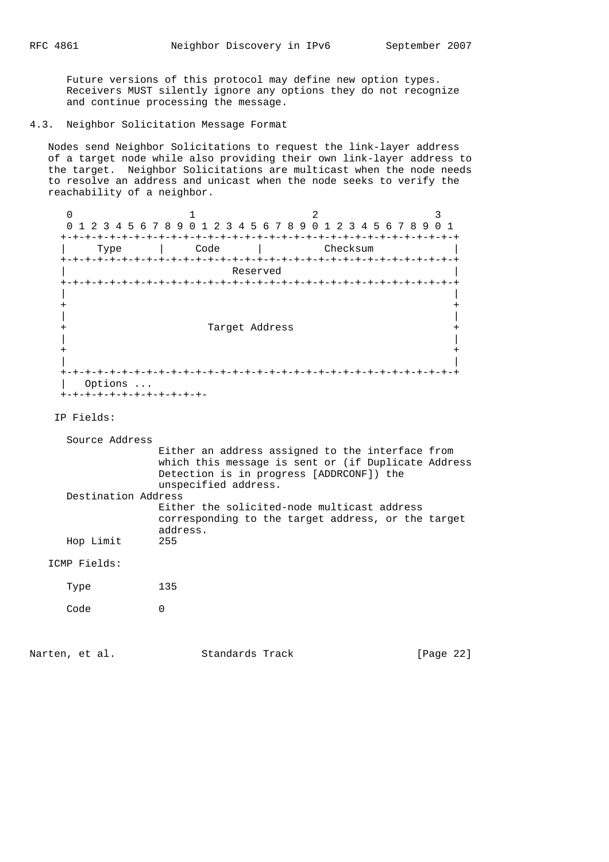Future versions of this protocol may define new option types. Receivers MUST silently ignore any options they do not recognize and continue processing the message.

4.3. Neighbor Solicitation Message Format

 Nodes send Neighbor Solicitations to request the link-layer address of a target node while also providing their own link-layer address to the target. Neighbor Solicitations are multicast when the node needs to resolve an address and unicast when the node seeks to verify the reachability of a neighbor.



IP Fields:

| Source Address      |                                                                                                                                                                             |           |
|---------------------|-----------------------------------------------------------------------------------------------------------------------------------------------------------------------------|-----------|
|                     | Either an address assigned to the interface from<br>which this message is sent or (if Duplicate Address<br>Detection is in progress [ADDRCONF]) the<br>unspecified address. |           |
| Destination Address |                                                                                                                                                                             |           |
|                     | Either the solicited-node multicast address<br>corresponding to the target address, or the target<br>address.                                                               |           |
| Hop Limit           | 255                                                                                                                                                                         |           |
| ICMP Fields:        |                                                                                                                                                                             |           |
| Type                | 135                                                                                                                                                                         |           |
| Code                | 0                                                                                                                                                                           |           |
|                     |                                                                                                                                                                             |           |
| Narten, et al.      | Standards Track                                                                                                                                                             | [Page 22] |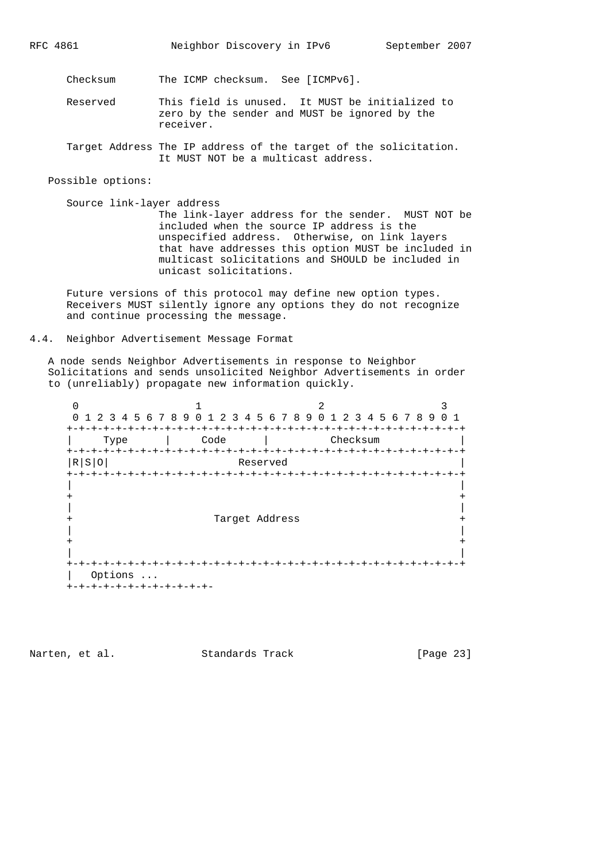Checksum The ICMP checksum. See [ICMPv6].

- Reserved This field is unused. It MUST be initialized to zero by the sender and MUST be ignored by the receiver.
- Target Address The IP address of the target of the solicitation. It MUST NOT be a multicast address.

### Possible options:

 Source link-layer address The link-layer address for the sender. MUST NOT be included when the source IP address is the unspecified address. Otherwise, on link layers that have addresses this option MUST be included in multicast solicitations and SHOULD be included in unicast solicitations.

 Future versions of this protocol may define new option types. Receivers MUST silently ignore any options they do not recognize and continue processing the message.

# 4.4. Neighbor Advertisement Message Format

 A node sends Neighbor Advertisements in response to Neighbor Solicitations and sends unsolicited Neighbor Advertisements in order to (unreliably) propagate new information quickly.

 $0$  1 2 3 0 1 2 3 4 5 6 7 8 9 0 1 2 3 4 5 6 7 8 9 0 1 2 3 4 5 6 7 8 9 0 1 +-+-+-+-+-+-+-+-+-+-+-+-+-+-+-+-+-+-+-+-+-+-+-+-+-+-+-+-+-+-+-+-+ | Type | Code | Checksum | +-+-+-+-+-+-+-+-+-+-+-+-+-+-+-+-+-+-+-+-+-+-+-+-+-+-+-+-+-+-+-+-+ | Reserved +-+-+-+-+-+-+-+-+-+-+-+-+-+-+-+-+-+-+-+-+-+-+-+-+-+-+-+-+-+-+-+-+ | | + + | | + Target Address + | | + + | | +-+-+-+-+-+-+-+-+-+-+-+-+-+-+-+-+-+-+-+-+-+-+-+-+-+-+-+-+-+-+-+-+ | Options ... +-+-+-+-+-+-+-+-+-+-+-+-

Narten, et al. Standards Track [Page 23]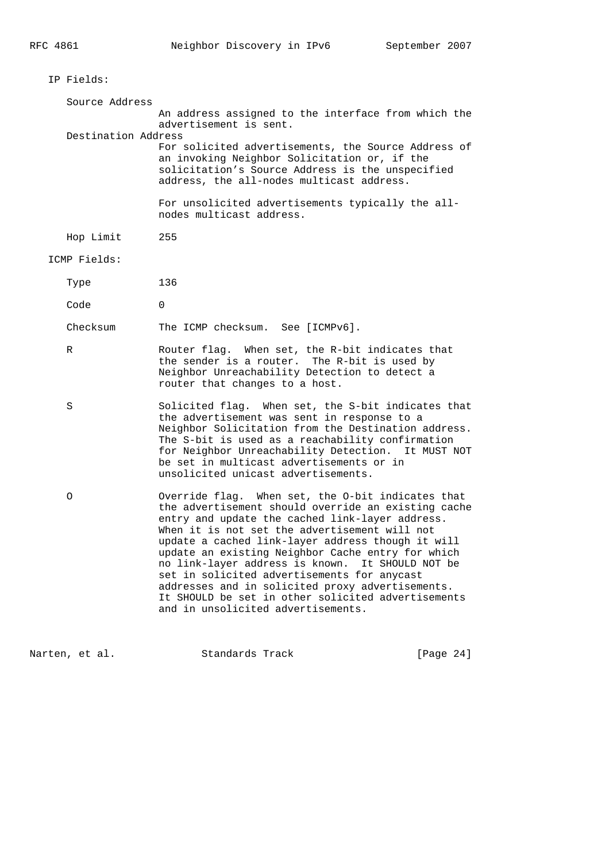| IP Fields:          |                                                                                                                                                                                                                                                                                                                                                                                                                                                                                                                                                                              |
|---------------------|------------------------------------------------------------------------------------------------------------------------------------------------------------------------------------------------------------------------------------------------------------------------------------------------------------------------------------------------------------------------------------------------------------------------------------------------------------------------------------------------------------------------------------------------------------------------------|
| Source Address      |                                                                                                                                                                                                                                                                                                                                                                                                                                                                                                                                                                              |
| Destination Address | An address assigned to the interface from which the<br>advertisement is sent.                                                                                                                                                                                                                                                                                                                                                                                                                                                                                                |
|                     | For solicited advertisements, the Source Address of<br>an invoking Neighbor Solicitation or, if the<br>solicitation's Source Address is the unspecified<br>address, the all-nodes multicast address.                                                                                                                                                                                                                                                                                                                                                                         |
|                     | For unsolicited advertisements typically the all-<br>nodes multicast address.                                                                                                                                                                                                                                                                                                                                                                                                                                                                                                |
| Hop Limit           | 255                                                                                                                                                                                                                                                                                                                                                                                                                                                                                                                                                                          |
| ICMP Fields:        |                                                                                                                                                                                                                                                                                                                                                                                                                                                                                                                                                                              |
| Type                | 136                                                                                                                                                                                                                                                                                                                                                                                                                                                                                                                                                                          |
| Code                | 0                                                                                                                                                                                                                                                                                                                                                                                                                                                                                                                                                                            |
| Checksum            | The ICMP checksum. See [ICMPv6].                                                                                                                                                                                                                                                                                                                                                                                                                                                                                                                                             |
| R                   | Router flag. When set, the R-bit indicates that<br>the sender is a router. The R-bit is used by<br>Neighbor Unreachability Detection to detect a<br>router that changes to a host.                                                                                                                                                                                                                                                                                                                                                                                           |
| S                   | Solicited flag. When set, the S-bit indicates that<br>the advertisement was sent in response to a<br>Neighbor Solicitation from the Destination address.<br>The S-bit is used as a reachability confirmation<br>for Neighbor Unreachability Detection. It MUST NOT<br>be set in multicast advertisements or in<br>unsolicited unicast advertisements.                                                                                                                                                                                                                        |
| O                   | Override flag. When set, the O-bit indicates that<br>the advertisement should override an existing cache<br>entry and update the cached link-layer address.<br>When it is not set the advertisement will not<br>update a cached link-layer address though it will<br>update an existing Neighbor Cache entry for which<br>no link-layer address is known.<br>It SHOULD NOT be<br>set in solicited advertisements for anycast<br>addresses and in solicited proxy advertisements.<br>It SHOULD be set in other solicited advertisements<br>and in unsolicited advertisements. |

Narten, et al. Standards Track [Page 24]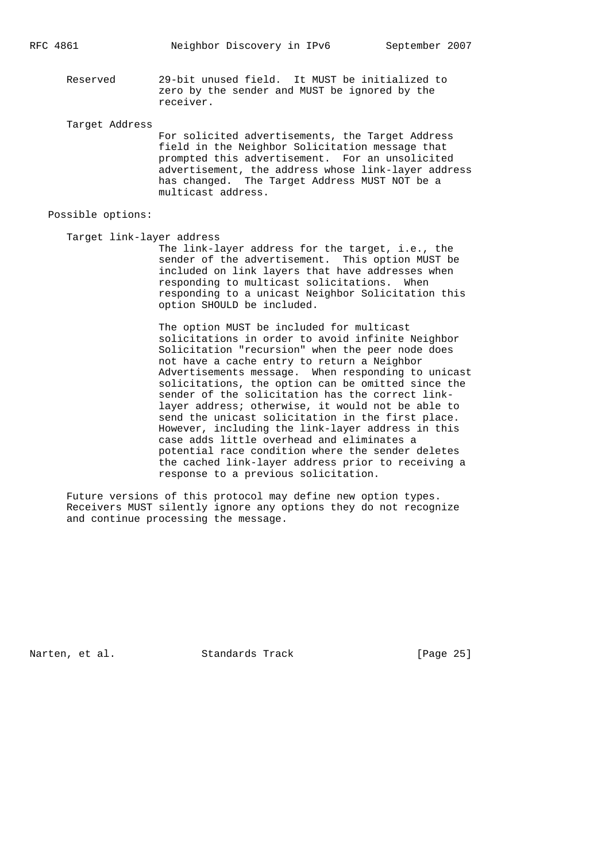Reserved 29-bit unused field. It MUST be initialized to zero by the sender and MUST be ignored by the receiver.

Target Address

 For solicited advertisements, the Target Address field in the Neighbor Solicitation message that prompted this advertisement. For an unsolicited advertisement, the address whose link-layer address has changed. The Target Address MUST NOT be a multicast address.

#### Possible options:

Target link-layer address

 The link-layer address for the target, i.e., the sender of the advertisement. This option MUST be included on link layers that have addresses when responding to multicast solicitations. When responding to a unicast Neighbor Solicitation this option SHOULD be included.

 The option MUST be included for multicast solicitations in order to avoid infinite Neighbor Solicitation "recursion" when the peer node does not have a cache entry to return a Neighbor Advertisements message. When responding to unicast solicitations, the option can be omitted since the sender of the solicitation has the correct link layer address; otherwise, it would not be able to send the unicast solicitation in the first place. However, including the link-layer address in this case adds little overhead and eliminates a potential race condition where the sender deletes the cached link-layer address prior to receiving a response to a previous solicitation.

 Future versions of this protocol may define new option types. Receivers MUST silently ignore any options they do not recognize and continue processing the message.

Narten, et al. Standards Track [Page 25]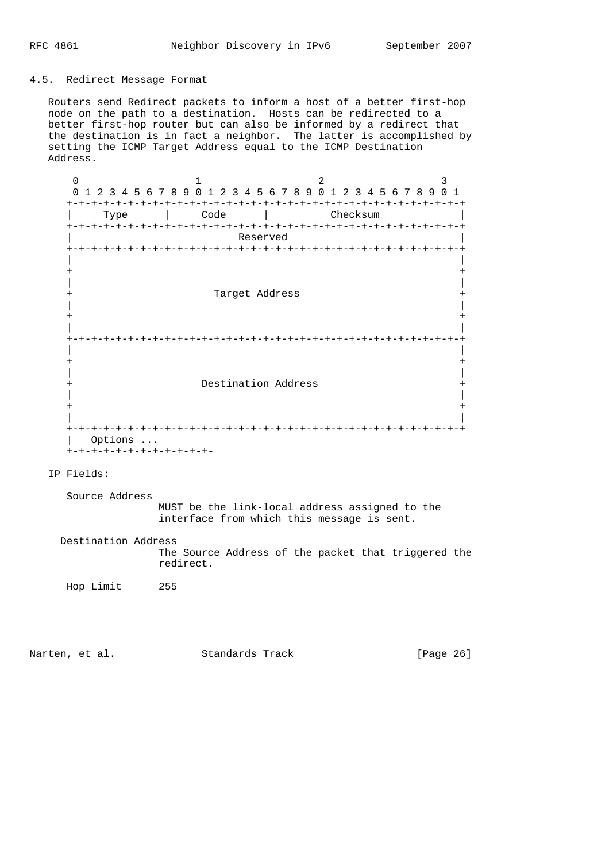### 4.5. Redirect Message Format

 Routers send Redirect packets to inform a host of a better first-hop node on the path to a destination. Hosts can be redirected to a better first-hop router but can also be informed by a redirect that the destination is in fact a neighbor. The latter is accomplished by setting the ICMP Target Address equal to the ICMP Destination Address.

 $0$  1 2 3 0 1 2 3 4 5 6 7 8 9 0 1 2 3 4 5 6 7 8 9 0 1 2 3 4 5 6 7 8 9 0 1 +-+-+-+-+-+-+-+-+-+-+-+-+-+-+-+-+-+-+-+-+-+-+-+-+-+-+-+-+-+-+-+-+ | Type | Code | Checksum | +-+-+-+-+-+-+-+-+-+-+-+-+-+-+-+-+-+-+-+-+-+-+-+-+-+-+-+-+-+-+-+-+ | Reserved | +-+-+-+-+-+-+-+-+-+-+-+-+-+-+-+-+-+-+-+-+-+-+-+-+-+-+-+-+-+-+-+-+ | | + + | | + Target Address + | | + + | | +-+-+-+-+-+-+-+-+-+-+-+-+-+-+-+-+-+-+-+-+-+-+-+-+-+-+-+-+-+-+-+-+ | | + + | | Destination Address + | | + + | | +-+-+-+-+-+-+-+-+-+-+-+-+-+-+-+-+-+-+-+-+-+-+-+-+-+-+-+-+-+-+-+-+ | Options ... +-+-+-+-+-+-+-+-+-+-+-+-

### IP Fields:

 Source Address MUST be the link-local address assigned to the interface from which this message is sent.

 Destination Address The Source Address of the packet that triggered the redirect.

Hop Limit 255

Narten, et al. Standards Track [Page 26]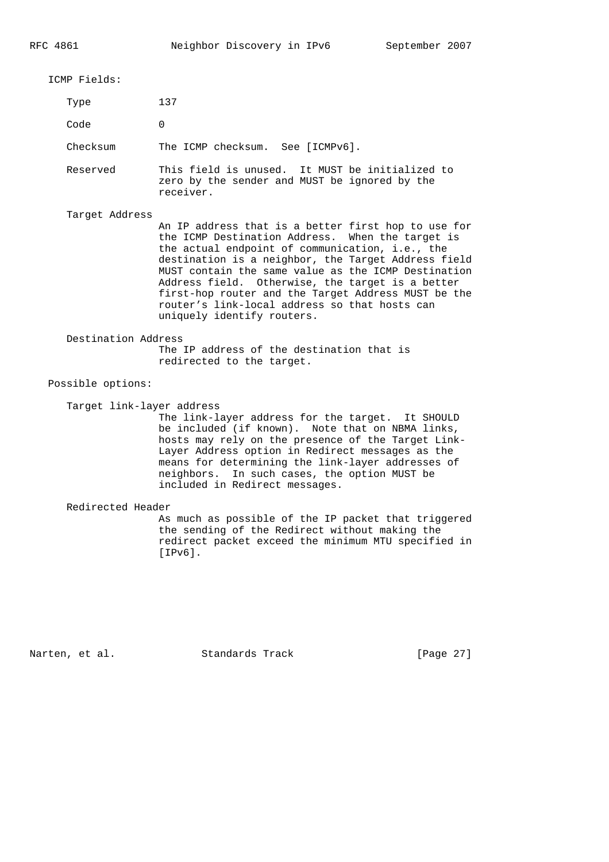ICMP Fields:

| Type           | 137                                                                                                                                                                                                                                                                                                                                                                                                                                  |
|----------------|--------------------------------------------------------------------------------------------------------------------------------------------------------------------------------------------------------------------------------------------------------------------------------------------------------------------------------------------------------------------------------------------------------------------------------------|
| Code           | $\Omega$                                                                                                                                                                                                                                                                                                                                                                                                                             |
| Checksum       | The ICMP checksum. See [ICMPv6].                                                                                                                                                                                                                                                                                                                                                                                                     |
| Reserved       | This field is unused. It MUST be initialized to<br>zero by the sender and MUST be ignored by the<br>receiver.                                                                                                                                                                                                                                                                                                                        |
| Target Address | An IP address that is a better first hop to use for<br>the ICMP Destination Address. When the target is<br>the actual endpoint of communication, i.e., the<br>destination is a neighbor, the Target Address field<br>MUST contain the same value as the ICMP Destination<br>Address field. Otherwise, the target is a better<br>first-hop router and the Target Address MUST be the<br>router's link-local address so that hosts can |

 Destination Address The IP address of the destination that is redirected to the target.

uniquely identify routers.

### Possible options:

Target link-layer address

 The link-layer address for the target. It SHOULD be included (if known). Note that on NBMA links, hosts may rely on the presence of the Target Link- Layer Address option in Redirect messages as the means for determining the link-layer addresses of neighbors. In such cases, the option MUST be included in Redirect messages.

### Redirected Header

 As much as possible of the IP packet that triggered the sending of the Redirect without making the redirect packet exceed the minimum MTU specified in [IPv6].

Narten, et al. Standards Track [Page 27]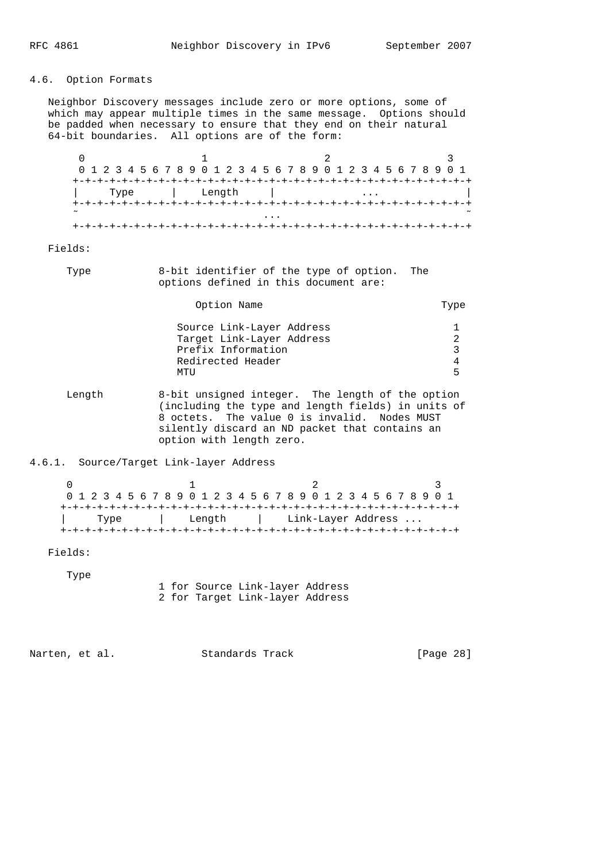# 4.6. Option Formats

 Neighbor Discovery messages include zero or more options, some of which may appear multiple times in the same message. Options should be padded when necessary to ensure that they end on their natural 64-bit boundaries. All options are of the form:

|        | 0 1 2 3 4 5 6 7 8 9 0 1 2 3 4 5 6 7 8 9 0 1 2 3 4 5 6 7 8 9 0 1 |  |      |  |  |  |  |  |  |  |  |                         |  |  |          |  |  |  |  |  |  |  |   |  |  |  |  |  |  |  |  |  |  |
|--------|-----------------------------------------------------------------|--|------|--|--|--|--|--|--|--|--|-------------------------|--|--|----------|--|--|--|--|--|--|--|---|--|--|--|--|--|--|--|--|--|--|
|        |                                                                 |  |      |  |  |  |  |  |  |  |  |                         |  |  |          |  |  |  |  |  |  |  |   |  |  |  |  |  |  |  |  |  |  |
|        |                                                                 |  | Type |  |  |  |  |  |  |  |  | Length                  |  |  |          |  |  |  |  |  |  |  | . |  |  |  |  |  |  |  |  |  |  |
|        |                                                                 |  |      |  |  |  |  |  |  |  |  | - - + - + - + - + - + - |  |  |          |  |  |  |  |  |  |  |   |  |  |  |  |  |  |  |  |  |  |
| $\sim$ |                                                                 |  |      |  |  |  |  |  |  |  |  |                         |  |  | $\cdots$ |  |  |  |  |  |  |  |   |  |  |  |  |  |  |  |  |  |  |
|        |                                                                 |  |      |  |  |  |  |  |  |  |  |                         |  |  |          |  |  |  |  |  |  |  |   |  |  |  |  |  |  |  |  |  |  |

#### Fields:

 Type 8-bit identifier of the type of option. The options defined in this document are:

| Option Name | Type |
|-------------|------|
|             |      |

| Source Link-Layer Address |   |
|---------------------------|---|
| Target Link-Layer Address |   |
| Prefix Information        |   |
| Redirected Header         | 4 |
| MTTT                      |   |

 Length 8-bit unsigned integer. The length of the option (including the type and length fields) in units of 8 octets. The value 0 is invalid. Nodes MUST silently discard an ND packet that contains an option with length zero.

### 4.6.1. Source/Target Link-layer Address

|  | 0 1 2 3 4 5 6 7 8 9 0 1 2 3 4 5 6 7 8 9 0 1 2 3 4 5 6 7 8 9 0 1 |      |  |  |  |        |  |  |                    |  |  |  |  |  |  |  |
|--|-----------------------------------------------------------------|------|--|--|--|--------|--|--|--------------------|--|--|--|--|--|--|--|
|  |                                                                 |      |  |  |  |        |  |  |                    |  |  |  |  |  |  |  |
|  |                                                                 | Type |  |  |  | Length |  |  | Link-Layer Address |  |  |  |  |  |  |  |
|  |                                                                 |      |  |  |  |        |  |  |                    |  |  |  |  |  |  |  |

#### Fields:

Type

|  | 1 for Source Link-layer Address |  |
|--|---------------------------------|--|
|  | 2 for Target Link-layer Address |  |

Narten, et al. Standards Track [Page 28]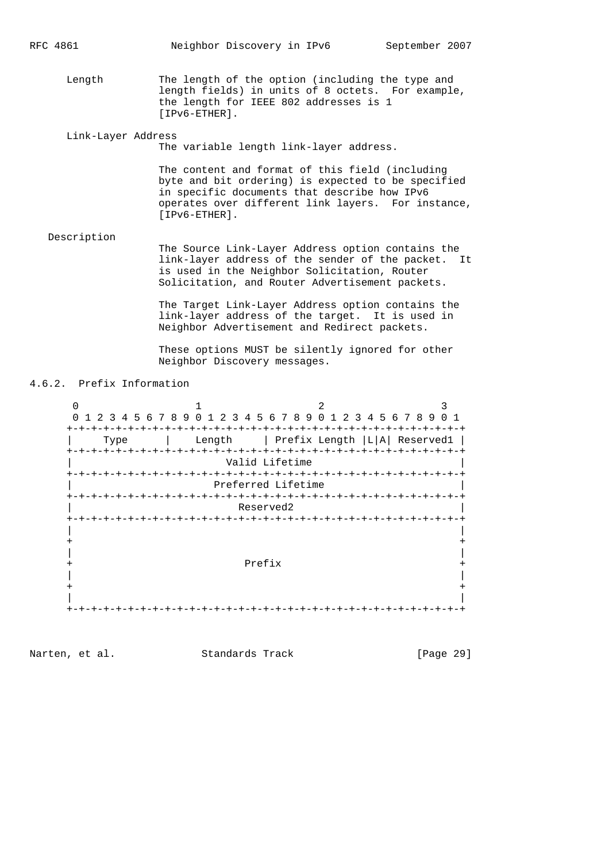Length The length of the option (including the type and length fields) in units of 8 octets. For example, the length for IEEE 802 addresses is 1 [IPv6-ETHER].

Link-Layer Address

The variable length link-layer address.

 The content and format of this field (including byte and bit ordering) is expected to be specified in specific documents that describe how IPv6 operates over different link layers. For instance, [IPv6-ETHER].

Description

 The Source Link-Layer Address option contains the link-layer address of the sender of the packet. It is used in the Neighbor Solicitation, Router Solicitation, and Router Advertisement packets.

 The Target Link-Layer Address option contains the link-layer address of the target. It is used in Neighbor Advertisement and Redirect packets.

 These options MUST be silently ignored for other Neighbor Discovery messages.

# 4.6.2. Prefix Information

 $0$  1 2 3 0 1 2 3 4 5 6 7 8 9 0 1 2 3 4 5 6 7 8 9 0 1 2 3 4 5 6 7 8 9 0 1 +-+-+-+-+-+-+-+-+-+-+-+-+-+-+-+-+-+-+-+-+-+-+-+-+-+-+-+-+-+-+-+-+ | Type | Length | Prefix Length |L|A| Reserved1 | +-+-+-+-+-+-+-+-+-+-+-+-+-+-+-+-+-+-+-+-+-+-+-+-+-+-+-+-+-+-+-+-+ Valid Lifetime +-+-+-+-+-+-+-+-+-+-+-+-+-+-+-+-+-+-+-+-+-+-+-+-+-+-+-+-+-+-+-+-+ Preferred Lifetime +-+-+-+-+-+-+-+-+-+-+-+-+-+-+-+-+-+-+-+-+-+-+-+-+-+-+-+-+-+-+-+-+  ${\tt Reserved2}$  +-+-+-+-+-+-+-+-+-+-+-+-+-+-+-+-+-+-+-+-+-+-+-+-+-+-+-+-+-+-+-+-+ | | + + | | + Prefix + | | + + | | +-+-+-+-+-+-+-+-+-+-+-+-+-+-+-+-+-+-+-+-+-+-+-+-+-+-+-+-+-+-+-+-+

Narten, et al. Standards Track [Page 29]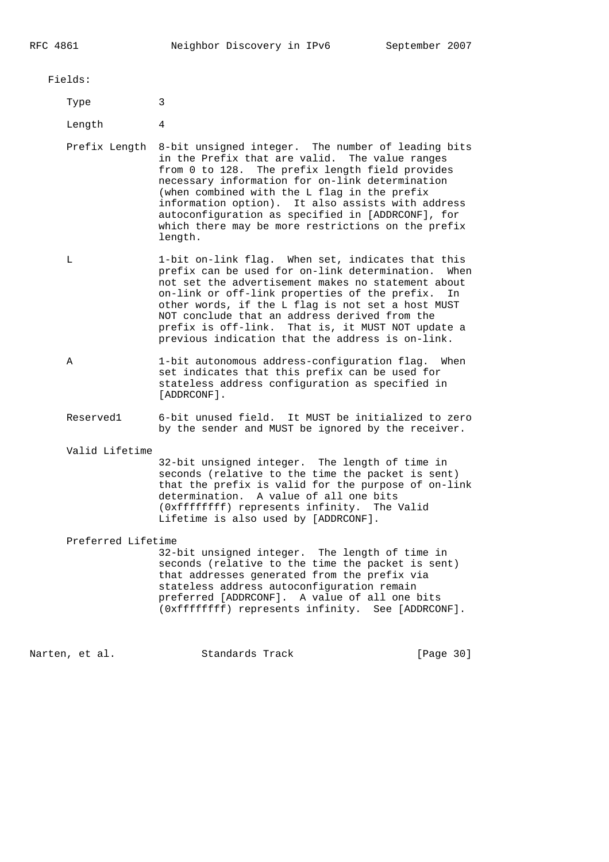Fields:

Type 3

Length 4

- Prefix Length 8-bit unsigned integer. The number of leading bits in the Prefix that are valid. The value ranges from 0 to 128. The prefix length field provides necessary information for on-link determination (when combined with the L flag in the prefix information option). It also assists with address autoconfiguration as specified in [ADDRCONF], for which there may be more restrictions on the prefix length.
- L 1-bit on-link flag. When set, indicates that this prefix can be used for on-link determination. When not set the advertisement makes no statement about on-link or off-link properties of the prefix. In other words, if the L flag is not set a host MUST NOT conclude that an address derived from the prefix is off-link. That is, it MUST NOT update a previous indication that the address is on-link.
	- A 1-bit autonomous address-configuration flag. When set indicates that this prefix can be used for stateless address configuration as specified in [ADDRCONF].
	- Reserved1 6-bit unused field. It MUST be initialized to zero by the sender and MUST be ignored by the receiver.

Valid Lifetime

 32-bit unsigned integer. The length of time in seconds (relative to the time the packet is sent) that the prefix is valid for the purpose of on-link determination. A value of all one bits (0xffffffff) represents infinity. The Valid Lifetime is also used by [ADDRCONF].

 Preferred Lifetime 32-bit unsigned integer. The length of time in seconds (relative to the time the packet is sent) that addresses generated from the prefix via stateless address autoconfiguration remain preferred [ADDRCONF]. A value of all one bits (0xffffffff) represents infinity. See [ADDRCONF].

Narten, et al. Standards Track [Page 30]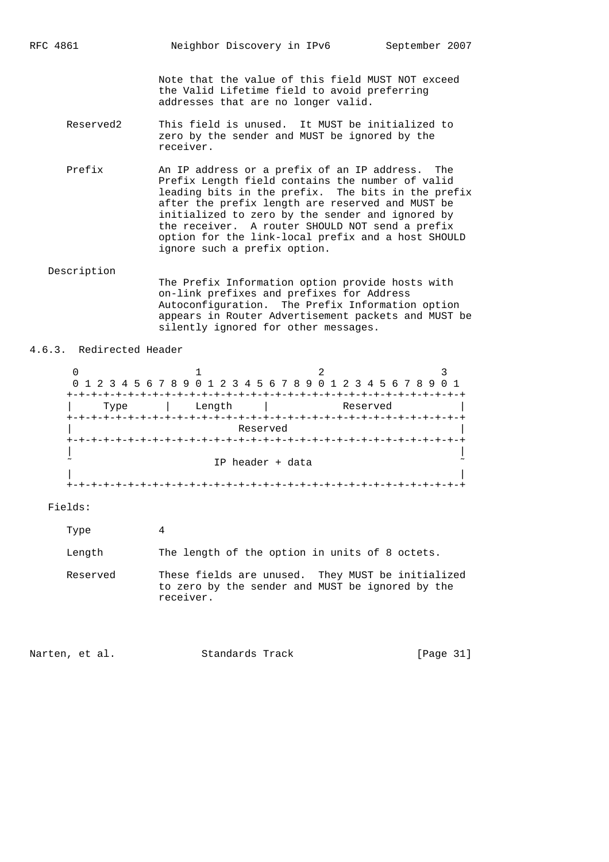Note that the value of this field MUST NOT exceed the Valid Lifetime field to avoid preferring addresses that are no longer valid.

- Reserved2 This field is unused. It MUST be initialized to zero by the sender and MUST be ignored by the receiver.
- Prefix An IP address or a prefix of an IP address. The Prefix Length field contains the number of valid leading bits in the prefix. The bits in the prefix after the prefix length are reserved and MUST be initialized to zero by the sender and ignored by the receiver. A router SHOULD NOT send a prefix option for the link-local prefix and a host SHOULD ignore such a prefix option.

# Description The Prefix Information option provide hosts with on-link prefixes and prefixes for Address Autoconfiguration. The Prefix Information option appears in Router Advertisement packets and MUST be silently ignored for other messages.

### 4.6.3. Redirected Header

|                 | 0 1 2 3 4 5 6 7 8 9 0 1 2 3 4 5 6 7 8 9 0 1 2 3 4 5 6 7 8 9 0 1 |                    |  |  |  |  |  |  |  |  |  |  |
|-----------------|-----------------------------------------------------------------|--------------------|--|--|--|--|--|--|--|--|--|--|
| $+-+$           |                                                                 |                    |  |  |  |  |  |  |  |  |  |  |
| Type            | Length                                                          | Reserved           |  |  |  |  |  |  |  |  |  |  |
| +-+-+-+-+-+-+-+ |                                                                 |                    |  |  |  |  |  |  |  |  |  |  |
|                 | Reserved                                                        |                    |  |  |  |  |  |  |  |  |  |  |
|                 |                                                                 |                    |  |  |  |  |  |  |  |  |  |  |
|                 |                                                                 |                    |  |  |  |  |  |  |  |  |  |  |
|                 |                                                                 | IP header $+$ data |  |  |  |  |  |  |  |  |  |  |
|                 |                                                                 |                    |  |  |  |  |  |  |  |  |  |  |
|                 |                                                                 |                    |  |  |  |  |  |  |  |  |  |  |

# Fields:

| Type     |                                                                                                                    |
|----------|--------------------------------------------------------------------------------------------------------------------|
| Length   | The length of the option in units of 8 octets.                                                                     |
| Reserved | These fields are unused. They MUST be initialized<br>to zero by the sender and MUST be ignored by the<br>receiver. |

Narten, et al. Standards Track [Page 31]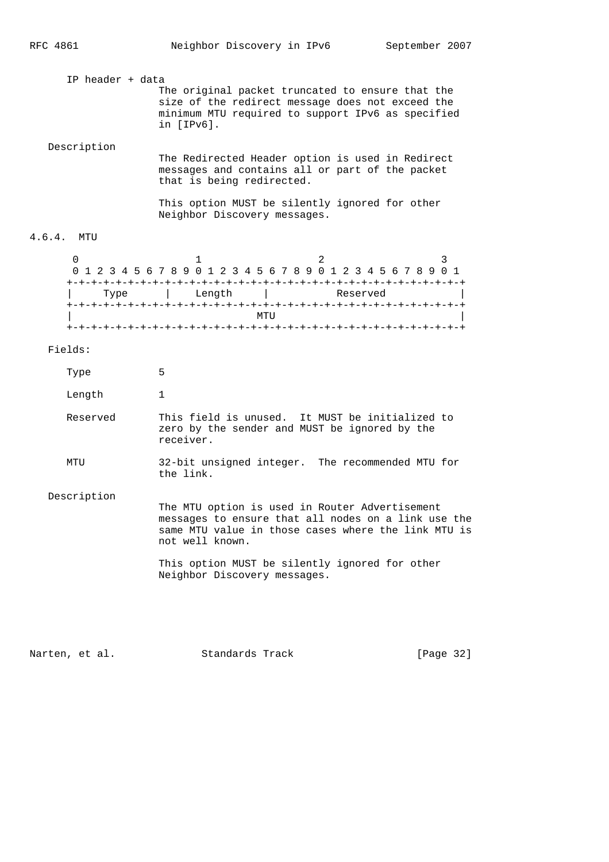IP header + data The original packet truncated to ensure that the size of the redirect message does not exceed the minimum MTU required to support IPv6 as specified in [IPv6].

# Description

 The Redirected Header option is used in Redirect messages and contains all or part of the packet that is being redirected.

 This option MUST be silently ignored for other Neighbor Discovery messages.

# 4.6.4. MTU

|      |      |  |  |  |  |  |  |  |  |  |  |  |        |  |  |  |  |  |                                     |  |  |  |  |          |  |  |  |  | 0 1 2 3 4 5 6 7 8 9 0 1 2 3 4 5 6 7 8 9 0 1 2 3 4 5 6 7 8 9 0 1 |  |  |  |
|------|------|--|--|--|--|--|--|--|--|--|--|--|--------|--|--|--|--|--|-------------------------------------|--|--|--|--|----------|--|--|--|--|-----------------------------------------------------------------|--|--|--|
|      |      |  |  |  |  |  |  |  |  |  |  |  |        |  |  |  |  |  |                                     |  |  |  |  |          |  |  |  |  |                                                                 |  |  |  |
|      | Type |  |  |  |  |  |  |  |  |  |  |  | Length |  |  |  |  |  |                                     |  |  |  |  | Reserved |  |  |  |  |                                                                 |  |  |  |
|      |      |  |  |  |  |  |  |  |  |  |  |  |        |  |  |  |  |  | +-+-+-+-+-+-+-+-+-+-+-+-+-+-+-+-+-+ |  |  |  |  |          |  |  |  |  |                                                                 |  |  |  |
| MTTJ |      |  |  |  |  |  |  |  |  |  |  |  |        |  |  |  |  |  |                                     |  |  |  |  |          |  |  |  |  |                                                                 |  |  |  |
|      |      |  |  |  |  |  |  |  |  |  |  |  |        |  |  |  |  |  |                                     |  |  |  |  |          |  |  |  |  |                                                                 |  |  |  |

# Fields:

| Type        | 5                                                                                                                                                                               |
|-------------|---------------------------------------------------------------------------------------------------------------------------------------------------------------------------------|
| Length      |                                                                                                                                                                                 |
| Reserved    | This field is unused. It MUST be initialized to<br>zero by the sender and MUST be ignored by the<br>receiver.                                                                   |
| MTU         | 32-bit unsigned integer. The recommended MTU for<br>the link.                                                                                                                   |
| Description | The MTU option is used in Router Advertisement<br>messages to ensure that all nodes on a link use the<br>same MTU value in those cases where the link MTU is<br>not well known. |

 This option MUST be silently ignored for other Neighbor Discovery messages.

| [Page 32]<br>Standards Track<br>Narten, et al. |  |
|------------------------------------------------|--|
|------------------------------------------------|--|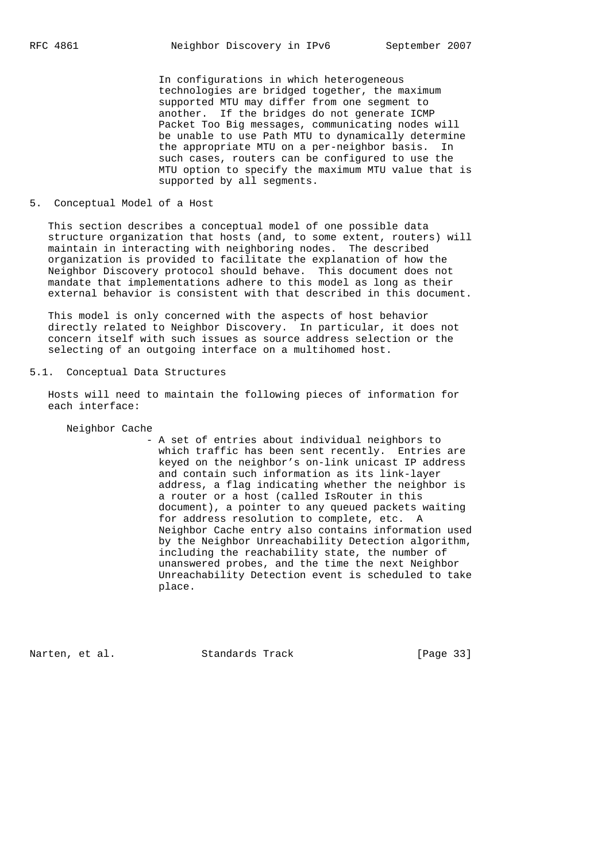In configurations in which heterogeneous technologies are bridged together, the maximum supported MTU may differ from one segment to another. If the bridges do not generate ICMP Packet Too Big messages, communicating nodes will be unable to use Path MTU to dynamically determine the appropriate MTU on a per-neighbor basis. In such cases, routers can be configured to use the MTU option to specify the maximum MTU value that is supported by all segments.

5. Conceptual Model of a Host

 This section describes a conceptual model of one possible data structure organization that hosts (and, to some extent, routers) will maintain in interacting with neighboring nodes. The described organization is provided to facilitate the explanation of how the Neighbor Discovery protocol should behave. This document does not mandate that implementations adhere to this model as long as their external behavior is consistent with that described in this document.

 This model is only concerned with the aspects of host behavior directly related to Neighbor Discovery. In particular, it does not concern itself with such issues as source address selection or the selecting of an outgoing interface on a multihomed host.

### 5.1. Conceptual Data Structures

 Hosts will need to maintain the following pieces of information for each interface:

Neighbor Cache

 - A set of entries about individual neighbors to which traffic has been sent recently. Entries are keyed on the neighbor's on-link unicast IP address and contain such information as its link-layer address, a flag indicating whether the neighbor is a router or a host (called IsRouter in this document), a pointer to any queued packets waiting for address resolution to complete, etc. A Neighbor Cache entry also contains information used by the Neighbor Unreachability Detection algorithm, including the reachability state, the number of unanswered probes, and the time the next Neighbor Unreachability Detection event is scheduled to take place.

Narten, et al. Standards Track [Page 33]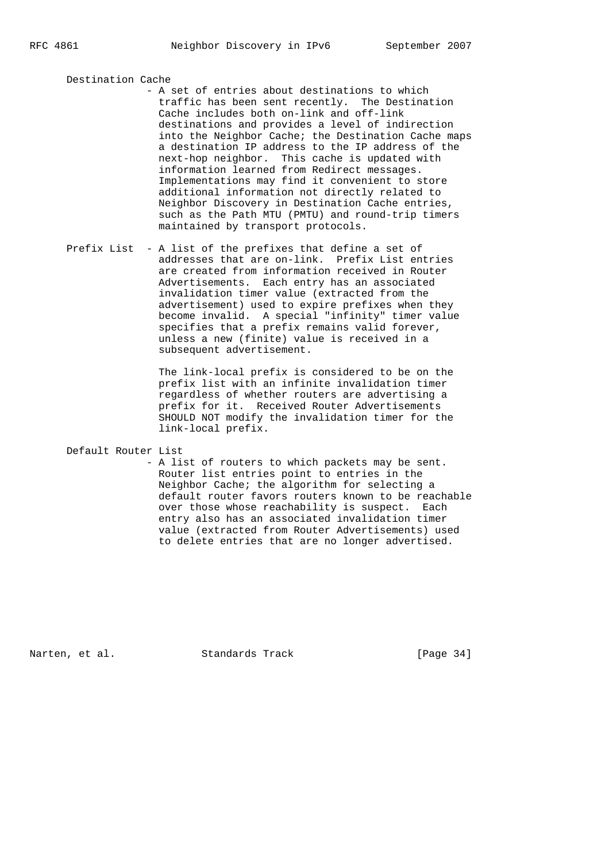Destination Cache - A set of entries about destinations to which traffic has been sent recently. The Destination Cache includes both on-link and off-link destinations and provides a level of indirection into the Neighbor Cache; the Destination Cache maps a destination IP address to the IP address of the next-hop neighbor. This cache is updated with information learned from Redirect messages. Implementations may find it convenient to store additional information not directly related to

 maintained by transport protocols. Prefix List - A list of the prefixes that define a set of addresses that are on-link. Prefix List entries are created from information received in Router Advertisements. Each entry has an associated invalidation timer value (extracted from the advertisement) used to expire prefixes when they become invalid. A special "infinity" timer value specifies that a prefix remains valid forever, unless a new (finite) value is received in a subsequent advertisement.

> The link-local prefix is considered to be on the prefix list with an infinite invalidation timer regardless of whether routers are advertising a prefix for it. Received Router Advertisements SHOULD NOT modify the invalidation timer for the link-local prefix.

 Neighbor Discovery in Destination Cache entries, such as the Path MTU (PMTU) and round-trip timers

Default Router List

 - A list of routers to which packets may be sent. Router list entries point to entries in the Neighbor Cache; the algorithm for selecting a default router favors routers known to be reachable over those whose reachability is suspect. Each entry also has an associated invalidation timer value (extracted from Router Advertisements) used to delete entries that are no longer advertised.

Narten, et al. Standards Track [Page 34]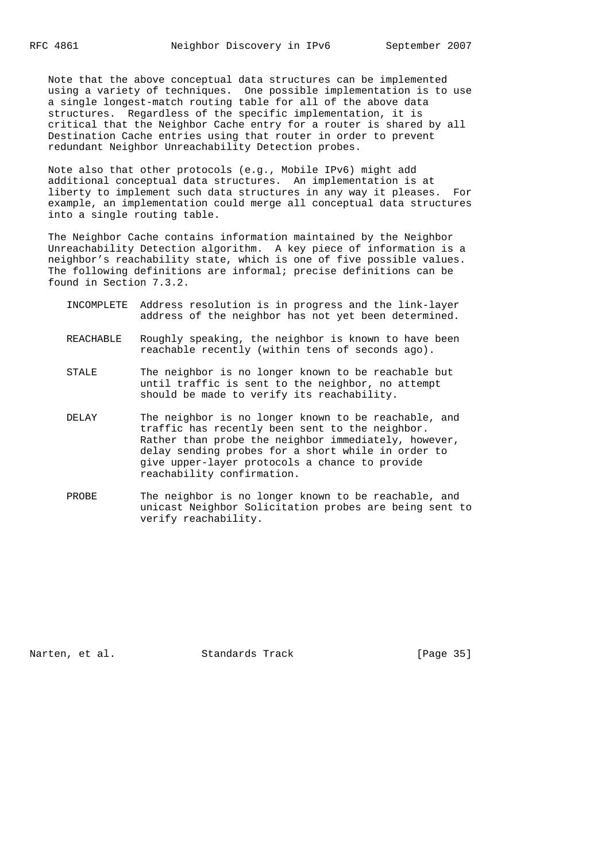Note that the above conceptual data structures can be implemented using a variety of techniques. One possible implementation is to use a single longest-match routing table for all of the above data structures. Regardless of the specific implementation, it is critical that the Neighbor Cache entry for a router is shared by all Destination Cache entries using that router in order to prevent redundant Neighbor Unreachability Detection probes.

 Note also that other protocols (e.g., Mobile IPv6) might add additional conceptual data structures. An implementation is at liberty to implement such data structures in any way it pleases. For example, an implementation could merge all conceptual data structures into a single routing table.

 The Neighbor Cache contains information maintained by the Neighbor Unreachability Detection algorithm. A key piece of information is a neighbor's reachability state, which is one of five possible values. The following definitions are informal; precise definitions can be found in Section 7.3.2.

- INCOMPLETE Address resolution is in progress and the link-layer address of the neighbor has not yet been determined.
- REACHABLE Roughly speaking, the neighbor is known to have been reachable recently (within tens of seconds ago).
- STALE The neighbor is no longer known to be reachable but until traffic is sent to the neighbor, no attempt should be made to verify its reachability.
- DELAY The neighbor is no longer known to be reachable, and traffic has recently been sent to the neighbor. Rather than probe the neighbor immediately, however, delay sending probes for a short while in order to give upper-layer protocols a chance to provide reachability confirmation.
- PROBE The neighbor is no longer known to be reachable, and unicast Neighbor Solicitation probes are being sent to verify reachability.

Narten, et al. Standards Track [Page 35]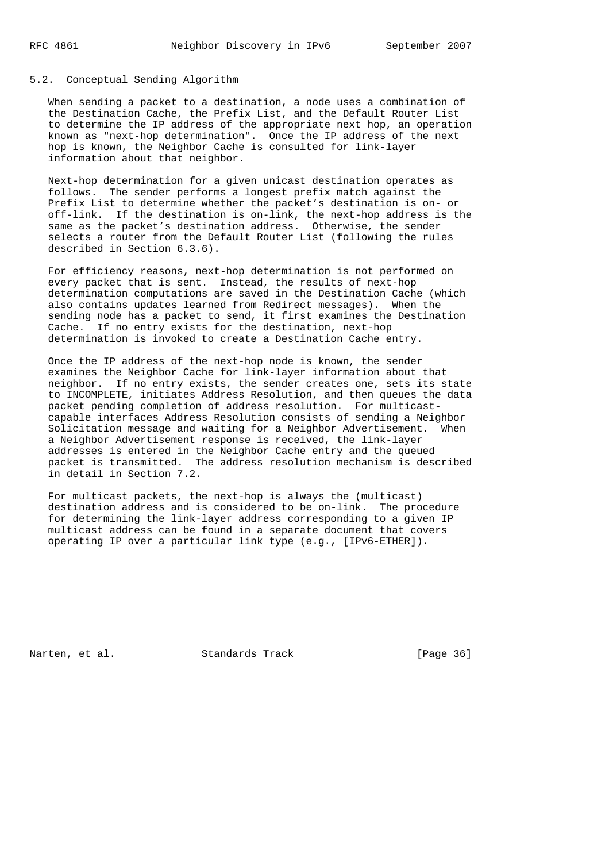### 5.2. Conceptual Sending Algorithm

 When sending a packet to a destination, a node uses a combination of the Destination Cache, the Prefix List, and the Default Router List to determine the IP address of the appropriate next hop, an operation known as "next-hop determination". Once the IP address of the next hop is known, the Neighbor Cache is consulted for link-layer information about that neighbor.

 Next-hop determination for a given unicast destination operates as follows. The sender performs a longest prefix match against the Prefix List to determine whether the packet's destination is on- or off-link. If the destination is on-link, the next-hop address is the same as the packet's destination address. Otherwise, the sender selects a router from the Default Router List (following the rules described in Section 6.3.6).

 For efficiency reasons, next-hop determination is not performed on every packet that is sent. Instead, the results of next-hop determination computations are saved in the Destination Cache (which also contains updates learned from Redirect messages). When the sending node has a packet to send, it first examines the Destination Cache. If no entry exists for the destination, next-hop determination is invoked to create a Destination Cache entry.

 Once the IP address of the next-hop node is known, the sender examines the Neighbor Cache for link-layer information about that neighbor. If no entry exists, the sender creates one, sets its state to INCOMPLETE, initiates Address Resolution, and then queues the data packet pending completion of address resolution. For multicast capable interfaces Address Resolution consists of sending a Neighbor Solicitation message and waiting for a Neighbor Advertisement. When a Neighbor Advertisement response is received, the link-layer addresses is entered in the Neighbor Cache entry and the queued packet is transmitted. The address resolution mechanism is described in detail in Section 7.2.

 For multicast packets, the next-hop is always the (multicast) destination address and is considered to be on-link. The procedure for determining the link-layer address corresponding to a given IP multicast address can be found in a separate document that covers operating IP over a particular link type (e.g., [IPv6-ETHER]).

Narten, et al. Standards Track [Page 36]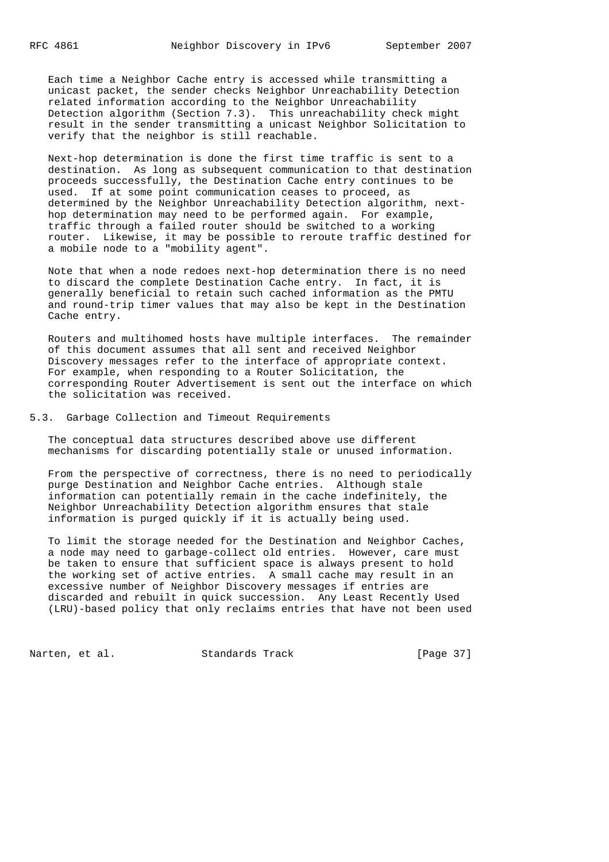Each time a Neighbor Cache entry is accessed while transmitting a unicast packet, the sender checks Neighbor Unreachability Detection related information according to the Neighbor Unreachability Detection algorithm (Section 7.3). This unreachability check might result in the sender transmitting a unicast Neighbor Solicitation to verify that the neighbor is still reachable.

 Next-hop determination is done the first time traffic is sent to a destination. As long as subsequent communication to that destination proceeds successfully, the Destination Cache entry continues to be used. If at some point communication ceases to proceed, as determined by the Neighbor Unreachability Detection algorithm, next hop determination may need to be performed again. For example, traffic through a failed router should be switched to a working router. Likewise, it may be possible to reroute traffic destined for a mobile node to a "mobility agent".

 Note that when a node redoes next-hop determination there is no need to discard the complete Destination Cache entry. In fact, it is generally beneficial to retain such cached information as the PMTU and round-trip timer values that may also be kept in the Destination Cache entry.

 Routers and multihomed hosts have multiple interfaces. The remainder of this document assumes that all sent and received Neighbor Discovery messages refer to the interface of appropriate context. For example, when responding to a Router Solicitation, the corresponding Router Advertisement is sent out the interface on which the solicitation was received.

5.3. Garbage Collection and Timeout Requirements

 The conceptual data structures described above use different mechanisms for discarding potentially stale or unused information.

 From the perspective of correctness, there is no need to periodically purge Destination and Neighbor Cache entries. Although stale information can potentially remain in the cache indefinitely, the Neighbor Unreachability Detection algorithm ensures that stale information is purged quickly if it is actually being used.

 To limit the storage needed for the Destination and Neighbor Caches, a node may need to garbage-collect old entries. However, care must be taken to ensure that sufficient space is always present to hold the working set of active entries. A small cache may result in an excessive number of Neighbor Discovery messages if entries are discarded and rebuilt in quick succession. Any Least Recently Used (LRU)-based policy that only reclaims entries that have not been used

Narten, et al. Standards Track [Page 37]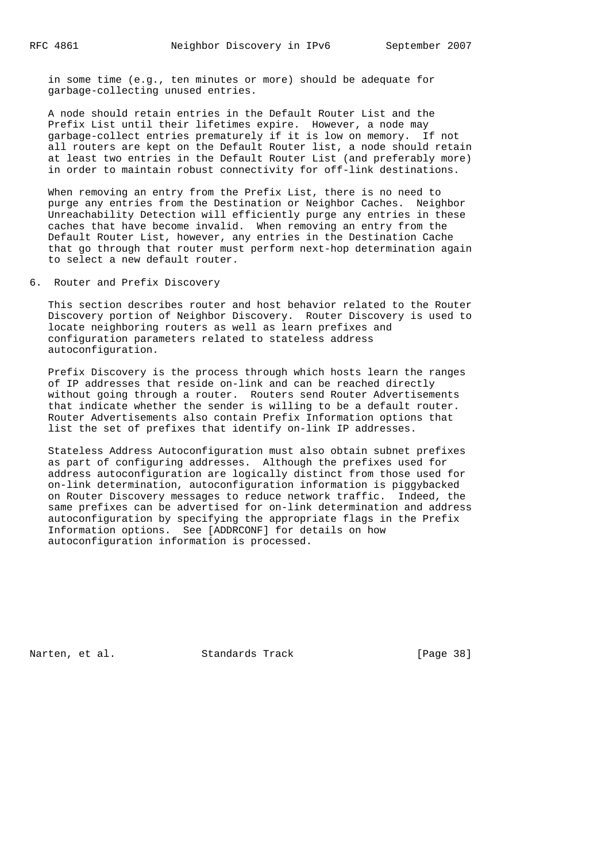in some time (e.g., ten minutes or more) should be adequate for garbage-collecting unused entries.

 A node should retain entries in the Default Router List and the Prefix List until their lifetimes expire. However, a node may garbage-collect entries prematurely if it is low on memory. If not all routers are kept on the Default Router list, a node should retain at least two entries in the Default Router List (and preferably more) in order to maintain robust connectivity for off-link destinations.

 When removing an entry from the Prefix List, there is no need to purge any entries from the Destination or Neighbor Caches. Neighbor Unreachability Detection will efficiently purge any entries in these caches that have become invalid. When removing an entry from the Default Router List, however, any entries in the Destination Cache that go through that router must perform next-hop determination again to select a new default router.

6. Router and Prefix Discovery

 This section describes router and host behavior related to the Router Discovery portion of Neighbor Discovery. Router Discovery is used to locate neighboring routers as well as learn prefixes and configuration parameters related to stateless address autoconfiguration.

 Prefix Discovery is the process through which hosts learn the ranges of IP addresses that reside on-link and can be reached directly without going through a router. Routers send Router Advertisements that indicate whether the sender is willing to be a default router. Router Advertisements also contain Prefix Information options that list the set of prefixes that identify on-link IP addresses.

 Stateless Address Autoconfiguration must also obtain subnet prefixes as part of configuring addresses. Although the prefixes used for address autoconfiguration are logically distinct from those used for on-link determination, autoconfiguration information is piggybacked on Router Discovery messages to reduce network traffic. Indeed, the same prefixes can be advertised for on-link determination and address autoconfiguration by specifying the appropriate flags in the Prefix Information options. See [ADDRCONF] for details on how autoconfiguration information is processed.

Narten, et al. Standards Track [Page 38]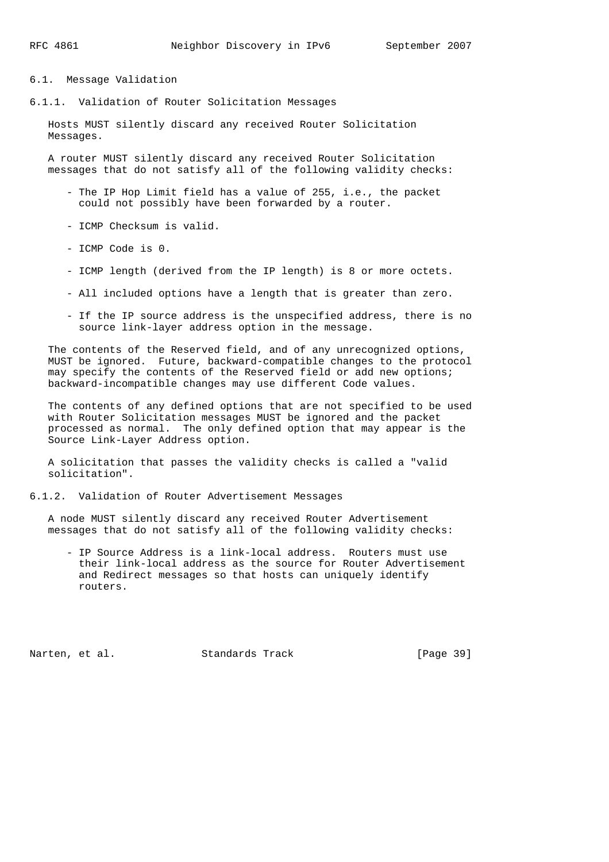6.1. Message Validation

6.1.1. Validation of Router Solicitation Messages

 Hosts MUST silently discard any received Router Solicitation Messages.

 A router MUST silently discard any received Router Solicitation messages that do not satisfy all of the following validity checks:

- The IP Hop Limit field has a value of 255, i.e., the packet could not possibly have been forwarded by a router.
- ICMP Checksum is valid.
- ICMP Code is 0.
- ICMP length (derived from the IP length) is 8 or more octets.
- All included options have a length that is greater than zero.
- If the IP source address is the unspecified address, there is no source link-layer address option in the message.

 The contents of the Reserved field, and of any unrecognized options, MUST be ignored. Future, backward-compatible changes to the protocol may specify the contents of the Reserved field or add new options; backward-incompatible changes may use different Code values.

 The contents of any defined options that are not specified to be used with Router Solicitation messages MUST be ignored and the packet processed as normal. The only defined option that may appear is the Source Link-Layer Address option.

 A solicitation that passes the validity checks is called a "valid solicitation".

#### 6.1.2. Validation of Router Advertisement Messages

 A node MUST silently discard any received Router Advertisement messages that do not satisfy all of the following validity checks:

 - IP Source Address is a link-local address. Routers must use their link-local address as the source for Router Advertisement and Redirect messages so that hosts can uniquely identify routers.

Narten, et al. Standards Track [Page 39]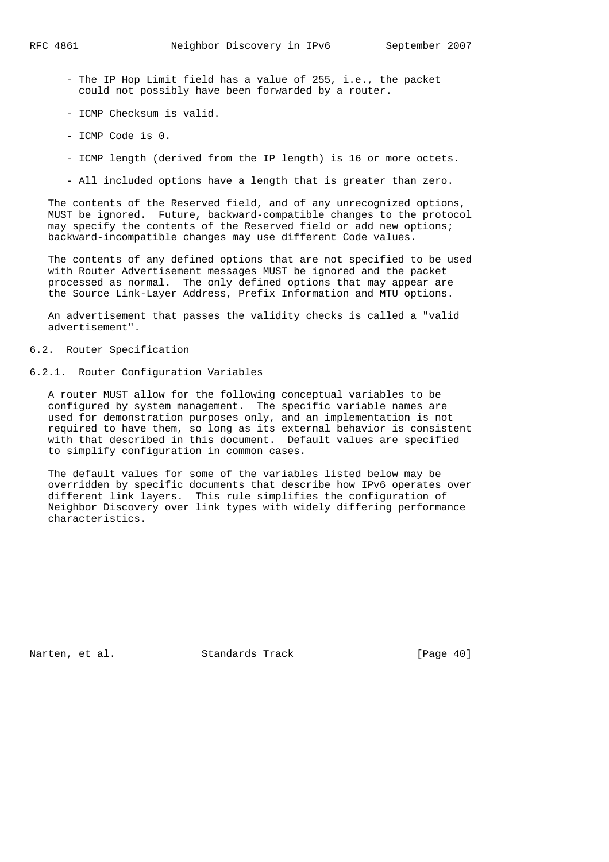- The IP Hop Limit field has a value of 255, i.e., the packet could not possibly have been forwarded by a router.
- ICMP Checksum is valid.
- ICMP Code is 0.
- ICMP length (derived from the IP length) is 16 or more octets.
- All included options have a length that is greater than zero.

 The contents of the Reserved field, and of any unrecognized options, MUST be ignored. Future, backward-compatible changes to the protocol may specify the contents of the Reserved field or add new options; backward-incompatible changes may use different Code values.

 The contents of any defined options that are not specified to be used with Router Advertisement messages MUST be ignored and the packet processed as normal. The only defined options that may appear are the Source Link-Layer Address, Prefix Information and MTU options.

 An advertisement that passes the validity checks is called a "valid advertisement".

## 6.2. Router Specification

6.2.1. Router Configuration Variables

 A router MUST allow for the following conceptual variables to be configured by system management. The specific variable names are used for demonstration purposes only, and an implementation is not required to have them, so long as its external behavior is consistent with that described in this document. Default values are specified to simplify configuration in common cases.

 The default values for some of the variables listed below may be overridden by specific documents that describe how IPv6 operates over different link layers. This rule simplifies the configuration of Neighbor Discovery over link types with widely differing performance characteristics.

Narten, et al. Standards Track [Page 40]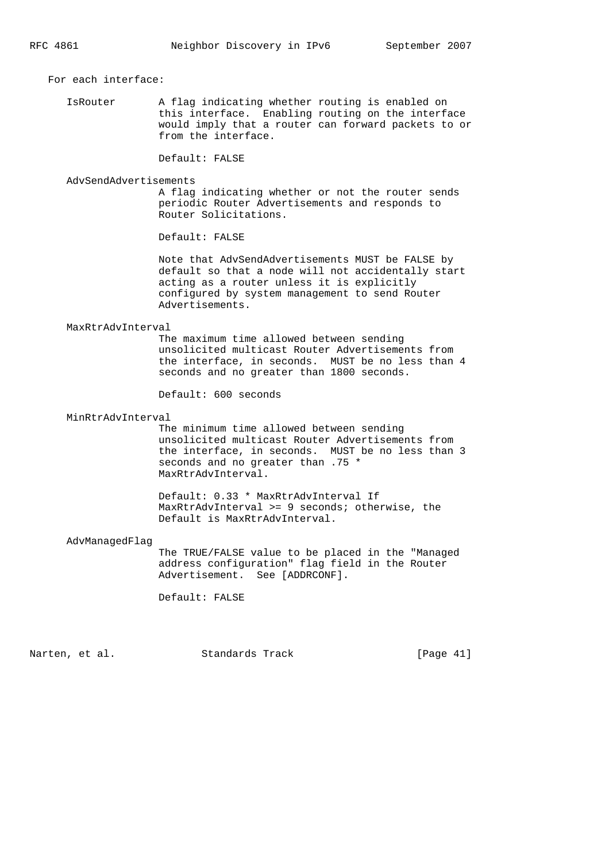For each interface:

 IsRouter A flag indicating whether routing is enabled on this interface. Enabling routing on the interface would imply that a router can forward packets to or from the interface.

Default: FALSE

#### AdvSendAdvertisements

 A flag indicating whether or not the router sends periodic Router Advertisements and responds to Router Solicitations.

Default: FALSE

 Note that AdvSendAdvertisements MUST be FALSE by default so that a node will not accidentally start acting as a router unless it is explicitly configured by system management to send Router Advertisements.

MaxRtrAdvInterval

 The maximum time allowed between sending unsolicited multicast Router Advertisements from the interface, in seconds. MUST be no less than 4 seconds and no greater than 1800 seconds.

Default: 600 seconds

#### MinRtrAdvInterval

 The minimum time allowed between sending unsolicited multicast Router Advertisements from the interface, in seconds. MUST be no less than 3 seconds and no greater than .75 \* MaxRtrAdvInterval.

 Default: 0.33 \* MaxRtrAdvInterval If MaxRtrAdvInterval >= 9 seconds; otherwise, the Default is MaxRtrAdvInterval.

#### AdvManagedFlag

 The TRUE/FALSE value to be placed in the "Managed address configuration" flag field in the Router Advertisement. See [ADDRCONF].

Default: FALSE

Narten, et al. Standards Track [Page 41]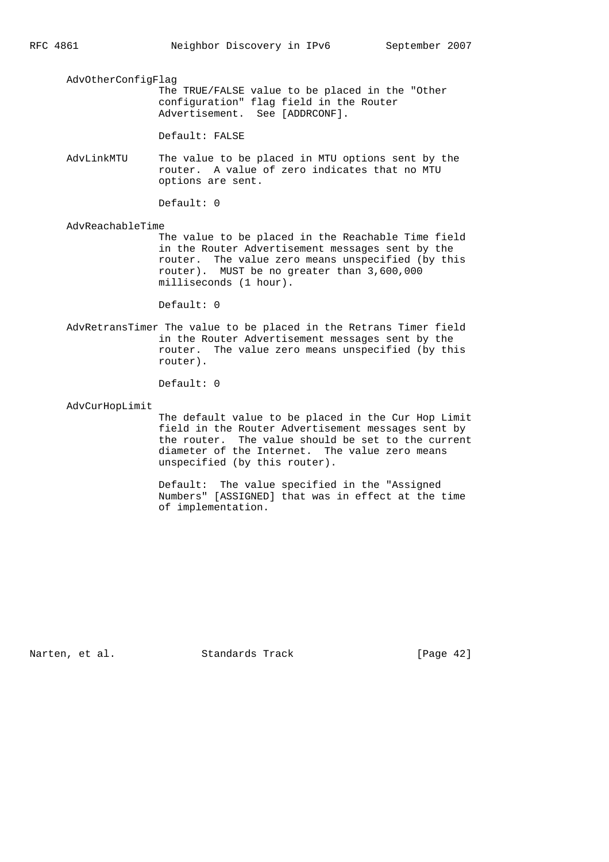AdvOtherConfigFlag The TRUE/FALSE value to be placed in the "Other configuration" flag field in the Router Advertisement. See [ADDRCONF].

Default: FALSE

 AdvLinkMTU The value to be placed in MTU options sent by the router. A value of zero indicates that no MTU options are sent.

Default: 0

#### AdvReachableTime

 The value to be placed in the Reachable Time field in the Router Advertisement messages sent by the router. The value zero means unspecified (by this router). MUST be no greater than 3,600,000 milliseconds (1 hour).

Default: 0

## AdvRetransTimer The value to be placed in the Retrans Timer field in the Router Advertisement messages sent by the router. The value zero means unspecified (by this router).

Default: 0

AdvCurHopLimit

 The default value to be placed in the Cur Hop Limit field in the Router Advertisement messages sent by the router. The value should be set to the current diameter of the Internet. The value zero means unspecified (by this router).

 Default: The value specified in the "Assigned Numbers" [ASSIGNED] that was in effect at the time of implementation.

Narten, et al. Standards Track [Page 42]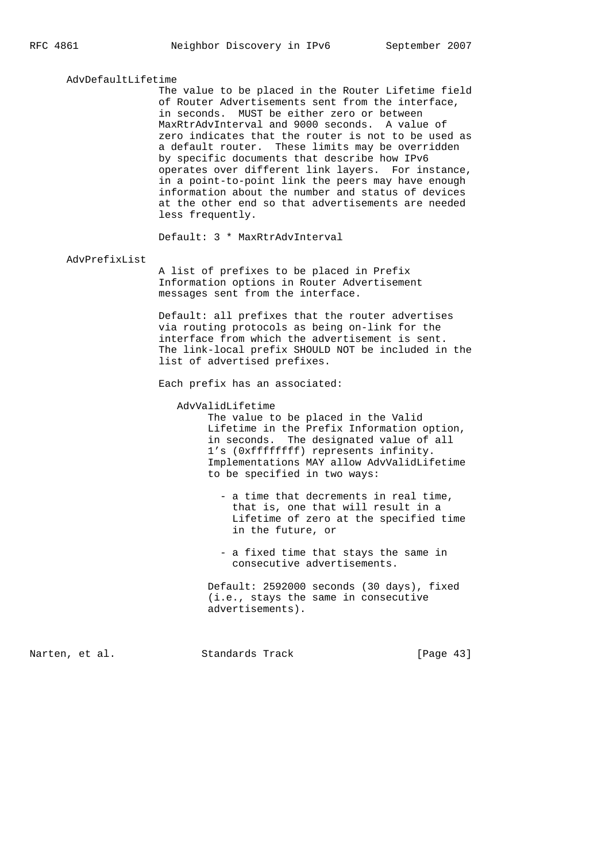#### AdvDefaultLifetime

 The value to be placed in the Router Lifetime field of Router Advertisements sent from the interface, in seconds. MUST be either zero or between MaxRtrAdvInterval and 9000 seconds. A value of zero indicates that the router is not to be used as a default router. These limits may be overridden by specific documents that describe how IPv6 operates over different link layers. For instance, in a point-to-point link the peers may have enough information about the number and status of devices at the other end so that advertisements are needed less frequently.

Default: 3 \* MaxRtrAdvInterval

#### AdvPrefixList

 A list of prefixes to be placed in Prefix Information options in Router Advertisement messages sent from the interface.

 Default: all prefixes that the router advertises via routing protocols as being on-link for the interface from which the advertisement is sent. The link-local prefix SHOULD NOT be included in the list of advertised prefixes.

Each prefix has an associated:

#### AdvValidLifetime

 The value to be placed in the Valid Lifetime in the Prefix Information option, in seconds. The designated value of all 1's (0xffffffff) represents infinity. Implementations MAY allow AdvValidLifetime to be specified in two ways:

- a time that decrements in real time, that is, one that will result in a Lifetime of zero at the specified time in the future, or
- a fixed time that stays the same in consecutive advertisements.

 Default: 2592000 seconds (30 days), fixed (i.e., stays the same in consecutive advertisements).

Narten, et al. Standards Track [Page 43]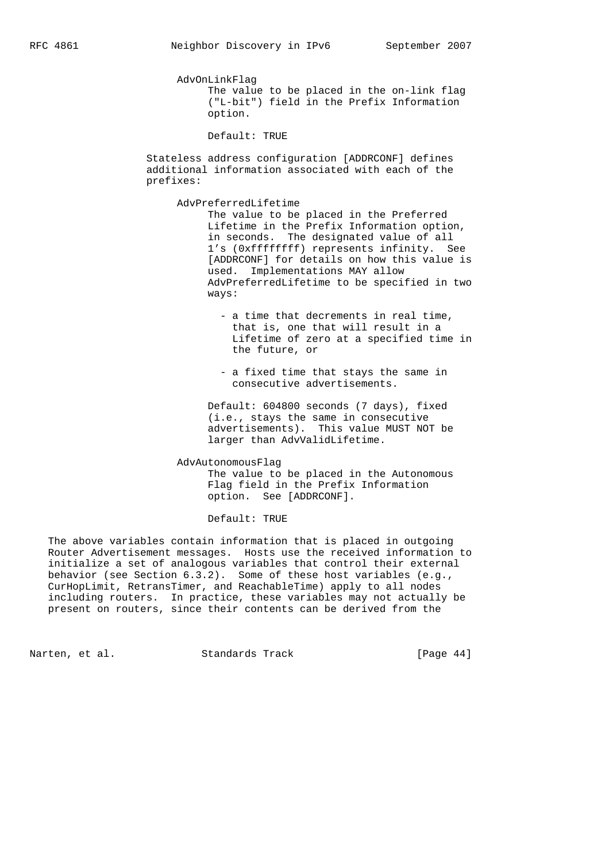AdvOnLinkFlag The value to be placed in the on-link flag ("L-bit") field in the Prefix Information option.

Default: TRUE

 Stateless address configuration [ADDRCONF] defines additional information associated with each of the prefixes:

AdvPreferredLifetime

 The value to be placed in the Preferred Lifetime in the Prefix Information option, in seconds. The designated value of all 1's (0xffffffff) represents infinity. See [ADDRCONF] for details on how this value is used. Implementations MAY allow AdvPreferredLifetime to be specified in two ways:

- a time that decrements in real time, that is, one that will result in a Lifetime of zero at a specified time in the future, or
- a fixed time that stays the same in consecutive advertisements.

 Default: 604800 seconds (7 days), fixed (i.e., stays the same in consecutive advertisements). This value MUST NOT be larger than AdvValidLifetime.

AdvAutonomousFlag

 The value to be placed in the Autonomous Flag field in the Prefix Information option. See [ADDRCONF].

Default: TRUE

 The above variables contain information that is placed in outgoing Router Advertisement messages. Hosts use the received information to initialize a set of analogous variables that control their external behavior (see Section 6.3.2). Some of these host variables (e.g., CurHopLimit, RetransTimer, and ReachableTime) apply to all nodes including routers. In practice, these variables may not actually be present on routers, since their contents can be derived from the

Narten, et al. Standards Track [Page 44]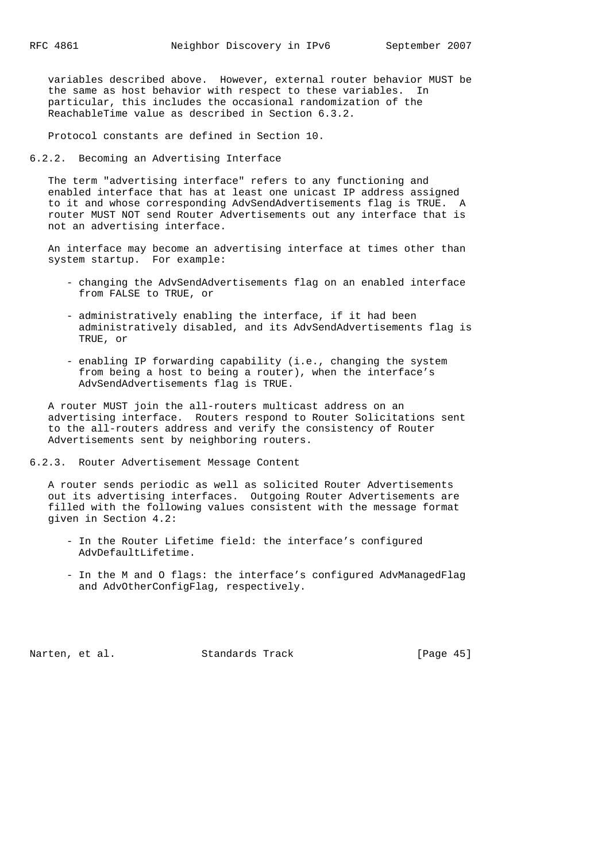variables described above. However, external router behavior MUST be the same as host behavior with respect to these variables. In particular, this includes the occasional randomization of the ReachableTime value as described in Section 6.3.2.

Protocol constants are defined in Section 10.

6.2.2. Becoming an Advertising Interface

 The term "advertising interface" refers to any functioning and enabled interface that has at least one unicast IP address assigned to it and whose corresponding AdvSendAdvertisements flag is TRUE. A router MUST NOT send Router Advertisements out any interface that is not an advertising interface.

 An interface may become an advertising interface at times other than system startup. For example:

- changing the AdvSendAdvertisements flag on an enabled interface from FALSE to TRUE, or
- administratively enabling the interface, if it had been administratively disabled, and its AdvSendAdvertisements flag is TRUE, or
- enabling IP forwarding capability (i.e., changing the system from being a host to being a router), when the interface's AdvSendAdvertisements flag is TRUE.

 A router MUST join the all-routers multicast address on an advertising interface. Routers respond to Router Solicitations sent to the all-routers address and verify the consistency of Router Advertisements sent by neighboring routers.

6.2.3. Router Advertisement Message Content

 A router sends periodic as well as solicited Router Advertisements out its advertising interfaces. Outgoing Router Advertisements are filled with the following values consistent with the message format given in Section 4.2:

- In the Router Lifetime field: the interface's configured AdvDefaultLifetime.
- In the M and O flags: the interface's configured AdvManagedFlag and AdvOtherConfigFlag, respectively.

Narten, et al. Standards Track [Page 45]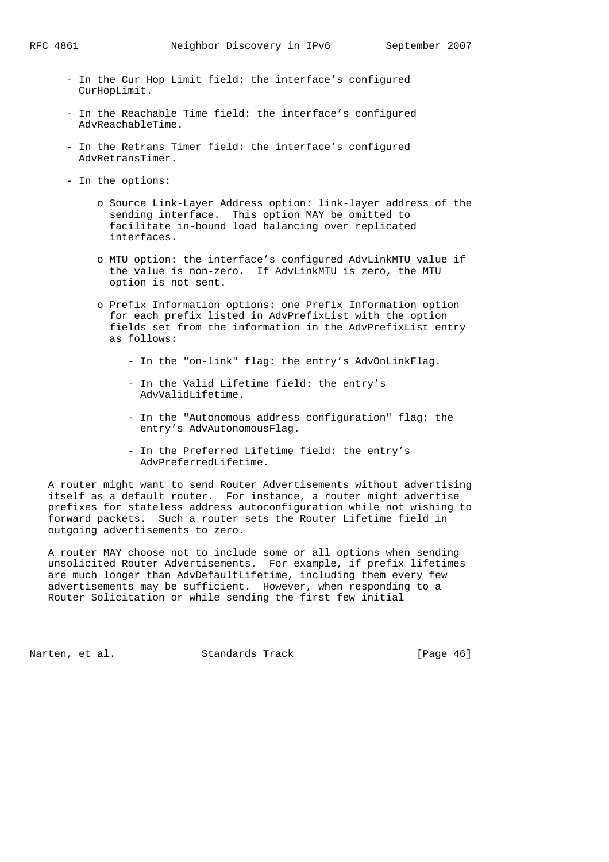- In the Cur Hop Limit field: the interface's configured CurHopLimit.
- In the Reachable Time field: the interface's configured AdvReachableTime.
- In the Retrans Timer field: the interface's configured AdvRetransTimer.
- In the options:
	- o Source Link-Layer Address option: link-layer address of the sending interface. This option MAY be omitted to facilitate in-bound load balancing over replicated interfaces.
	- o MTU option: the interface's configured AdvLinkMTU value if the value is non-zero. If AdvLinkMTU is zero, the MTU option is not sent.
	- o Prefix Information options: one Prefix Information option for each prefix listed in AdvPrefixList with the option fields set from the information in the AdvPrefixList entry as follows:
		- In the "on-link" flag: the entry's AdvOnLinkFlag.
		- In the Valid Lifetime field: the entry's AdvValidLifetime.
		- In the "Autonomous address configuration" flag: the entry's AdvAutonomousFlag.
		- In the Preferred Lifetime field: the entry's AdvPreferredLifetime.

 A router might want to send Router Advertisements without advertising itself as a default router. For instance, a router might advertise prefixes for stateless address autoconfiguration while not wishing to forward packets. Such a router sets the Router Lifetime field in outgoing advertisements to zero.

 A router MAY choose not to include some or all options when sending unsolicited Router Advertisements. For example, if prefix lifetimes are much longer than AdvDefaultLifetime, including them every few advertisements may be sufficient. However, when responding to a Router Solicitation or while sending the first few initial

Narten, et al. Standards Track [Page 46]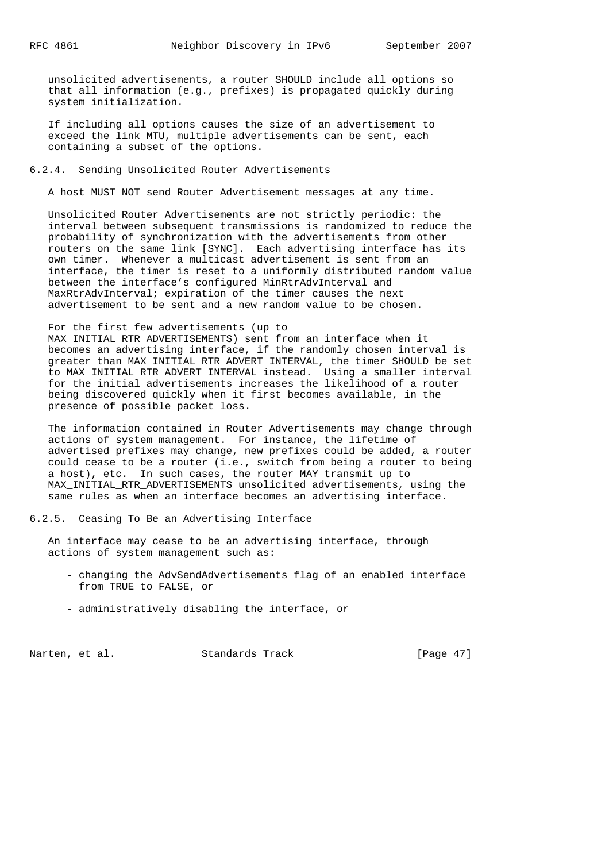unsolicited advertisements, a router SHOULD include all options so that all information (e.g., prefixes) is propagated quickly during system initialization.

 If including all options causes the size of an advertisement to exceed the link MTU, multiple advertisements can be sent, each containing a subset of the options.

### 6.2.4. Sending Unsolicited Router Advertisements

A host MUST NOT send Router Advertisement messages at any time.

 Unsolicited Router Advertisements are not strictly periodic: the interval between subsequent transmissions is randomized to reduce the probability of synchronization with the advertisements from other routers on the same link [SYNC]. Each advertising interface has its own timer. Whenever a multicast advertisement is sent from an interface, the timer is reset to a uniformly distributed random value between the interface's configured MinRtrAdvInterval and MaxRtrAdvInterval; expiration of the timer causes the next advertisement to be sent and a new random value to be chosen.

 For the first few advertisements (up to MAX INITIAL RTR ADVERTISEMENTS) sent from an interface when it becomes an advertising interface, if the randomly chosen interval is greater than MAX\_INITIAL\_RTR\_ADVERT\_INTERVAL, the timer SHOULD be set to MAX\_INITIAL\_RTR\_ADVERT\_INTERVAL instead. Using a smaller interval for the initial advertisements increases the likelihood of a router being discovered quickly when it first becomes available, in the presence of possible packet loss.

 The information contained in Router Advertisements may change through actions of system management. For instance, the lifetime of advertised prefixes may change, new prefixes could be added, a router could cease to be a router (i.e., switch from being a router to being a host), etc. In such cases, the router MAY transmit up to MAX\_INITIAL\_RTR\_ADVERTISEMENTS unsolicited advertisements, using the same rules as when an interface becomes an advertising interface.

6.2.5. Ceasing To Be an Advertising Interface

 An interface may cease to be an advertising interface, through actions of system management such as:

- changing the AdvSendAdvertisements flag of an enabled interface from TRUE to FALSE, or
- administratively disabling the interface, or

Narten, et al. Standards Track [Page 47]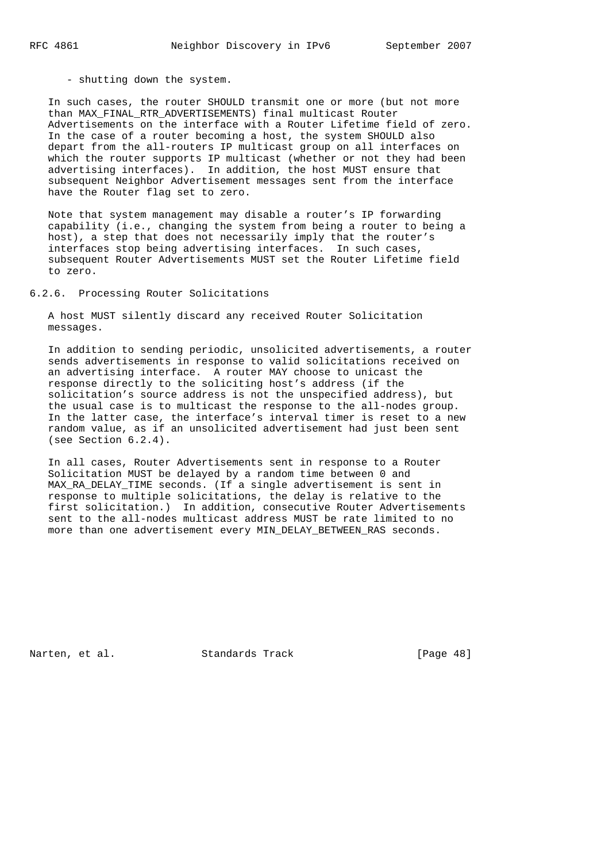- shutting down the system.

 In such cases, the router SHOULD transmit one or more (but not more than MAX\_FINAL\_RTR\_ADVERTISEMENTS) final multicast Router Advertisements on the interface with a Router Lifetime field of zero. In the case of a router becoming a host, the system SHOULD also depart from the all-routers IP multicast group on all interfaces on which the router supports IP multicast (whether or not they had been advertising interfaces). In addition, the host MUST ensure that subsequent Neighbor Advertisement messages sent from the interface have the Router flag set to zero.

 Note that system management may disable a router's IP forwarding capability (i.e., changing the system from being a router to being a host), a step that does not necessarily imply that the router's interfaces stop being advertising interfaces. In such cases, subsequent Router Advertisements MUST set the Router Lifetime field to zero.

6.2.6. Processing Router Solicitations

 A host MUST silently discard any received Router Solicitation messages.

 In addition to sending periodic, unsolicited advertisements, a router sends advertisements in response to valid solicitations received on an advertising interface. A router MAY choose to unicast the response directly to the soliciting host's address (if the solicitation's source address is not the unspecified address), but the usual case is to multicast the response to the all-nodes group. In the latter case, the interface's interval timer is reset to a new random value, as if an unsolicited advertisement had just been sent (see Section 6.2.4).

 In all cases, Router Advertisements sent in response to a Router Solicitation MUST be delayed by a random time between 0 and MAX\_RA\_DELAY\_TIME seconds. (If a single advertisement is sent in response to multiple solicitations, the delay is relative to the first solicitation.) In addition, consecutive Router Advertisements sent to the all-nodes multicast address MUST be rate limited to no more than one advertisement every MIN\_DELAY\_BETWEEN\_RAS seconds.

Narten, et al. Standards Track [Page 48]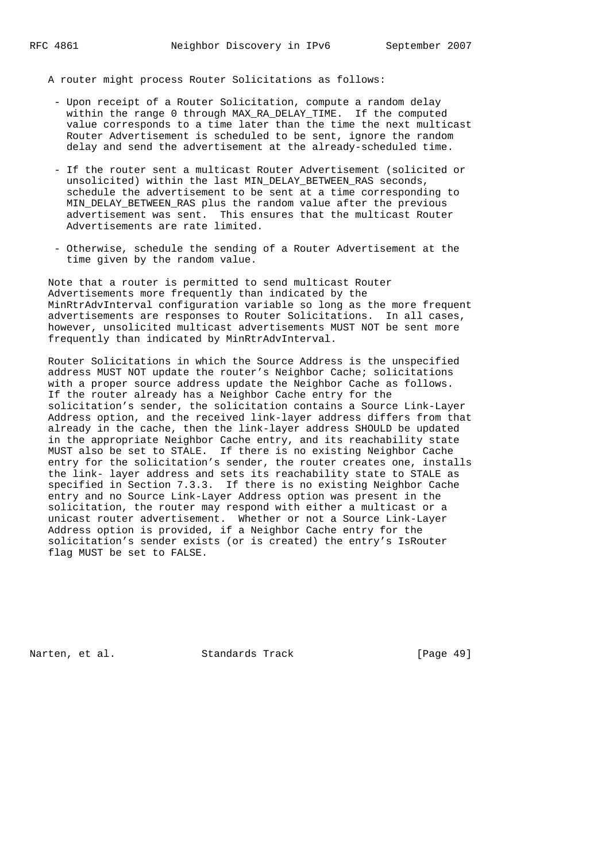A router might process Router Solicitations as follows:

- Upon receipt of a Router Solicitation, compute a random delay within the range 0 through MAX\_RA\_DELAY\_TIME. If the computed value corresponds to a time later than the time the next multicast Router Advertisement is scheduled to be sent, ignore the random delay and send the advertisement at the already-scheduled time.
- If the router sent a multicast Router Advertisement (solicited or unsolicited) within the last MIN DELAY BETWEEN RAS seconds, schedule the advertisement to be sent at a time corresponding to MIN DELAY BETWEEN RAS plus the random value after the previous advertisement was sent. This ensures that the multicast Router Advertisements are rate limited.
- Otherwise, schedule the sending of a Router Advertisement at the time given by the random value.

 Note that a router is permitted to send multicast Router Advertisements more frequently than indicated by the MinRtrAdvInterval configuration variable so long as the more frequent advertisements are responses to Router Solicitations. In all cases, however, unsolicited multicast advertisements MUST NOT be sent more frequently than indicated by MinRtrAdvInterval.

 Router Solicitations in which the Source Address is the unspecified address MUST NOT update the router's Neighbor Cache; solicitations with a proper source address update the Neighbor Cache as follows. If the router already has a Neighbor Cache entry for the solicitation's sender, the solicitation contains a Source Link-Layer Address option, and the received link-layer address differs from that already in the cache, then the link-layer address SHOULD be updated in the appropriate Neighbor Cache entry, and its reachability state MUST also be set to STALE. If there is no existing Neighbor Cache entry for the solicitation's sender, the router creates one, installs the link- layer address and sets its reachability state to STALE as specified in Section 7.3.3. If there is no existing Neighbor Cache entry and no Source Link-Layer Address option was present in the solicitation, the router may respond with either a multicast or a unicast router advertisement. Whether or not a Source Link-Layer Address option is provided, if a Neighbor Cache entry for the solicitation's sender exists (or is created) the entry's IsRouter flag MUST be set to FALSE.

Narten, et al. Standards Track [Page 49]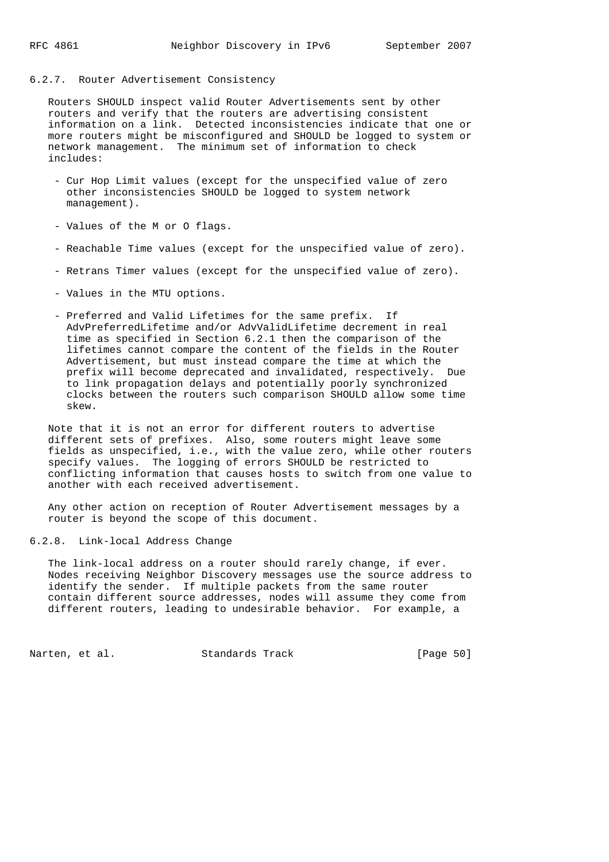#### 6.2.7. Router Advertisement Consistency

 Routers SHOULD inspect valid Router Advertisements sent by other routers and verify that the routers are advertising consistent information on a link. Detected inconsistencies indicate that one or more routers might be misconfigured and SHOULD be logged to system or network management. The minimum set of information to check includes:

- Cur Hop Limit values (except for the unspecified value of zero other inconsistencies SHOULD be logged to system network management).
- Values of the M or O flags.
- Reachable Time values (except for the unspecified value of zero).
- Retrans Timer values (except for the unspecified value of zero).
- Values in the MTU options.
- Preferred and Valid Lifetimes for the same prefix. If AdvPreferredLifetime and/or AdvValidLifetime decrement in real time as specified in Section 6.2.1 then the comparison of the lifetimes cannot compare the content of the fields in the Router Advertisement, but must instead compare the time at which the prefix will become deprecated and invalidated, respectively. Due to link propagation delays and potentially poorly synchronized clocks between the routers such comparison SHOULD allow some time skew.

 Note that it is not an error for different routers to advertise different sets of prefixes. Also, some routers might leave some fields as unspecified, i.e., with the value zero, while other routers specify values. The logging of errors SHOULD be restricted to conflicting information that causes hosts to switch from one value to another with each received advertisement.

 Any other action on reception of Router Advertisement messages by a router is beyond the scope of this document.

6.2.8. Link-local Address Change

 The link-local address on a router should rarely change, if ever. Nodes receiving Neighbor Discovery messages use the source address to identify the sender. If multiple packets from the same router contain different source addresses, nodes will assume they come from different routers, leading to undesirable behavior. For example, a

Narten, et al. Standards Track [Page 50]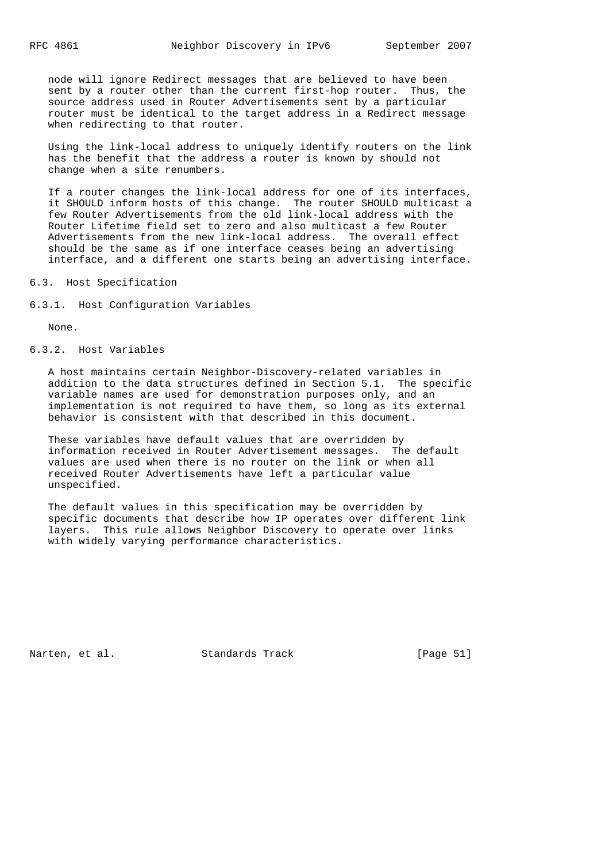node will ignore Redirect messages that are believed to have been sent by a router other than the current first-hop router. Thus, the source address used in Router Advertisements sent by a particular router must be identical to the target address in a Redirect message when redirecting to that router.

 Using the link-local address to uniquely identify routers on the link has the benefit that the address a router is known by should not change when a site renumbers.

 If a router changes the link-local address for one of its interfaces, it SHOULD inform hosts of this change. The router SHOULD multicast a few Router Advertisements from the old link-local address with the Router Lifetime field set to zero and also multicast a few Router Advertisements from the new link-local address. The overall effect should be the same as if one interface ceases being an advertising interface, and a different one starts being an advertising interface.

6.3. Host Specification

6.3.1. Host Configuration Variables

None.

6.3.2. Host Variables

 A host maintains certain Neighbor-Discovery-related variables in addition to the data structures defined in Section 5.1. The specific variable names are used for demonstration purposes only, and an implementation is not required to have them, so long as its external behavior is consistent with that described in this document.

 These variables have default values that are overridden by information received in Router Advertisement messages. The default values are used when there is no router on the link or when all received Router Advertisements have left a particular value unspecified.

 The default values in this specification may be overridden by specific documents that describe how IP operates over different link layers. This rule allows Neighbor Discovery to operate over links with widely varying performance characteristics.

Narten, et al. Standards Track [Page 51]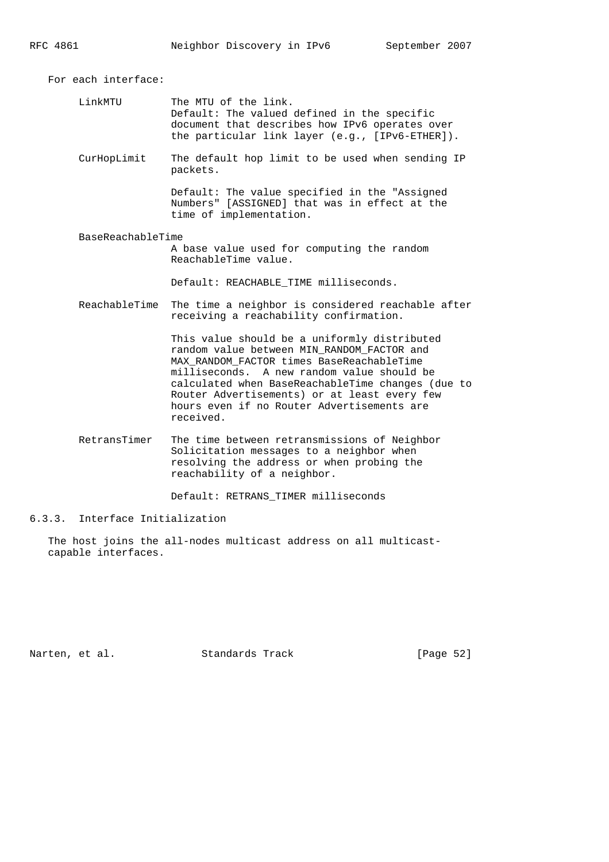For each interface:

- LinkMTU The MTU of the link. Default: The valued defined in the specific document that describes how IPv6 operates over the particular link layer (e.g., [IPv6-ETHER]).
- CurHopLimit The default hop limit to be used when sending IP packets.

 Default: The value specified in the "Assigned Numbers" [ASSIGNED] that was in effect at the time of implementation.

BaseReachableTime

 A base value used for computing the random ReachableTime value.

Default: REACHABLE\_TIME milliseconds.

 ReachableTime The time a neighbor is considered reachable after receiving a reachability confirmation.

> This value should be a uniformly distributed random value between MIN\_RANDOM\_FACTOR and MAX\_RANDOM\_FACTOR times BaseReachableTime milliseconds. A new random value should be calculated when BaseReachableTime changes (due to Router Advertisements) or at least every few hours even if no Router Advertisements are received.

 RetransTimer The time between retransmissions of Neighbor Solicitation messages to a neighbor when resolving the address or when probing the reachability of a neighbor.

Default: RETRANS\_TIMER milliseconds

### 6.3.3. Interface Initialization

 The host joins the all-nodes multicast address on all multicast capable interfaces.

Narten, et al. Standards Track [Page 52]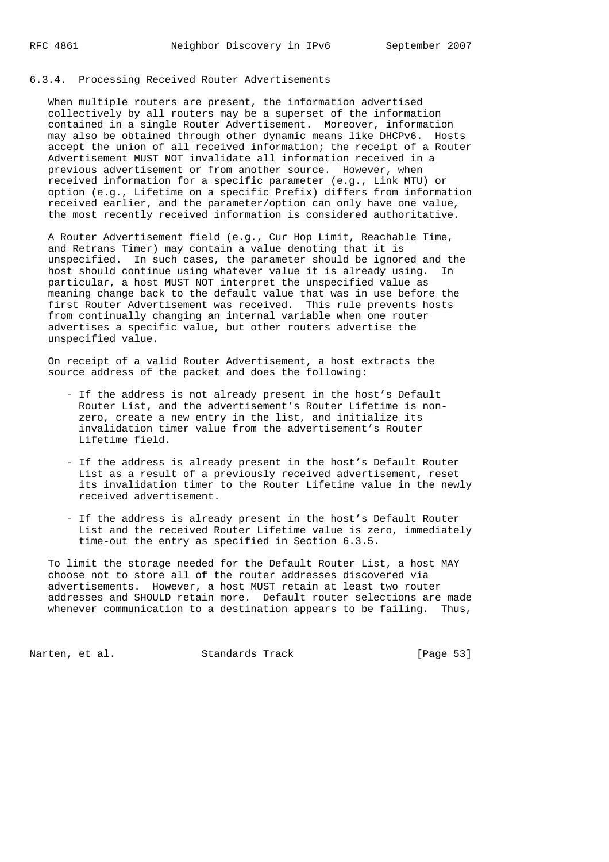#### 6.3.4. Processing Received Router Advertisements

 When multiple routers are present, the information advertised collectively by all routers may be a superset of the information contained in a single Router Advertisement. Moreover, information may also be obtained through other dynamic means like DHCPv6. Hosts accept the union of all received information; the receipt of a Router Advertisement MUST NOT invalidate all information received in a previous advertisement or from another source. However, when received information for a specific parameter (e.g., Link MTU) or option (e.g., Lifetime on a specific Prefix) differs from information received earlier, and the parameter/option can only have one value, the most recently received information is considered authoritative.

 A Router Advertisement field (e.g., Cur Hop Limit, Reachable Time, and Retrans Timer) may contain a value denoting that it is unspecified. In such cases, the parameter should be ignored and the host should continue using whatever value it is already using. In particular, a host MUST NOT interpret the unspecified value as meaning change back to the default value that was in use before the first Router Advertisement was received. This rule prevents hosts from continually changing an internal variable when one router advertises a specific value, but other routers advertise the unspecified value.

 On receipt of a valid Router Advertisement, a host extracts the source address of the packet and does the following:

- If the address is not already present in the host's Default Router List, and the advertisement's Router Lifetime is non zero, create a new entry in the list, and initialize its invalidation timer value from the advertisement's Router Lifetime field.
- If the address is already present in the host's Default Router List as a result of a previously received advertisement, reset its invalidation timer to the Router Lifetime value in the newly received advertisement.
- If the address is already present in the host's Default Router List and the received Router Lifetime value is zero, immediately time-out the entry as specified in Section 6.3.5.

 To limit the storage needed for the Default Router List, a host MAY choose not to store all of the router addresses discovered via advertisements. However, a host MUST retain at least two router addresses and SHOULD retain more. Default router selections are made whenever communication to a destination appears to be failing. Thus,

Narten, et al. Standards Track [Page 53]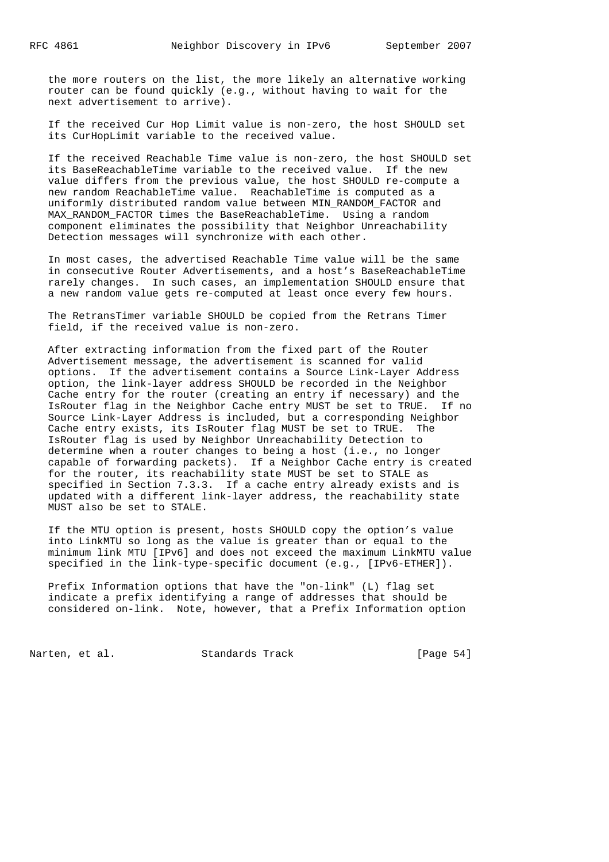the more routers on the list, the more likely an alternative working router can be found quickly (e.g., without having to wait for the next advertisement to arrive).

 If the received Cur Hop Limit value is non-zero, the host SHOULD set its CurHopLimit variable to the received value.

 If the received Reachable Time value is non-zero, the host SHOULD set its BaseReachableTime variable to the received value. If the new value differs from the previous value, the host SHOULD re-compute a new random ReachableTime value. ReachableTime is computed as a uniformly distributed random value between MIN RANDOM FACTOR and MAX\_RANDOM\_FACTOR times the BaseReachableTime. Using a random component eliminates the possibility that Neighbor Unreachability Detection messages will synchronize with each other.

 In most cases, the advertised Reachable Time value will be the same in consecutive Router Advertisements, and a host's BaseReachableTime rarely changes. In such cases, an implementation SHOULD ensure that a new random value gets re-computed at least once every few hours.

 The RetransTimer variable SHOULD be copied from the Retrans Timer field, if the received value is non-zero.

 After extracting information from the fixed part of the Router Advertisement message, the advertisement is scanned for valid options. If the advertisement contains a Source Link-Layer Address option, the link-layer address SHOULD be recorded in the Neighbor Cache entry for the router (creating an entry if necessary) and the IsRouter flag in the Neighbor Cache entry MUST be set to TRUE. If no Source Link-Layer Address is included, but a corresponding Neighbor Cache entry exists, its IsRouter flag MUST be set to TRUE. The IsRouter flag is used by Neighbor Unreachability Detection to determine when a router changes to being a host (i.e., no longer capable of forwarding packets). If a Neighbor Cache entry is created for the router, its reachability state MUST be set to STALE as specified in Section 7.3.3. If a cache entry already exists and is updated with a different link-layer address, the reachability state MUST also be set to STALE.

 If the MTU option is present, hosts SHOULD copy the option's value into LinkMTU so long as the value is greater than or equal to the minimum link MTU [IPv6] and does not exceed the maximum LinkMTU value specified in the link-type-specific document (e.g., [IPv6-ETHER]).

 Prefix Information options that have the "on-link" (L) flag set indicate a prefix identifying a range of addresses that should be considered on-link. Note, however, that a Prefix Information option

Narten, et al. Standards Track [Page 54]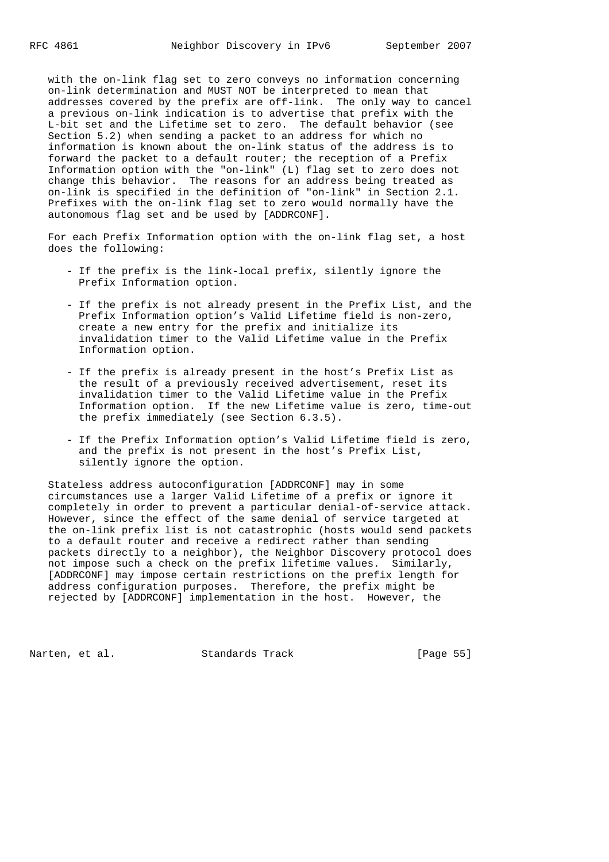with the on-link flag set to zero conveys no information concerning on-link determination and MUST NOT be interpreted to mean that addresses covered by the prefix are off-link. The only way to cancel a previous on-link indication is to advertise that prefix with the L-bit set and the Lifetime set to zero. The default behavior (see Section 5.2) when sending a packet to an address for which no information is known about the on-link status of the address is to forward the packet to a default router; the reception of a Prefix Information option with the "on-link" (L) flag set to zero does not change this behavior. The reasons for an address being treated as on-link is specified in the definition of "on-link" in Section 2.1. Prefixes with the on-link flag set to zero would normally have the autonomous flag set and be used by [ADDRCONF].

 For each Prefix Information option with the on-link flag set, a host does the following:

- If the prefix is the link-local prefix, silently ignore the Prefix Information option.
- If the prefix is not already present in the Prefix List, and the Prefix Information option's Valid Lifetime field is non-zero, create a new entry for the prefix and initialize its invalidation timer to the Valid Lifetime value in the Prefix Information option.
- If the prefix is already present in the host's Prefix List as the result of a previously received advertisement, reset its invalidation timer to the Valid Lifetime value in the Prefix Information option. If the new Lifetime value is zero, time-out the prefix immediately (see Section 6.3.5).
- If the Prefix Information option's Valid Lifetime field is zero, and the prefix is not present in the host's Prefix List, silently ignore the option.

 Stateless address autoconfiguration [ADDRCONF] may in some circumstances use a larger Valid Lifetime of a prefix or ignore it completely in order to prevent a particular denial-of-service attack. However, since the effect of the same denial of service targeted at the on-link prefix list is not catastrophic (hosts would send packets to a default router and receive a redirect rather than sending packets directly to a neighbor), the Neighbor Discovery protocol does not impose such a check on the prefix lifetime values. Similarly, [ADDRCONF] may impose certain restrictions on the prefix length for address configuration purposes. Therefore, the prefix might be rejected by [ADDRCONF] implementation in the host. However, the

Narten, et al. Standards Track [Page 55]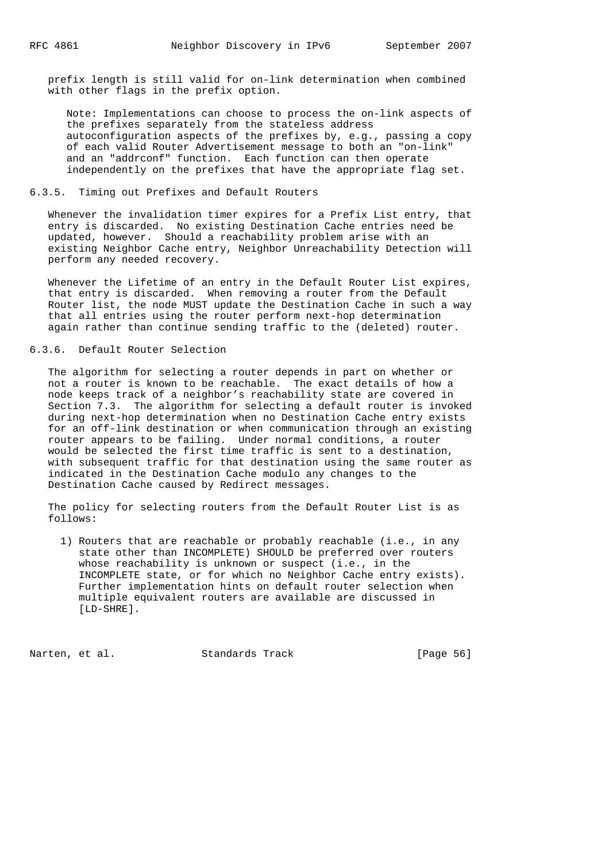prefix length is still valid for on-link determination when combined with other flags in the prefix option.

 Note: Implementations can choose to process the on-link aspects of the prefixes separately from the stateless address autoconfiguration aspects of the prefixes by, e.g., passing a copy of each valid Router Advertisement message to both an "on-link" and an "addrconf" function. Each function can then operate independently on the prefixes that have the appropriate flag set.

### 6.3.5. Timing out Prefixes and Default Routers

 Whenever the invalidation timer expires for a Prefix List entry, that entry is discarded. No existing Destination Cache entries need be updated, however. Should a reachability problem arise with an existing Neighbor Cache entry, Neighbor Unreachability Detection will perform any needed recovery.

 Whenever the Lifetime of an entry in the Default Router List expires, that entry is discarded. When removing a router from the Default Router list, the node MUST update the Destination Cache in such a way that all entries using the router perform next-hop determination again rather than continue sending traffic to the (deleted) router.

### 6.3.6. Default Router Selection

 The algorithm for selecting a router depends in part on whether or not a router is known to be reachable. The exact details of how a node keeps track of a neighbor's reachability state are covered in Section 7.3. The algorithm for selecting a default router is invoked during next-hop determination when no Destination Cache entry exists for an off-link destination or when communication through an existing router appears to be failing. Under normal conditions, a router would be selected the first time traffic is sent to a destination, with subsequent traffic for that destination using the same router as indicated in the Destination Cache modulo any changes to the Destination Cache caused by Redirect messages.

 The policy for selecting routers from the Default Router List is as follows:

 1) Routers that are reachable or probably reachable (i.e., in any state other than INCOMPLETE) SHOULD be preferred over routers whose reachability is unknown or suspect (i.e., in the INCOMPLETE state, or for which no Neighbor Cache entry exists). Further implementation hints on default router selection when multiple equivalent routers are available are discussed in [LD-SHRE].

Narten, et al. Standards Track [Page 56]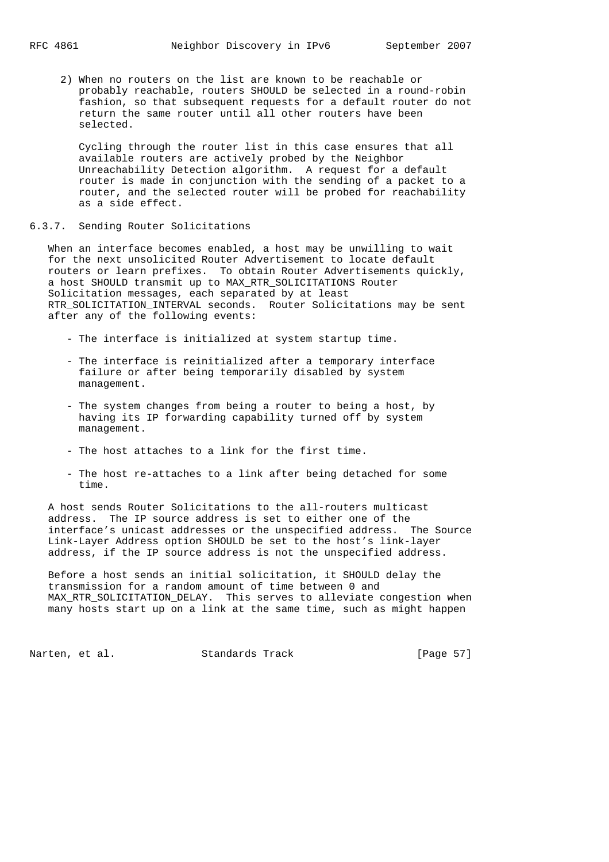2) When no routers on the list are known to be reachable or probably reachable, routers SHOULD be selected in a round-robin fashion, so that subsequent requests for a default router do not return the same router until all other routers have been selected.

 Cycling through the router list in this case ensures that all available routers are actively probed by the Neighbor Unreachability Detection algorithm. A request for a default router is made in conjunction with the sending of a packet to a router, and the selected router will be probed for reachability as a side effect.

### 6.3.7. Sending Router Solicitations

 When an interface becomes enabled, a host may be unwilling to wait for the next unsolicited Router Advertisement to locate default routers or learn prefixes. To obtain Router Advertisements quickly, a host SHOULD transmit up to MAX\_RTR\_SOLICITATIONS Router Solicitation messages, each separated by at least RTR\_SOLICITATION\_INTERVAL seconds. Router Solicitations may be sent after any of the following events:

- The interface is initialized at system startup time.
- The interface is reinitialized after a temporary interface failure or after being temporarily disabled by system management.
- The system changes from being a router to being a host, by having its IP forwarding capability turned off by system management.
- The host attaches to a link for the first time.
- The host re-attaches to a link after being detached for some time.

 A host sends Router Solicitations to the all-routers multicast address. The IP source address is set to either one of the interface's unicast addresses or the unspecified address. The Source Link-Layer Address option SHOULD be set to the host's link-layer address, if the IP source address is not the unspecified address.

 Before a host sends an initial solicitation, it SHOULD delay the transmission for a random amount of time between 0 and MAX\_RTR\_SOLICITATION\_DELAY. This serves to alleviate congestion when many hosts start up on a link at the same time, such as might happen

Narten, et al. Standards Track [Page 57]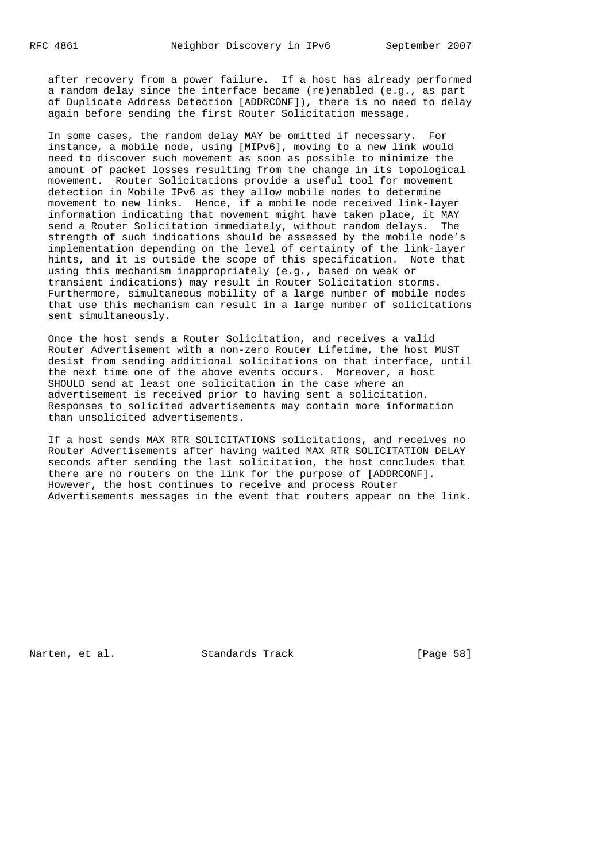after recovery from a power failure. If a host has already performed a random delay since the interface became (re)enabled (e.g., as part of Duplicate Address Detection [ADDRCONF]), there is no need to delay again before sending the first Router Solicitation message.

 In some cases, the random delay MAY be omitted if necessary. For instance, a mobile node, using [MIPv6], moving to a new link would need to discover such movement as soon as possible to minimize the amount of packet losses resulting from the change in its topological movement. Router Solicitations provide a useful tool for movement detection in Mobile IPv6 as they allow mobile nodes to determine movement to new links. Hence, if a mobile node received link-layer information indicating that movement might have taken place, it MAY send a Router Solicitation immediately, without random delays. The strength of such indications should be assessed by the mobile node's implementation depending on the level of certainty of the link-layer hints, and it is outside the scope of this specification. Note that using this mechanism inappropriately (e.g., based on weak or transient indications) may result in Router Solicitation storms. Furthermore, simultaneous mobility of a large number of mobile nodes that use this mechanism can result in a large number of solicitations sent simultaneously.

 Once the host sends a Router Solicitation, and receives a valid Router Advertisement with a non-zero Router Lifetime, the host MUST desist from sending additional solicitations on that interface, until the next time one of the above events occurs. Moreover, a host SHOULD send at least one solicitation in the case where an advertisement is received prior to having sent a solicitation. Responses to solicited advertisements may contain more information than unsolicited advertisements.

 If a host sends MAX\_RTR\_SOLICITATIONS solicitations, and receives no Router Advertisements after having waited MAX\_RTR\_SOLICITATION\_DELAY seconds after sending the last solicitation, the host concludes that there are no routers on the link for the purpose of [ADDRCONF]. However, the host continues to receive and process Router Advertisements messages in the event that routers appear on the link.

Narten, et al. Standards Track [Page 58]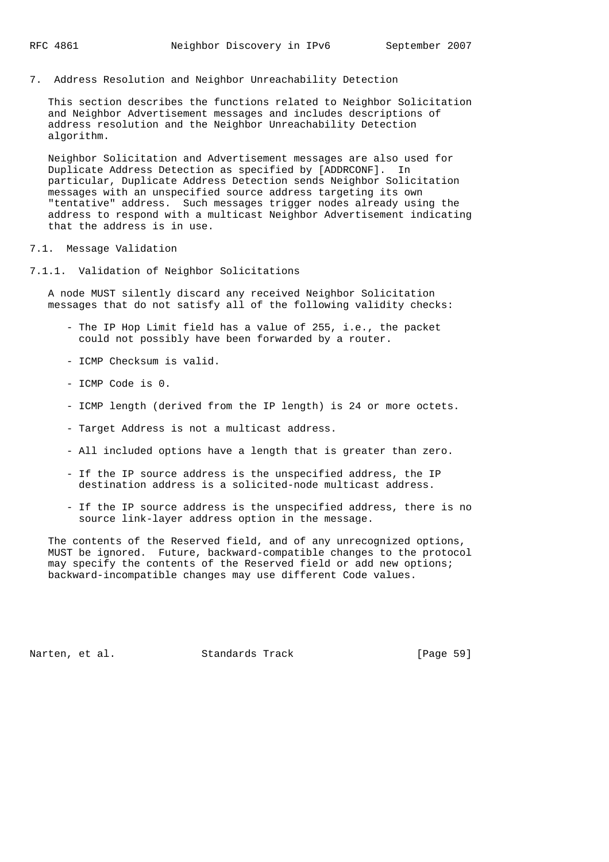7. Address Resolution and Neighbor Unreachability Detection

 This section describes the functions related to Neighbor Solicitation and Neighbor Advertisement messages and includes descriptions of address resolution and the Neighbor Unreachability Detection algorithm.

 Neighbor Solicitation and Advertisement messages are also used for Duplicate Address Detection as specified by [ADDRCONF]. In particular, Duplicate Address Detection sends Neighbor Solicitation messages with an unspecified source address targeting its own "tentative" address. Such messages trigger nodes already using the address to respond with a multicast Neighbor Advertisement indicating that the address is in use.

7.1. Message Validation

7.1.1. Validation of Neighbor Solicitations

 A node MUST silently discard any received Neighbor Solicitation messages that do not satisfy all of the following validity checks:

- The IP Hop Limit field has a value of 255, i.e., the packet could not possibly have been forwarded by a router.
- ICMP Checksum is valid.
- ICMP Code is 0.
- ICMP length (derived from the IP length) is 24 or more octets.
- Target Address is not a multicast address.
- All included options have a length that is greater than zero.
- If the IP source address is the unspecified address, the IP destination address is a solicited-node multicast address.
- If the IP source address is the unspecified address, there is no source link-layer address option in the message.

 The contents of the Reserved field, and of any unrecognized options, MUST be ignored. Future, backward-compatible changes to the protocol may specify the contents of the Reserved field or add new options; backward-incompatible changes may use different Code values.

Narten, et al. Standards Track [Page 59]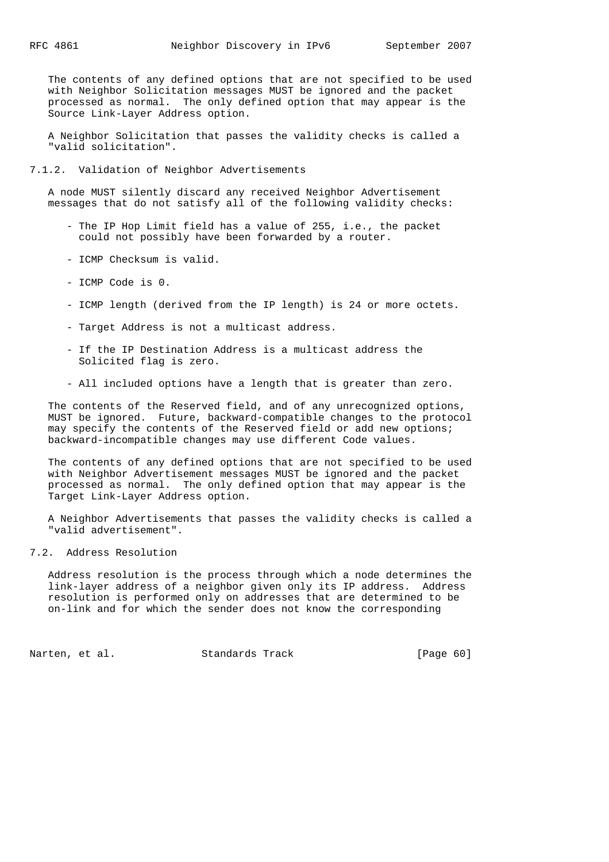The contents of any defined options that are not specified to be used with Neighbor Solicitation messages MUST be ignored and the packet processed as normal. The only defined option that may appear is the Source Link-Layer Address option.

 A Neighbor Solicitation that passes the validity checks is called a "valid solicitation".

7.1.2. Validation of Neighbor Advertisements

 A node MUST silently discard any received Neighbor Advertisement messages that do not satisfy all of the following validity checks:

- The IP Hop Limit field has a value of 255, i.e., the packet could not possibly have been forwarded by a router.
- ICMP Checksum is valid.
- ICMP Code is 0.
- ICMP length (derived from the IP length) is 24 or more octets.
- Target Address is not a multicast address.
- If the IP Destination Address is a multicast address the Solicited flag is zero.
- All included options have a length that is greater than zero.

 The contents of the Reserved field, and of any unrecognized options, MUST be ignored. Future, backward-compatible changes to the protocol may specify the contents of the Reserved field or add new options; backward-incompatible changes may use different Code values.

 The contents of any defined options that are not specified to be used with Neighbor Advertisement messages MUST be ignored and the packet processed as normal. The only defined option that may appear is the Target Link-Layer Address option.

 A Neighbor Advertisements that passes the validity checks is called a "valid advertisement".

#### 7.2. Address Resolution

 Address resolution is the process through which a node determines the link-layer address of a neighbor given only its IP address. Address resolution is performed only on addresses that are determined to be on-link and for which the sender does not know the corresponding

Narten, et al. Standards Track [Page 60]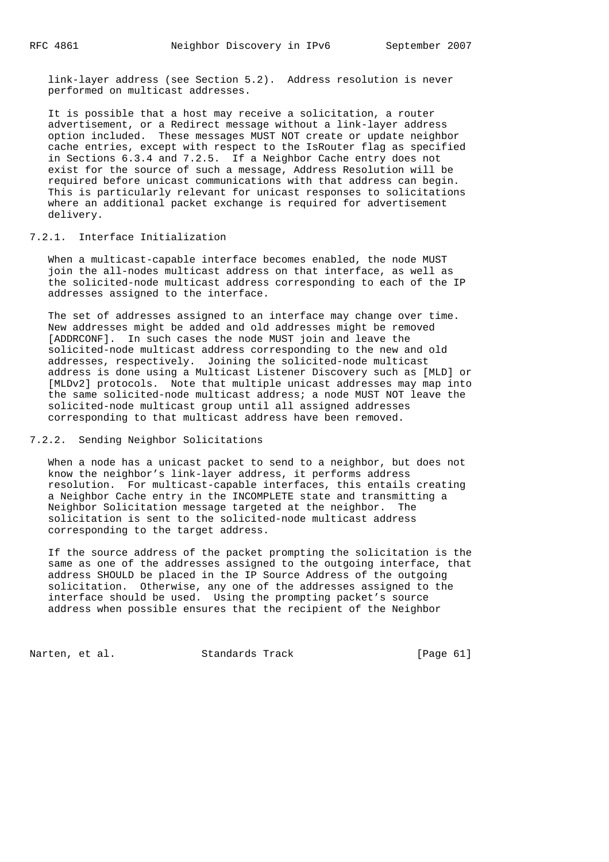link-layer address (see Section 5.2). Address resolution is never performed on multicast addresses.

 It is possible that a host may receive a solicitation, a router advertisement, or a Redirect message without a link-layer address option included. These messages MUST NOT create or update neighbor cache entries, except with respect to the IsRouter flag as specified in Sections 6.3.4 and 7.2.5. If a Neighbor Cache entry does not exist for the source of such a message, Address Resolution will be required before unicast communications with that address can begin. This is particularly relevant for unicast responses to solicitations where an additional packet exchange is required for advertisement delivery.

## 7.2.1. Interface Initialization

 When a multicast-capable interface becomes enabled, the node MUST join the all-nodes multicast address on that interface, as well as the solicited-node multicast address corresponding to each of the IP addresses assigned to the interface.

 The set of addresses assigned to an interface may change over time. New addresses might be added and old addresses might be removed [ADDRCONF]. In such cases the node MUST join and leave the solicited-node multicast address corresponding to the new and old addresses, respectively. Joining the solicited-node multicast address is done using a Multicast Listener Discovery such as [MLD] or [MLDv2] protocols. Note that multiple unicast addresses may map into the same solicited-node multicast address; a node MUST NOT leave the solicited-node multicast group until all assigned addresses corresponding to that multicast address have been removed.

### 7.2.2. Sending Neighbor Solicitations

 When a node has a unicast packet to send to a neighbor, but does not know the neighbor's link-layer address, it performs address resolution. For multicast-capable interfaces, this entails creating a Neighbor Cache entry in the INCOMPLETE state and transmitting a Neighbor Solicitation message targeted at the neighbor. The solicitation is sent to the solicited-node multicast address corresponding to the target address.

 If the source address of the packet prompting the solicitation is the same as one of the addresses assigned to the outgoing interface, that address SHOULD be placed in the IP Source Address of the outgoing solicitation. Otherwise, any one of the addresses assigned to the interface should be used. Using the prompting packet's source address when possible ensures that the recipient of the Neighbor

Narten, et al. Standards Track [Page 61]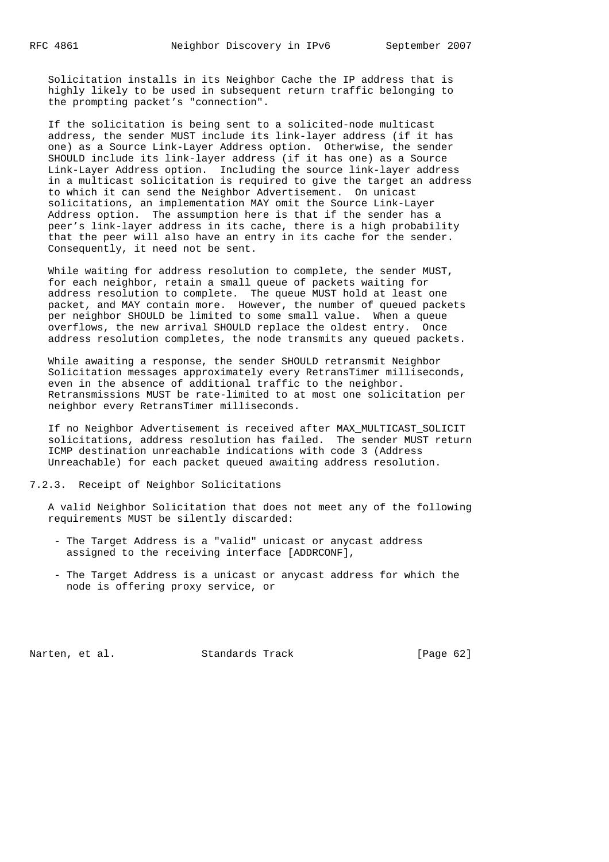Solicitation installs in its Neighbor Cache the IP address that is highly likely to be used in subsequent return traffic belonging to the prompting packet's "connection".

 If the solicitation is being sent to a solicited-node multicast address, the sender MUST include its link-layer address (if it has one) as a Source Link-Layer Address option. Otherwise, the sender SHOULD include its link-layer address (if it has one) as a Source Link-Layer Address option. Including the source link-layer address in a multicast solicitation is required to give the target an address to which it can send the Neighbor Advertisement. On unicast solicitations, an implementation MAY omit the Source Link-Layer Address option. The assumption here is that if the sender has a peer's link-layer address in its cache, there is a high probability that the peer will also have an entry in its cache for the sender. Consequently, it need not be sent.

 While waiting for address resolution to complete, the sender MUST, for each neighbor, retain a small queue of packets waiting for address resolution to complete. The queue MUST hold at least one packet, and MAY contain more. However, the number of queued packets per neighbor SHOULD be limited to some small value. When a queue overflows, the new arrival SHOULD replace the oldest entry. Once address resolution completes, the node transmits any queued packets.

 While awaiting a response, the sender SHOULD retransmit Neighbor Solicitation messages approximately every RetransTimer milliseconds, even in the absence of additional traffic to the neighbor. Retransmissions MUST be rate-limited to at most one solicitation per neighbor every RetransTimer milliseconds.

 If no Neighbor Advertisement is received after MAX\_MULTICAST\_SOLICIT solicitations, address resolution has failed. The sender MUST return ICMP destination unreachable indications with code 3 (Address Unreachable) for each packet queued awaiting address resolution.

7.2.3. Receipt of Neighbor Solicitations

 A valid Neighbor Solicitation that does not meet any of the following requirements MUST be silently discarded:

- The Target Address is a "valid" unicast or anycast address assigned to the receiving interface [ADDRCONF],
- The Target Address is a unicast or anycast address for which the node is offering proxy service, or

Narten, et al. Standards Track [Page 62]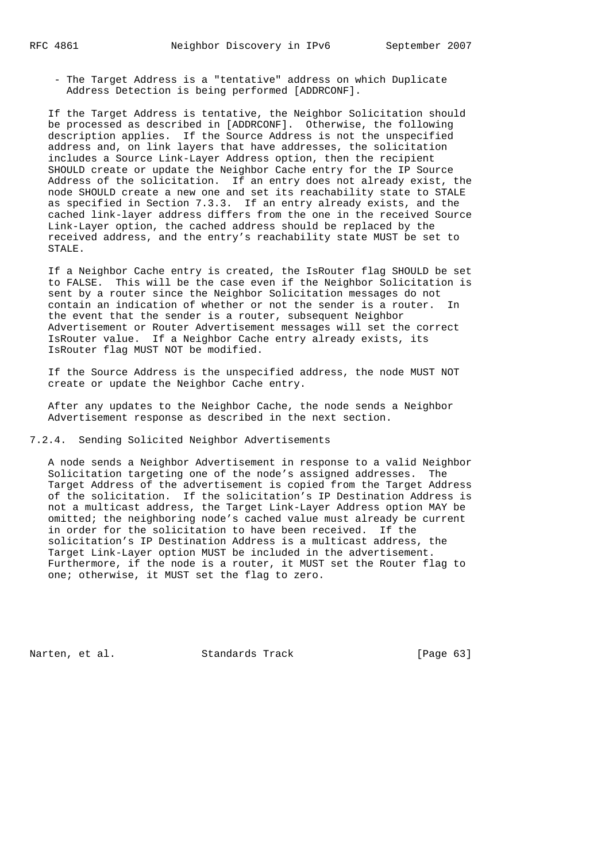- The Target Address is a "tentative" address on which Duplicate Address Detection is being performed [ADDRCONF].

 If the Target Address is tentative, the Neighbor Solicitation should be processed as described in [ADDRCONF]. Otherwise, the following description applies. If the Source Address is not the unspecified address and, on link layers that have addresses, the solicitation includes a Source Link-Layer Address option, then the recipient SHOULD create or update the Neighbor Cache entry for the IP Source Address of the solicitation. If an entry does not already exist, the node SHOULD create a new one and set its reachability state to STALE as specified in Section 7.3.3. If an entry already exists, and the cached link-layer address differs from the one in the received Source Link-Layer option, the cached address should be replaced by the received address, and the entry's reachability state MUST be set to STALE.

 If a Neighbor Cache entry is created, the IsRouter flag SHOULD be set to FALSE. This will be the case even if the Neighbor Solicitation is sent by a router since the Neighbor Solicitation messages do not contain an indication of whether or not the sender is a router. In the event that the sender is a router, subsequent Neighbor Advertisement or Router Advertisement messages will set the correct IsRouter value. If a Neighbor Cache entry already exists, its IsRouter flag MUST NOT be modified.

 If the Source Address is the unspecified address, the node MUST NOT create or update the Neighbor Cache entry.

 After any updates to the Neighbor Cache, the node sends a Neighbor Advertisement response as described in the next section.

7.2.4. Sending Solicited Neighbor Advertisements

 A node sends a Neighbor Advertisement in response to a valid Neighbor Solicitation targeting one of the node's assigned addresses. The Target Address of the advertisement is copied from the Target Address of the solicitation. If the solicitation's IP Destination Address is not a multicast address, the Target Link-Layer Address option MAY be omitted; the neighboring node's cached value must already be current in order for the solicitation to have been received. If the solicitation's IP Destination Address is a multicast address, the Target Link-Layer option MUST be included in the advertisement. Furthermore, if the node is a router, it MUST set the Router flag to one; otherwise, it MUST set the flag to zero.

Narten, et al. Standards Track [Page 63]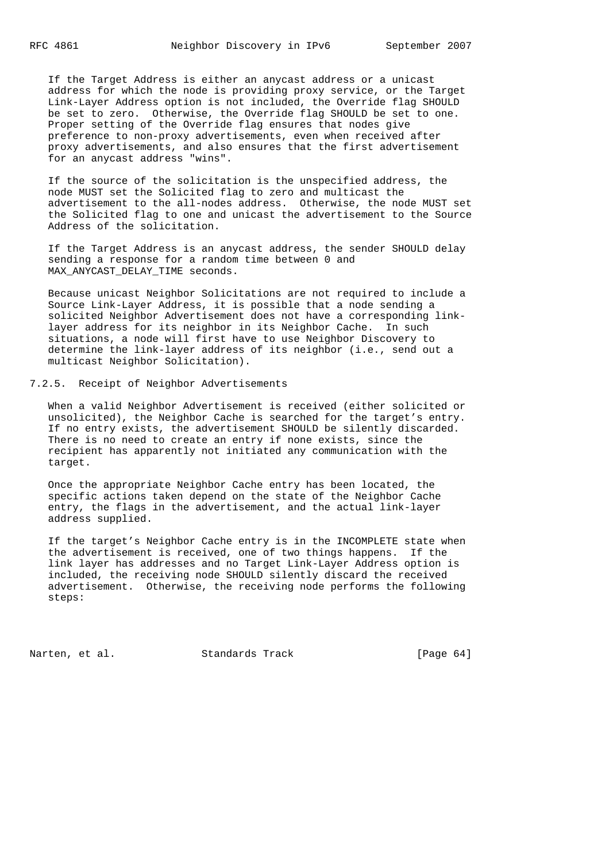If the Target Address is either an anycast address or a unicast address for which the node is providing proxy service, or the Target Link-Layer Address option is not included, the Override flag SHOULD be set to zero. Otherwise, the Override flag SHOULD be set to one. Proper setting of the Override flag ensures that nodes give preference to non-proxy advertisements, even when received after proxy advertisements, and also ensures that the first advertisement for an anycast address "wins".

 If the source of the solicitation is the unspecified address, the node MUST set the Solicited flag to zero and multicast the advertisement to the all-nodes address. Otherwise, the node MUST set the Solicited flag to one and unicast the advertisement to the Source Address of the solicitation.

 If the Target Address is an anycast address, the sender SHOULD delay sending a response for a random time between 0 and MAX\_ANYCAST\_DELAY\_TIME seconds.

 Because unicast Neighbor Solicitations are not required to include a Source Link-Layer Address, it is possible that a node sending a solicited Neighbor Advertisement does not have a corresponding link layer address for its neighbor in its Neighbor Cache. In such situations, a node will first have to use Neighbor Discovery to determine the link-layer address of its neighbor (i.e., send out a multicast Neighbor Solicitation).

7.2.5. Receipt of Neighbor Advertisements

 When a valid Neighbor Advertisement is received (either solicited or unsolicited), the Neighbor Cache is searched for the target's entry. If no entry exists, the advertisement SHOULD be silently discarded. There is no need to create an entry if none exists, since the recipient has apparently not initiated any communication with the target.

 Once the appropriate Neighbor Cache entry has been located, the specific actions taken depend on the state of the Neighbor Cache entry, the flags in the advertisement, and the actual link-layer address supplied.

 If the target's Neighbor Cache entry is in the INCOMPLETE state when the advertisement is received, one of two things happens. If the link layer has addresses and no Target Link-Layer Address option is included, the receiving node SHOULD silently discard the received advertisement. Otherwise, the receiving node performs the following steps:

Narten, et al. Standards Track [Page 64]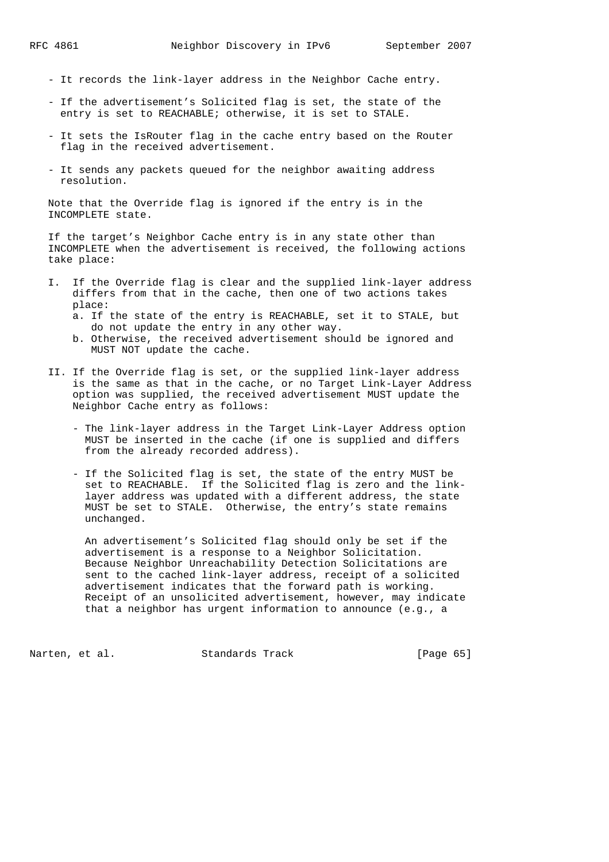- It records the link-layer address in the Neighbor Cache entry.
- If the advertisement's Solicited flag is set, the state of the entry is set to REACHABLE; otherwise, it is set to STALE.
- It sets the IsRouter flag in the cache entry based on the Router flag in the received advertisement.
- It sends any packets queued for the neighbor awaiting address resolution.

 Note that the Override flag is ignored if the entry is in the INCOMPLETE state.

 If the target's Neighbor Cache entry is in any state other than INCOMPLETE when the advertisement is received, the following actions take place:

- I. If the Override flag is clear and the supplied link-layer address differs from that in the cache, then one of two actions takes place:
	- a. If the state of the entry is REACHABLE, set it to STALE, but do not update the entry in any other way.
	- b. Otherwise, the received advertisement should be ignored and MUST NOT update the cache.
- II. If the Override flag is set, or the supplied link-layer address is the same as that in the cache, or no Target Link-Layer Address option was supplied, the received advertisement MUST update the Neighbor Cache entry as follows:
	- The link-layer address in the Target Link-Layer Address option MUST be inserted in the cache (if one is supplied and differs from the already recorded address).
	- If the Solicited flag is set, the state of the entry MUST be set to REACHABLE. If the Solicited flag is zero and the link layer address was updated with a different address, the state MUST be set to STALE. Otherwise, the entry's state remains unchanged.

 An advertisement's Solicited flag should only be set if the advertisement is a response to a Neighbor Solicitation. Because Neighbor Unreachability Detection Solicitations are sent to the cached link-layer address, receipt of a solicited advertisement indicates that the forward path is working. Receipt of an unsolicited advertisement, however, may indicate that a neighbor has urgent information to announce (e.g., a

Narten, et al. Standards Track [Page 65]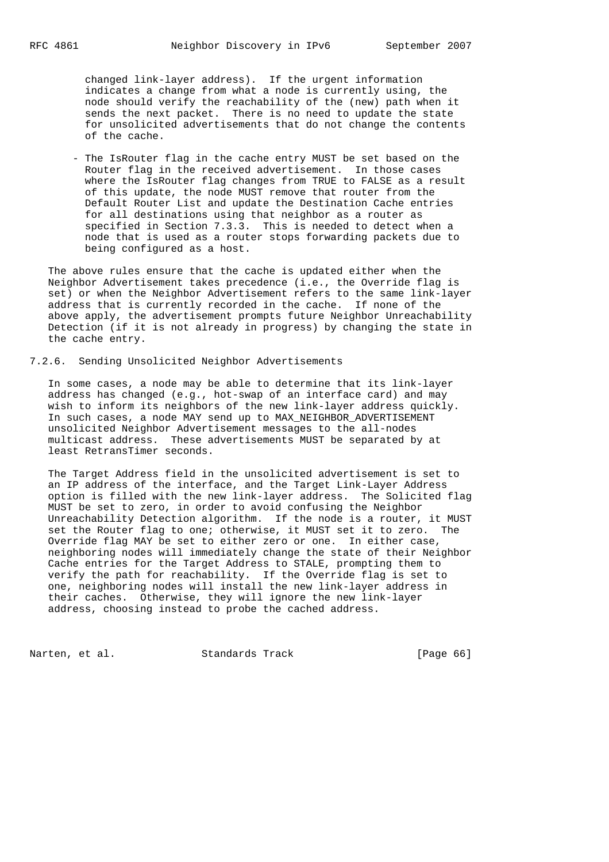changed link-layer address). If the urgent information indicates a change from what a node is currently using, the node should verify the reachability of the (new) path when it sends the next packet. There is no need to update the state for unsolicited advertisements that do not change the contents of the cache.

 - The IsRouter flag in the cache entry MUST be set based on the Router flag in the received advertisement. In those cases where the IsRouter flag changes from TRUE to FALSE as a result of this update, the node MUST remove that router from the Default Router List and update the Destination Cache entries for all destinations using that neighbor as a router as specified in Section 7.3.3. This is needed to detect when a node that is used as a router stops forwarding packets due to being configured as a host.

 The above rules ensure that the cache is updated either when the Neighbor Advertisement takes precedence (i.e., the Override flag is set) or when the Neighbor Advertisement refers to the same link-layer address that is currently recorded in the cache. If none of the above apply, the advertisement prompts future Neighbor Unreachability Detection (if it is not already in progress) by changing the state in the cache entry.

# 7.2.6. Sending Unsolicited Neighbor Advertisements

 In some cases, a node may be able to determine that its link-layer address has changed (e.g., hot-swap of an interface card) and may wish to inform its neighbors of the new link-layer address quickly. In such cases, a node MAY send up to MAX\_NEIGHBOR\_ADVERTISEMENT unsolicited Neighbor Advertisement messages to the all-nodes multicast address. These advertisements MUST be separated by at least RetransTimer seconds.

 The Target Address field in the unsolicited advertisement is set to an IP address of the interface, and the Target Link-Layer Address option is filled with the new link-layer address. The Solicited flag MUST be set to zero, in order to avoid confusing the Neighbor Unreachability Detection algorithm. If the node is a router, it MUST set the Router flag to one; otherwise, it MUST set it to zero. The Override flag MAY be set to either zero or one. In either case, neighboring nodes will immediately change the state of their Neighbor Cache entries for the Target Address to STALE, prompting them to verify the path for reachability. If the Override flag is set to one, neighboring nodes will install the new link-layer address in their caches. Otherwise, they will ignore the new link-layer address, choosing instead to probe the cached address.

Narten, et al. Standards Track [Page 66]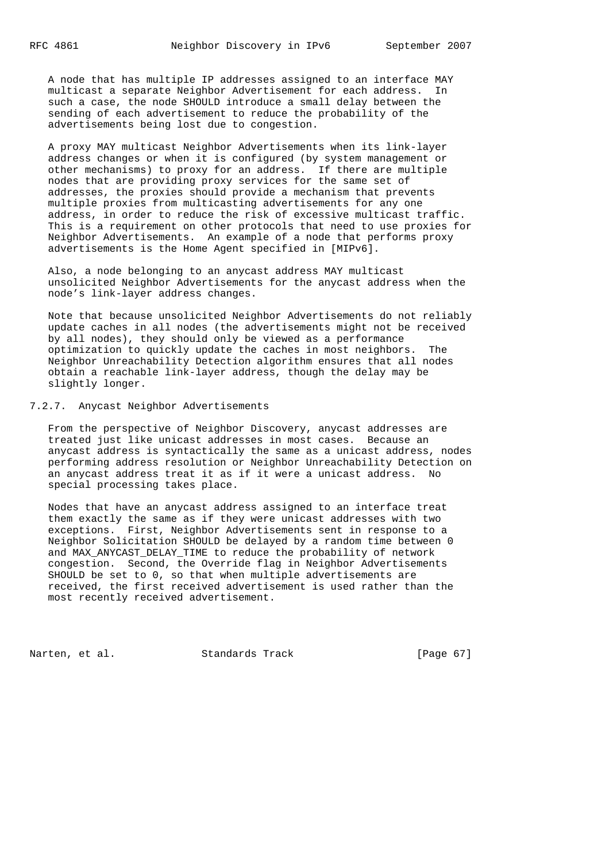A node that has multiple IP addresses assigned to an interface MAY multicast a separate Neighbor Advertisement for each address. In such a case, the node SHOULD introduce a small delay between the sending of each advertisement to reduce the probability of the advertisements being lost due to congestion.

 A proxy MAY multicast Neighbor Advertisements when its link-layer address changes or when it is configured (by system management or other mechanisms) to proxy for an address. If there are multiple nodes that are providing proxy services for the same set of addresses, the proxies should provide a mechanism that prevents multiple proxies from multicasting advertisements for any one address, in order to reduce the risk of excessive multicast traffic. This is a requirement on other protocols that need to use proxies for Neighbor Advertisements. An example of a node that performs proxy advertisements is the Home Agent specified in [MIPv6].

 Also, a node belonging to an anycast address MAY multicast unsolicited Neighbor Advertisements for the anycast address when the node's link-layer address changes.

 Note that because unsolicited Neighbor Advertisements do not reliably update caches in all nodes (the advertisements might not be received by all nodes), they should only be viewed as a performance optimization to quickly update the caches in most neighbors. The Neighbor Unreachability Detection algorithm ensures that all nodes obtain a reachable link-layer address, though the delay may be slightly longer.

7.2.7. Anycast Neighbor Advertisements

 From the perspective of Neighbor Discovery, anycast addresses are treated just like unicast addresses in most cases. Because an anycast address is syntactically the same as a unicast address, nodes performing address resolution or Neighbor Unreachability Detection on an anycast address treat it as if it were a unicast address. No special processing takes place.

 Nodes that have an anycast address assigned to an interface treat them exactly the same as if they were unicast addresses with two exceptions. First, Neighbor Advertisements sent in response to a Neighbor Solicitation SHOULD be delayed by a random time between 0 and MAX\_ANYCAST\_DELAY\_TIME to reduce the probability of network congestion. Second, the Override flag in Neighbor Advertisements SHOULD be set to 0, so that when multiple advertisements are received, the first received advertisement is used rather than the most recently received advertisement.

Narten, et al. Standards Track [Page 67]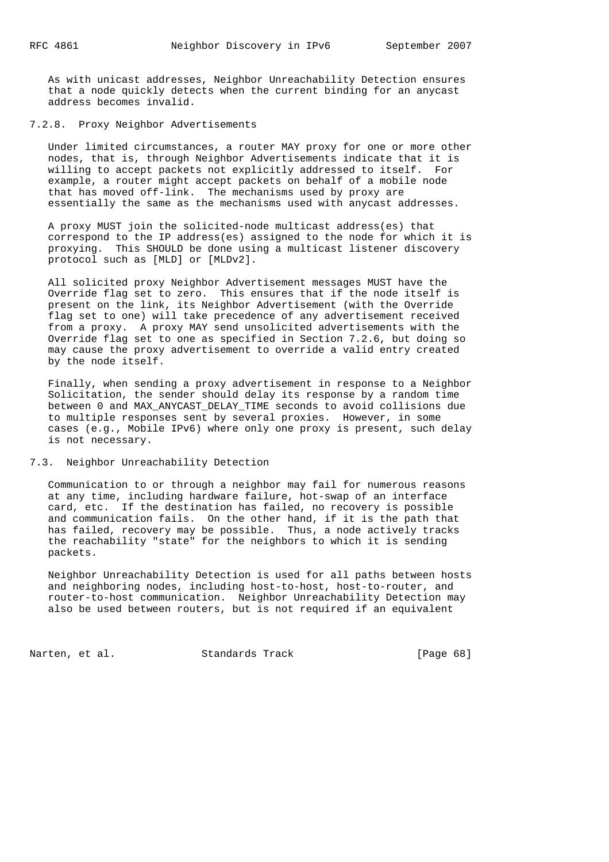As with unicast addresses, Neighbor Unreachability Detection ensures that a node quickly detects when the current binding for an anycast address becomes invalid.

7.2.8. Proxy Neighbor Advertisements

 Under limited circumstances, a router MAY proxy for one or more other nodes, that is, through Neighbor Advertisements indicate that it is willing to accept packets not explicitly addressed to itself. For example, a router might accept packets on behalf of a mobile node that has moved off-link. The mechanisms used by proxy are essentially the same as the mechanisms used with anycast addresses.

 A proxy MUST join the solicited-node multicast address(es) that correspond to the IP address(es) assigned to the node for which it is proxying. This SHOULD be done using a multicast listener discovery protocol such as [MLD] or [MLDv2].

 All solicited proxy Neighbor Advertisement messages MUST have the Override flag set to zero. This ensures that if the node itself is present on the link, its Neighbor Advertisement (with the Override flag set to one) will take precedence of any advertisement received from a proxy. A proxy MAY send unsolicited advertisements with the Override flag set to one as specified in Section 7.2.6, but doing so may cause the proxy advertisement to override a valid entry created by the node itself.

 Finally, when sending a proxy advertisement in response to a Neighbor Solicitation, the sender should delay its response by a random time between 0 and MAX\_ANYCAST\_DELAY\_TIME seconds to avoid collisions due to multiple responses sent by several proxies. However, in some cases (e.g., Mobile IPv6) where only one proxy is present, such delay is not necessary.

7.3. Neighbor Unreachability Detection

 Communication to or through a neighbor may fail for numerous reasons at any time, including hardware failure, hot-swap of an interface card, etc. If the destination has failed, no recovery is possible and communication fails. On the other hand, if it is the path that has failed, recovery may be possible. Thus, a node actively tracks the reachability "state" for the neighbors to which it is sending packets.

 Neighbor Unreachability Detection is used for all paths between hosts and neighboring nodes, including host-to-host, host-to-router, and router-to-host communication. Neighbor Unreachability Detection may also be used between routers, but is not required if an equivalent

Narten, et al. Standards Track [Page 68]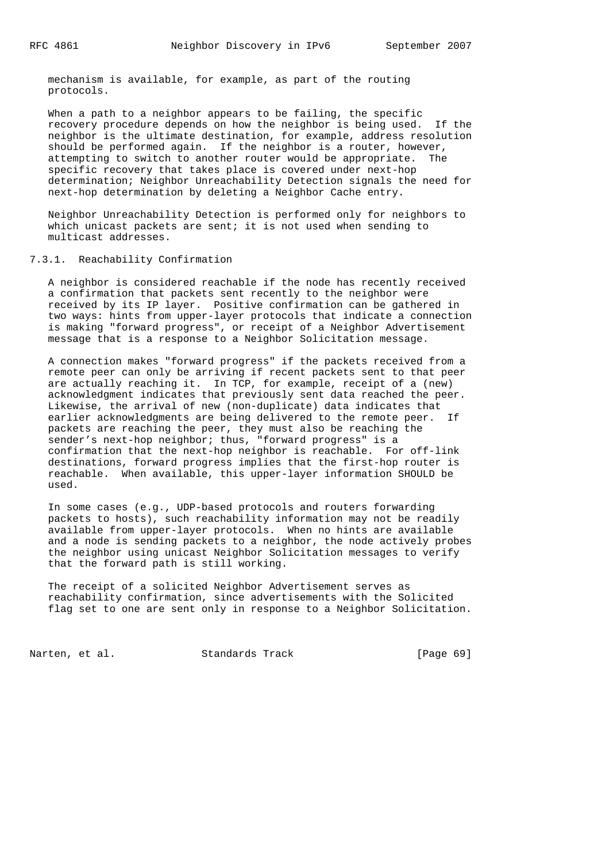mechanism is available, for example, as part of the routing protocols.

When a path to a neighbor appears to be failing, the specific recovery procedure depends on how the neighbor is being used. If the neighbor is the ultimate destination, for example, address resolution should be performed again. If the neighbor is a router, however, attempting to switch to another router would be appropriate. The specific recovery that takes place is covered under next-hop determination; Neighbor Unreachability Detection signals the need for next-hop determination by deleting a Neighbor Cache entry.

 Neighbor Unreachability Detection is performed only for neighbors to which unicast packets are sent; it is not used when sending to multicast addresses.

### 7.3.1. Reachability Confirmation

 A neighbor is considered reachable if the node has recently received a confirmation that packets sent recently to the neighbor were received by its IP layer. Positive confirmation can be gathered in two ways: hints from upper-layer protocols that indicate a connection is making "forward progress", or receipt of a Neighbor Advertisement message that is a response to a Neighbor Solicitation message.

 A connection makes "forward progress" if the packets received from a remote peer can only be arriving if recent packets sent to that peer are actually reaching it. In TCP, for example, receipt of a (new) acknowledgment indicates that previously sent data reached the peer. Likewise, the arrival of new (non-duplicate) data indicates that earlier acknowledgments are being delivered to the remote peer. If packets are reaching the peer, they must also be reaching the sender's next-hop neighbor; thus, "forward progress" is a confirmation that the next-hop neighbor is reachable. For off-link destinations, forward progress implies that the first-hop router is reachable. When available, this upper-layer information SHOULD be used.

 In some cases (e.g., UDP-based protocols and routers forwarding packets to hosts), such reachability information may not be readily available from upper-layer protocols. When no hints are available and a node is sending packets to a neighbor, the node actively probes the neighbor using unicast Neighbor Solicitation messages to verify that the forward path is still working.

 The receipt of a solicited Neighbor Advertisement serves as reachability confirmation, since advertisements with the Solicited flag set to one are sent only in response to a Neighbor Solicitation.

Narten, et al. Standards Track [Page 69]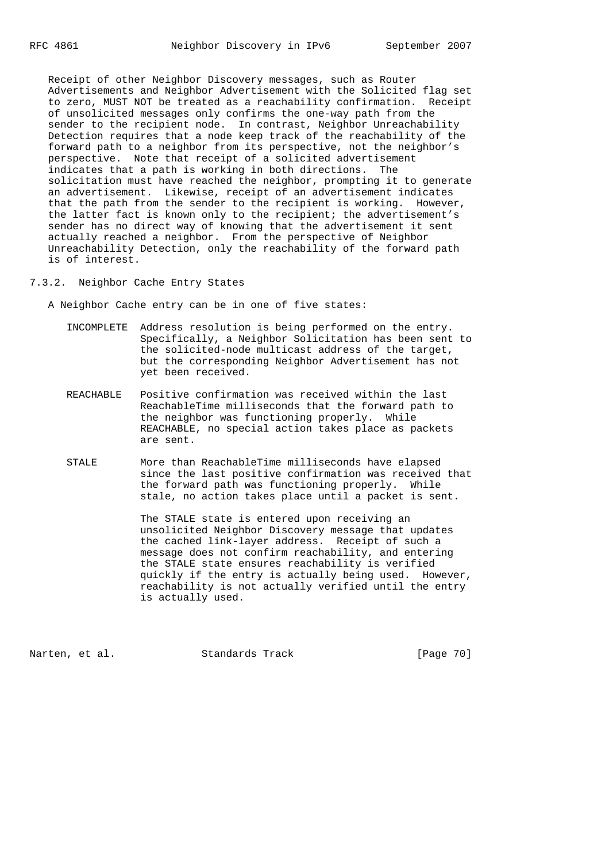Receipt of other Neighbor Discovery messages, such as Router Advertisements and Neighbor Advertisement with the Solicited flag set to zero, MUST NOT be treated as a reachability confirmation. Receipt of unsolicited messages only confirms the one-way path from the sender to the recipient node. In contrast, Neighbor Unreachability Detection requires that a node keep track of the reachability of the forward path to a neighbor from its perspective, not the neighbor's perspective. Note that receipt of a solicited advertisement indicates that a path is working in both directions. The solicitation must have reached the neighbor, prompting it to generate an advertisement. Likewise, receipt of an advertisement indicates that the path from the sender to the recipient is working. However, the latter fact is known only to the recipient; the advertisement's sender has no direct way of knowing that the advertisement it sent actually reached a neighbor. From the perspective of Neighbor Unreachability Detection, only the reachability of the forward path is of interest.

#### 7.3.2. Neighbor Cache Entry States

A Neighbor Cache entry can be in one of five states:

- INCOMPLETE Address resolution is being performed on the entry. Specifically, a Neighbor Solicitation has been sent to the solicited-node multicast address of the target, but the corresponding Neighbor Advertisement has not yet been received.
- REACHABLE Positive confirmation was received within the last ReachableTime milliseconds that the forward path to the neighbor was functioning properly. While REACHABLE, no special action takes place as packets are sent.
- STALE More than ReachableTime milliseconds have elapsed since the last positive confirmation was received that the forward path was functioning properly. While stale, no action takes place until a packet is sent.

 The STALE state is entered upon receiving an unsolicited Neighbor Discovery message that updates the cached link-layer address. Receipt of such a message does not confirm reachability, and entering the STALE state ensures reachability is verified quickly if the entry is actually being used. However, reachability is not actually verified until the entry is actually used.

Narten, et al. Standards Track [Page 70]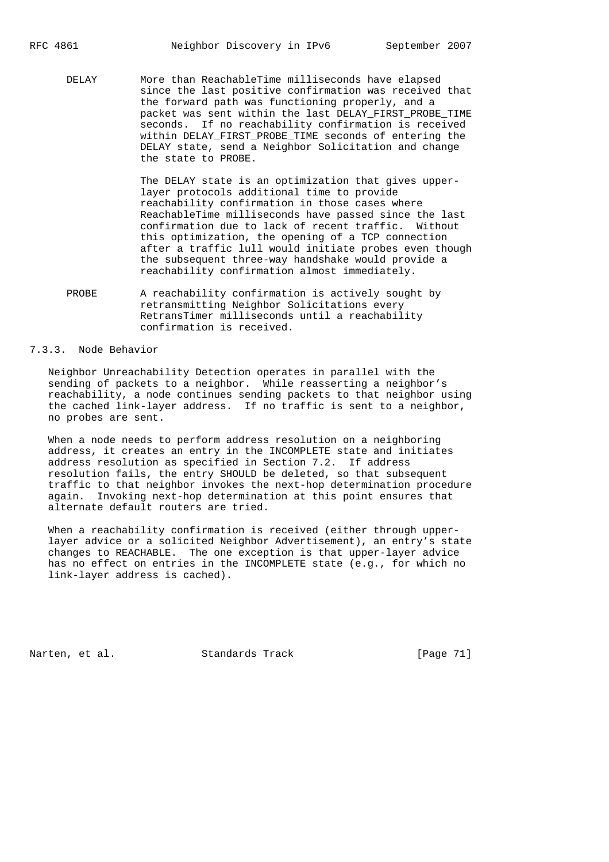DELAY More than ReachableTime milliseconds have elapsed since the last positive confirmation was received that the forward path was functioning properly, and a packet was sent within the last DELAY\_FIRST\_PROBE\_TIME seconds. If no reachability confirmation is received within DELAY FIRST PROBE TIME seconds of entering the DELAY state, send a Neighbor Solicitation and change the state to PROBE.

> The DELAY state is an optimization that gives upper layer protocols additional time to provide reachability confirmation in those cases where ReachableTime milliseconds have passed since the last confirmation due to lack of recent traffic. Without this optimization, the opening of a TCP connection after a traffic lull would initiate probes even though the subsequent three-way handshake would provide a reachability confirmation almost immediately.

PROBE A reachability confirmation is actively sought by retransmitting Neighbor Solicitations every RetransTimer milliseconds until a reachability confirmation is received.

## 7.3.3. Node Behavior

 Neighbor Unreachability Detection operates in parallel with the sending of packets to a neighbor. While reasserting a neighbor's reachability, a node continues sending packets to that neighbor using the cached link-layer address. If no traffic is sent to a neighbor, no probes are sent.

 When a node needs to perform address resolution on a neighboring address, it creates an entry in the INCOMPLETE state and initiates address resolution as specified in Section 7.2. If address resolution fails, the entry SHOULD be deleted, so that subsequent traffic to that neighbor invokes the next-hop determination procedure again. Invoking next-hop determination at this point ensures that alternate default routers are tried.

When a reachability confirmation is received (either through upper layer advice or a solicited Neighbor Advertisement), an entry's state changes to REACHABLE. The one exception is that upper-layer advice has no effect on entries in the INCOMPLETE state (e.g., for which no link-layer address is cached).

Narten, et al. Standards Track [Page 71]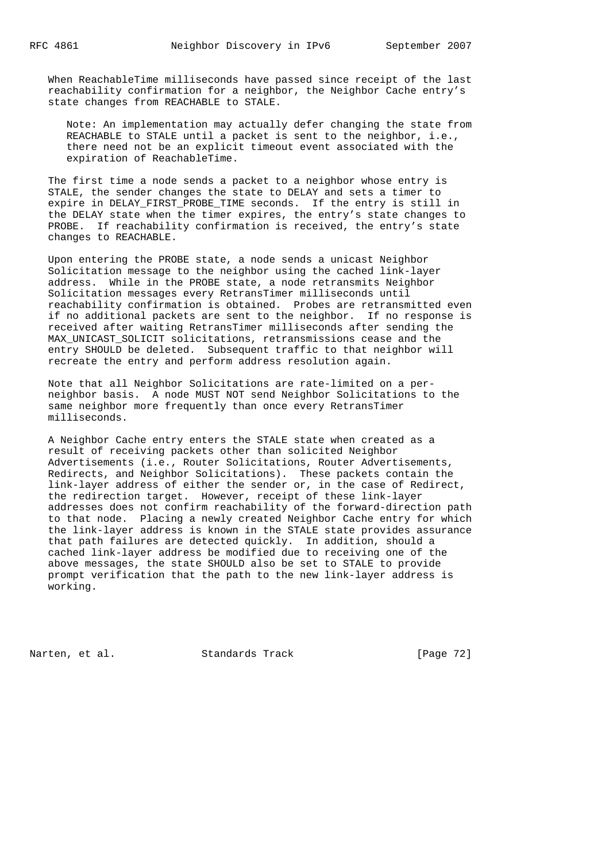When ReachableTime milliseconds have passed since receipt of the last reachability confirmation for a neighbor, the Neighbor Cache entry's state changes from REACHABLE to STALE.

 Note: An implementation may actually defer changing the state from REACHABLE to STALE until a packet is sent to the neighbor, i.e., there need not be an explicit timeout event associated with the expiration of ReachableTime.

 The first time a node sends a packet to a neighbor whose entry is STALE, the sender changes the state to DELAY and sets a timer to expire in DELAY FIRST PROBE TIME seconds. If the entry is still in the DELAY state when the timer expires, the entry's state changes to PROBE. If reachability confirmation is received, the entry's state changes to REACHABLE.

 Upon entering the PROBE state, a node sends a unicast Neighbor Solicitation message to the neighbor using the cached link-layer address. While in the PROBE state, a node retransmits Neighbor Solicitation messages every RetransTimer milliseconds until reachability confirmation is obtained. Probes are retransmitted even if no additional packets are sent to the neighbor. If no response is received after waiting RetransTimer milliseconds after sending the MAX UNICAST SOLICIT solicitations, retransmissions cease and the entry SHOULD be deleted. Subsequent traffic to that neighbor will recreate the entry and perform address resolution again.

 Note that all Neighbor Solicitations are rate-limited on a per neighbor basis. A node MUST NOT send Neighbor Solicitations to the same neighbor more frequently than once every RetransTimer milliseconds.

 A Neighbor Cache entry enters the STALE state when created as a result of receiving packets other than solicited Neighbor Advertisements (i.e., Router Solicitations, Router Advertisements, Redirects, and Neighbor Solicitations). These packets contain the link-layer address of either the sender or, in the case of Redirect, the redirection target. However, receipt of these link-layer addresses does not confirm reachability of the forward-direction path to that node. Placing a newly created Neighbor Cache entry for which the link-layer address is known in the STALE state provides assurance that path failures are detected quickly. In addition, should a cached link-layer address be modified due to receiving one of the above messages, the state SHOULD also be set to STALE to provide prompt verification that the path to the new link-layer address is working.

Narten, et al. Standards Track [Page 72]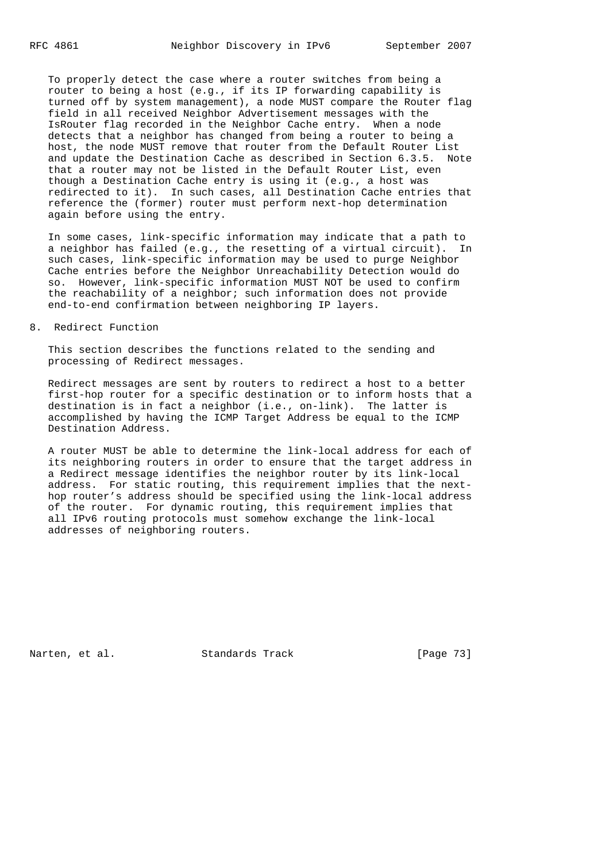To properly detect the case where a router switches from being a router to being a host (e.g., if its IP forwarding capability is turned off by system management), a node MUST compare the Router flag field in all received Neighbor Advertisement messages with the IsRouter flag recorded in the Neighbor Cache entry. When a node detects that a neighbor has changed from being a router to being a host, the node MUST remove that router from the Default Router List and update the Destination Cache as described in Section 6.3.5. Note that a router may not be listed in the Default Router List, even though a Destination Cache entry is using it (e.g., a host was redirected to it). In such cases, all Destination Cache entries that reference the (former) router must perform next-hop determination again before using the entry.

 In some cases, link-specific information may indicate that a path to a neighbor has failed (e.g., the resetting of a virtual circuit). In such cases, link-specific information may be used to purge Neighbor Cache entries before the Neighbor Unreachability Detection would do so. However, link-specific information MUST NOT be used to confirm the reachability of a neighbor; such information does not provide end-to-end confirmation between neighboring IP layers.

# 8. Redirect Function

 This section describes the functions related to the sending and processing of Redirect messages.

 Redirect messages are sent by routers to redirect a host to a better first-hop router for a specific destination or to inform hosts that a destination is in fact a neighbor (i.e., on-link). The latter is accomplished by having the ICMP Target Address be equal to the ICMP Destination Address.

 A router MUST be able to determine the link-local address for each of its neighboring routers in order to ensure that the target address in a Redirect message identifies the neighbor router by its link-local address. For static routing, this requirement implies that the next hop router's address should be specified using the link-local address of the router. For dynamic routing, this requirement implies that all IPv6 routing protocols must somehow exchange the link-local addresses of neighboring routers.

Narten, et al. Standards Track [Page 73]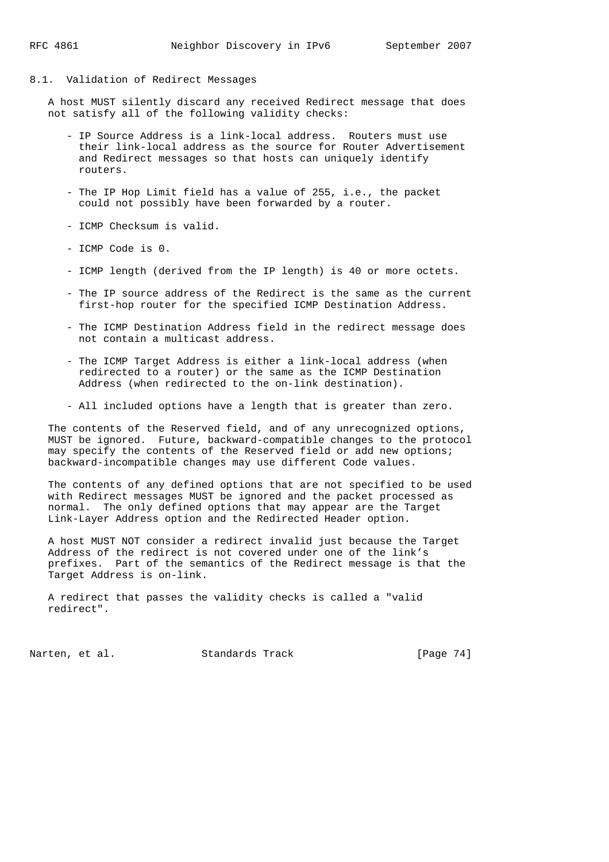### 8.1. Validation of Redirect Messages

 A host MUST silently discard any received Redirect message that does not satisfy all of the following validity checks:

- IP Source Address is a link-local address. Routers must use their link-local address as the source for Router Advertisement and Redirect messages so that hosts can uniquely identify routers.
- The IP Hop Limit field has a value of 255, i.e., the packet could not possibly have been forwarded by a router.
- ICMP Checksum is valid.
- ICMP Code is 0.
- ICMP length (derived from the IP length) is 40 or more octets.
- The IP source address of the Redirect is the same as the current first-hop router for the specified ICMP Destination Address.
- The ICMP Destination Address field in the redirect message does not contain a multicast address.
- The ICMP Target Address is either a link-local address (when redirected to a router) or the same as the ICMP Destination Address (when redirected to the on-link destination).
- All included options have a length that is greater than zero.

 The contents of the Reserved field, and of any unrecognized options, MUST be ignored. Future, backward-compatible changes to the protocol may specify the contents of the Reserved field or add new options; backward-incompatible changes may use different Code values.

 The contents of any defined options that are not specified to be used with Redirect messages MUST be ignored and the packet processed as normal. The only defined options that may appear are the Target Link-Layer Address option and the Redirected Header option.

 A host MUST NOT consider a redirect invalid just because the Target Address of the redirect is not covered under one of the link's prefixes. Part of the semantics of the Redirect message is that the Target Address is on-link.

 A redirect that passes the validity checks is called a "valid redirect".

Narten, et al. Standards Track [Page 74]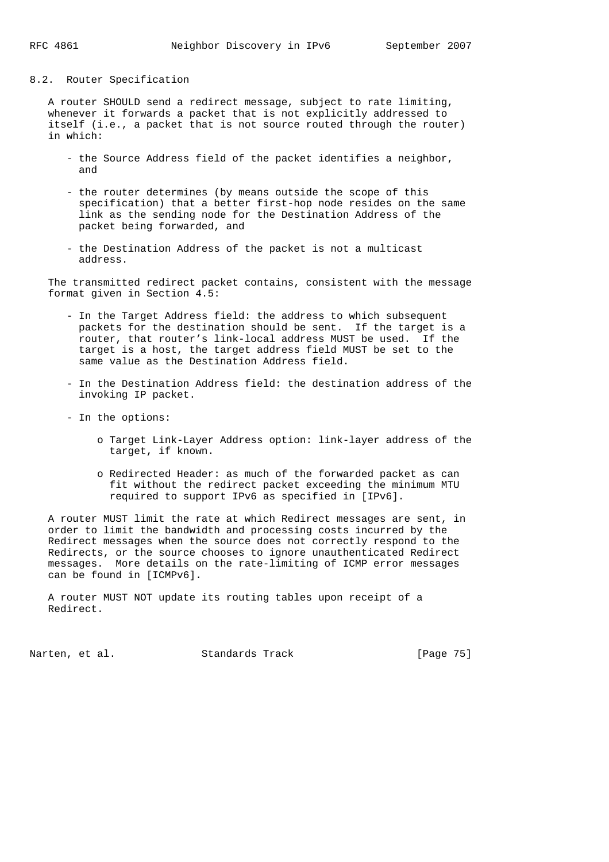8.2. Router Specification

 A router SHOULD send a redirect message, subject to rate limiting, whenever it forwards a packet that is not explicitly addressed to itself (i.e., a packet that is not source routed through the router) in which:

- the Source Address field of the packet identifies a neighbor, and
- the router determines (by means outside the scope of this specification) that a better first-hop node resides on the same link as the sending node for the Destination Address of the packet being forwarded, and
- the Destination Address of the packet is not a multicast address.

 The transmitted redirect packet contains, consistent with the message format given in Section 4.5:

- In the Target Address field: the address to which subsequent packets for the destination should be sent. If the target is a router, that router's link-local address MUST be used. If the target is a host, the target address field MUST be set to the same value as the Destination Address field.
- In the Destination Address field: the destination address of the invoking IP packet.
- In the options:
	- o Target Link-Layer Address option: link-layer address of the target, if known.
	- o Redirected Header: as much of the forwarded packet as can fit without the redirect packet exceeding the minimum MTU required to support IPv6 as specified in [IPv6].

 A router MUST limit the rate at which Redirect messages are sent, in order to limit the bandwidth and processing costs incurred by the Redirect messages when the source does not correctly respond to the Redirects, or the source chooses to ignore unauthenticated Redirect messages. More details on the rate-limiting of ICMP error messages can be found in [ICMPv6].

 A router MUST NOT update its routing tables upon receipt of a Redirect.

Narten, et al. Standards Track [Page 75]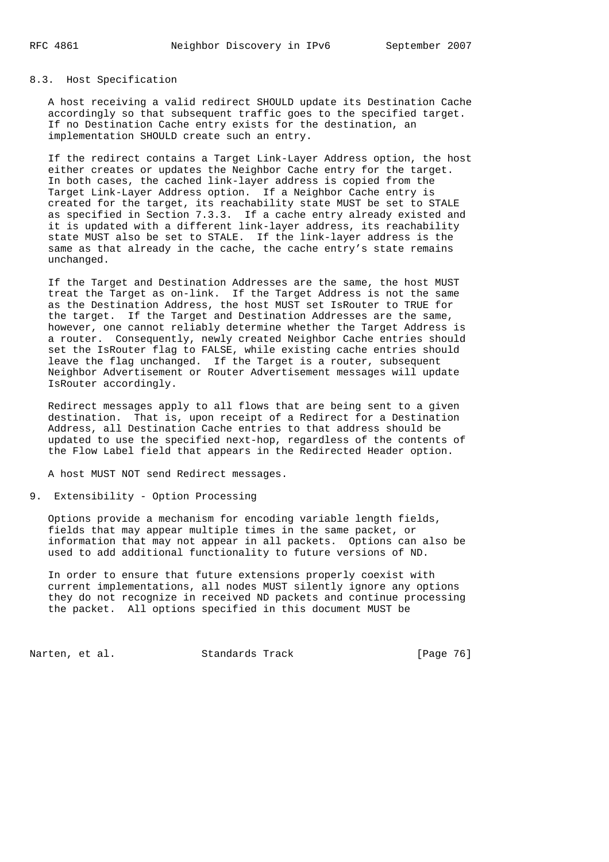# 8.3. Host Specification

 A host receiving a valid redirect SHOULD update its Destination Cache accordingly so that subsequent traffic goes to the specified target. If no Destination Cache entry exists for the destination, an implementation SHOULD create such an entry.

 If the redirect contains a Target Link-Layer Address option, the host either creates or updates the Neighbor Cache entry for the target. In both cases, the cached link-layer address is copied from the Target Link-Layer Address option. If a Neighbor Cache entry is created for the target, its reachability state MUST be set to STALE as specified in Section 7.3.3. If a cache entry already existed and it is updated with a different link-layer address, its reachability state MUST also be set to STALE. If the link-layer address is the same as that already in the cache, the cache entry's state remains unchanged.

 If the Target and Destination Addresses are the same, the host MUST treat the Target as on-link. If the Target Address is not the same as the Destination Address, the host MUST set IsRouter to TRUE for the target. If the Target and Destination Addresses are the same, however, one cannot reliably determine whether the Target Address is a router. Consequently, newly created Neighbor Cache entries should set the IsRouter flag to FALSE, while existing cache entries should leave the flag unchanged. If the Target is a router, subsequent Neighbor Advertisement or Router Advertisement messages will update IsRouter accordingly.

 Redirect messages apply to all flows that are being sent to a given destination. That is, upon receipt of a Redirect for a Destination Address, all Destination Cache entries to that address should be updated to use the specified next-hop, regardless of the contents of the Flow Label field that appears in the Redirected Header option.

A host MUST NOT send Redirect messages.

9. Extensibility - Option Processing

 Options provide a mechanism for encoding variable length fields, fields that may appear multiple times in the same packet, or information that may not appear in all packets. Options can also be used to add additional functionality to future versions of ND.

 In order to ensure that future extensions properly coexist with current implementations, all nodes MUST silently ignore any options they do not recognize in received ND packets and continue processing the packet. All options specified in this document MUST be

Narten, et al. Standards Track [Page 76]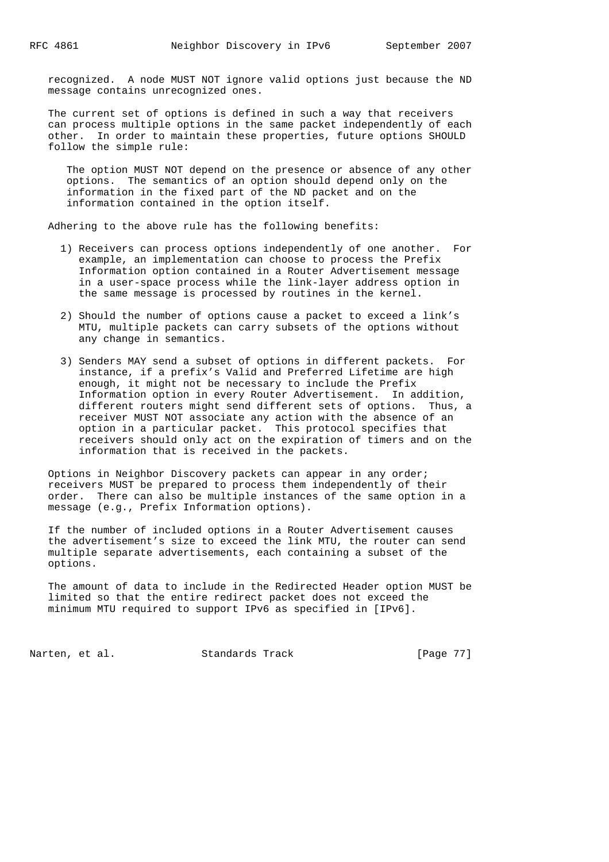recognized. A node MUST NOT ignore valid options just because the ND message contains unrecognized ones.

 The current set of options is defined in such a way that receivers can process multiple options in the same packet independently of each other. In order to maintain these properties, future options SHOULD follow the simple rule:

 The option MUST NOT depend on the presence or absence of any other options. The semantics of an option should depend only on the information in the fixed part of the ND packet and on the information contained in the option itself.

Adhering to the above rule has the following benefits:

- 1) Receivers can process options independently of one another. For example, an implementation can choose to process the Prefix Information option contained in a Router Advertisement message in a user-space process while the link-layer address option in the same message is processed by routines in the kernel.
- 2) Should the number of options cause a packet to exceed a link's MTU, multiple packets can carry subsets of the options without any change in semantics.
- 3) Senders MAY send a subset of options in different packets. For instance, if a prefix's Valid and Preferred Lifetime are high enough, it might not be necessary to include the Prefix Information option in every Router Advertisement. In addition, different routers might send different sets of options. Thus, a receiver MUST NOT associate any action with the absence of an option in a particular packet. This protocol specifies that receivers should only act on the expiration of timers and on the information that is received in the packets.

 Options in Neighbor Discovery packets can appear in any order; receivers MUST be prepared to process them independently of their order. There can also be multiple instances of the same option in a message (e.g., Prefix Information options).

 If the number of included options in a Router Advertisement causes the advertisement's size to exceed the link MTU, the router can send multiple separate advertisements, each containing a subset of the options.

 The amount of data to include in the Redirected Header option MUST be limited so that the entire redirect packet does not exceed the minimum MTU required to support IPv6 as specified in [IPv6].

Narten, et al. Standards Track [Page 77]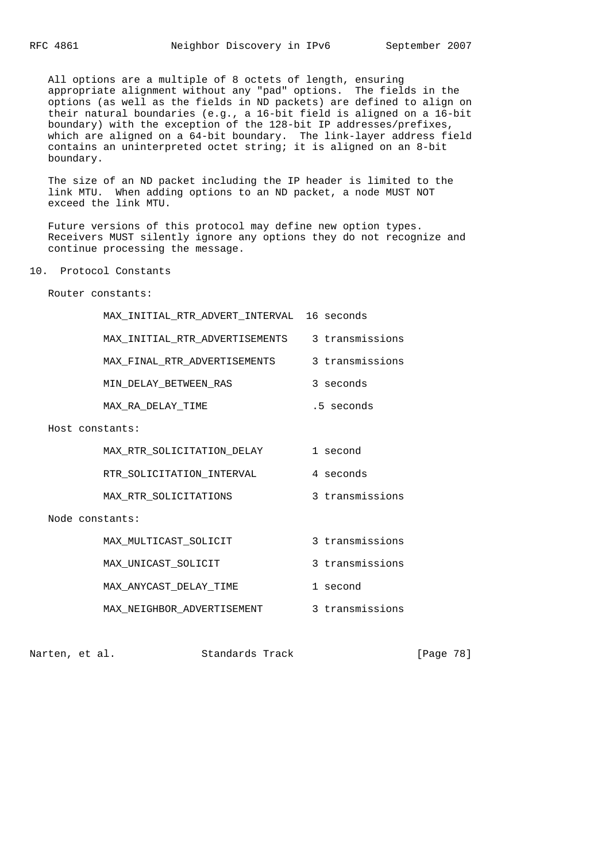All options are a multiple of 8 octets of length, ensuring appropriate alignment without any "pad" options. The fields in the options (as well as the fields in ND packets) are defined to align on their natural boundaries (e.g., a 16-bit field is aligned on a 16-bit boundary) with the exception of the 128-bit IP addresses/prefixes, which are aligned on a 64-bit boundary. The link-layer address field contains an uninterpreted octet string; it is aligned on an 8-bit boundary.

 The size of an ND packet including the IP header is limited to the link MTU. When adding options to an ND packet, a node MUST NOT exceed the link MTU.

 Future versions of this protocol may define new option types. Receivers MUST silently ignore any options they do not recognize and continue processing the message.

10. Protocol Constants

Router constants:

|                 | MAX INITIAL RTR ADVERT INTERVAL 16 seconds |                 |  |  |
|-----------------|--------------------------------------------|-----------------|--|--|
|                 | MAX INITIAL RTR ADVERTISEMENTS             | 3 transmissions |  |  |
|                 | MAX FINAL RTR ADVERTISEMENTS               | 3 transmissions |  |  |
|                 | MIN DELAY BETWEEN RAS                      | 3 seconds       |  |  |
|                 | MAX RA DELAY TIME                          | .5 seconds      |  |  |
| Host constants: |                                            |                 |  |  |
|                 | MAX RTR SOLICITATION DELAY                 | 1 second        |  |  |
|                 | RTR SOLICITATION INTERVAL                  | 4 seconds       |  |  |
|                 |                                            |                 |  |  |

Node constants:

| MAX MULTICAST SOLICIT      | 3 transmissions |
|----------------------------|-----------------|
| MAX UNICAST SOLICIT        | 3 transmissions |
| MAX ANYCAST DELAY TIME     | 1 second        |
| MAX NEIGHBOR ADVERTISEMENT | 3 transmissions |

MAX\_RTR\_SOLICITATIONS 3 transmissions

Narten, et al. Standards Track [Page 78]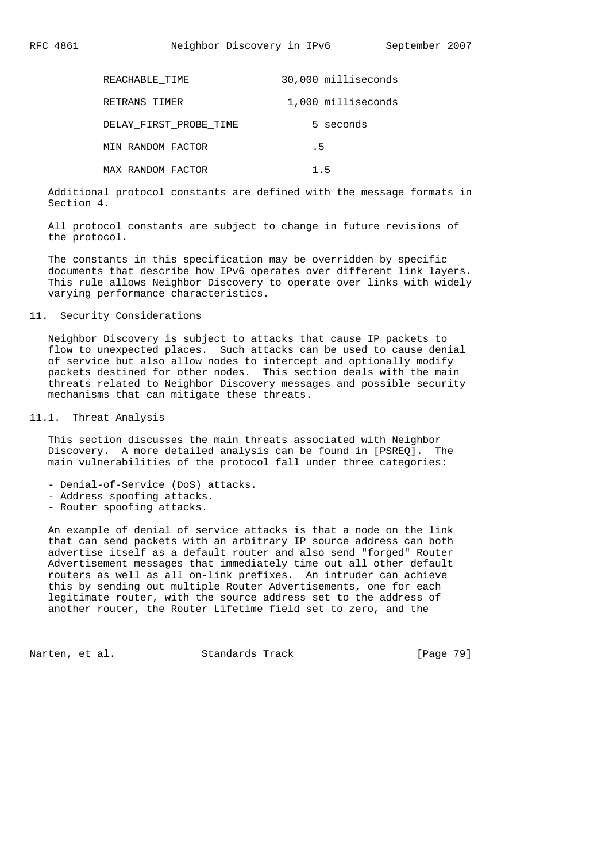| REACHABLE TIME         |     | 30,000 milliseconds |
|------------------------|-----|---------------------|
| RETRANS TIMER          |     | 1,000 milliseconds  |
| DELAY FIRST PROBE TIME |     | 5 seconds           |
| MIN RANDOM FACTOR      | . 5 |                     |
| MAX RANDOM FACTOR      |     | 1.5                 |

 Additional protocol constants are defined with the message formats in Section 4.

 All protocol constants are subject to change in future revisions of the protocol.

 The constants in this specification may be overridden by specific documents that describe how IPv6 operates over different link layers. This rule allows Neighbor Discovery to operate over links with widely varying performance characteristics.

11. Security Considerations

 Neighbor Discovery is subject to attacks that cause IP packets to flow to unexpected places. Such attacks can be used to cause denial of service but also allow nodes to intercept and optionally modify packets destined for other nodes. This section deals with the main threats related to Neighbor Discovery messages and possible security mechanisms that can mitigate these threats.

11.1. Threat Analysis

 This section discusses the main threats associated with Neighbor Discovery. A more detailed analysis can be found in [PSREQ]. The main vulnerabilities of the protocol fall under three categories:

- Denial-of-Service (DoS) attacks.
- Address spoofing attacks.
- Router spoofing attacks.

 An example of denial of service attacks is that a node on the link that can send packets with an arbitrary IP source address can both advertise itself as a default router and also send "forged" Router Advertisement messages that immediately time out all other default routers as well as all on-link prefixes. An intruder can achieve this by sending out multiple Router Advertisements, one for each legitimate router, with the source address set to the address of another router, the Router Lifetime field set to zero, and the

Narten, et al. Standards Track [Page 79]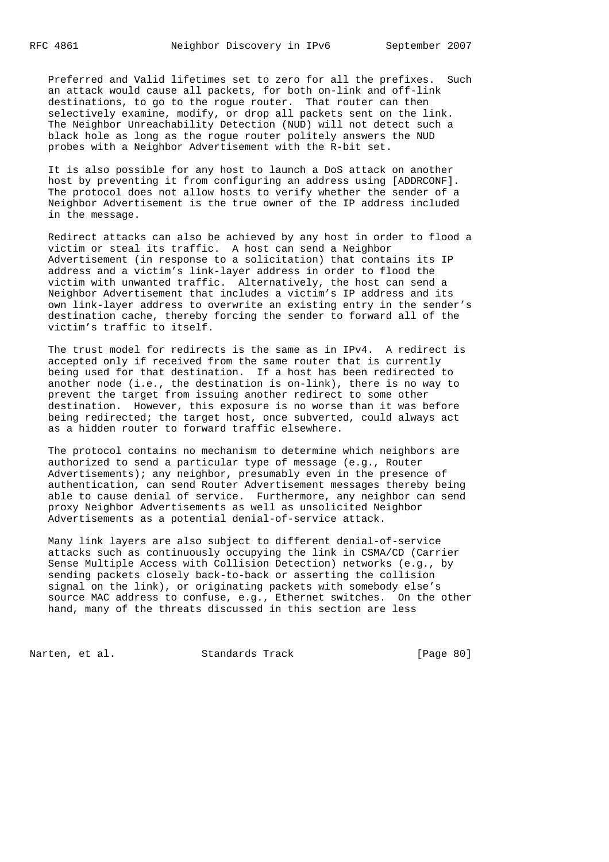Preferred and Valid lifetimes set to zero for all the prefixes. Such an attack would cause all packets, for both on-link and off-link destinations, to go to the rogue router. That router can then selectively examine, modify, or drop all packets sent on the link. The Neighbor Unreachability Detection (NUD) will not detect such a black hole as long as the rogue router politely answers the NUD probes with a Neighbor Advertisement with the R-bit set.

 It is also possible for any host to launch a DoS attack on another host by preventing it from configuring an address using [ADDRCONF]. The protocol does not allow hosts to verify whether the sender of a Neighbor Advertisement is the true owner of the IP address included in the message.

 Redirect attacks can also be achieved by any host in order to flood a victim or steal its traffic. A host can send a Neighbor Advertisement (in response to a solicitation) that contains its IP address and a victim's link-layer address in order to flood the victim with unwanted traffic. Alternatively, the host can send a Neighbor Advertisement that includes a victim's IP address and its own link-layer address to overwrite an existing entry in the sender's destination cache, thereby forcing the sender to forward all of the victim's traffic to itself.

 The trust model for redirects is the same as in IPv4. A redirect is accepted only if received from the same router that is currently being used for that destination. If a host has been redirected to another node (i.e., the destination is on-link), there is no way to prevent the target from issuing another redirect to some other destination. However, this exposure is no worse than it was before being redirected; the target host, once subverted, could always act as a hidden router to forward traffic elsewhere.

 The protocol contains no mechanism to determine which neighbors are authorized to send a particular type of message (e.g., Router Advertisements); any neighbor, presumably even in the presence of authentication, can send Router Advertisement messages thereby being able to cause denial of service. Furthermore, any neighbor can send proxy Neighbor Advertisements as well as unsolicited Neighbor Advertisements as a potential denial-of-service attack.

 Many link layers are also subject to different denial-of-service attacks such as continuously occupying the link in CSMA/CD (Carrier Sense Multiple Access with Collision Detection) networks (e.g., by sending packets closely back-to-back or asserting the collision signal on the link), or originating packets with somebody else's source MAC address to confuse, e.g., Ethernet switches. On the other hand, many of the threats discussed in this section are less

Narten, et al. Standards Track [Page 80]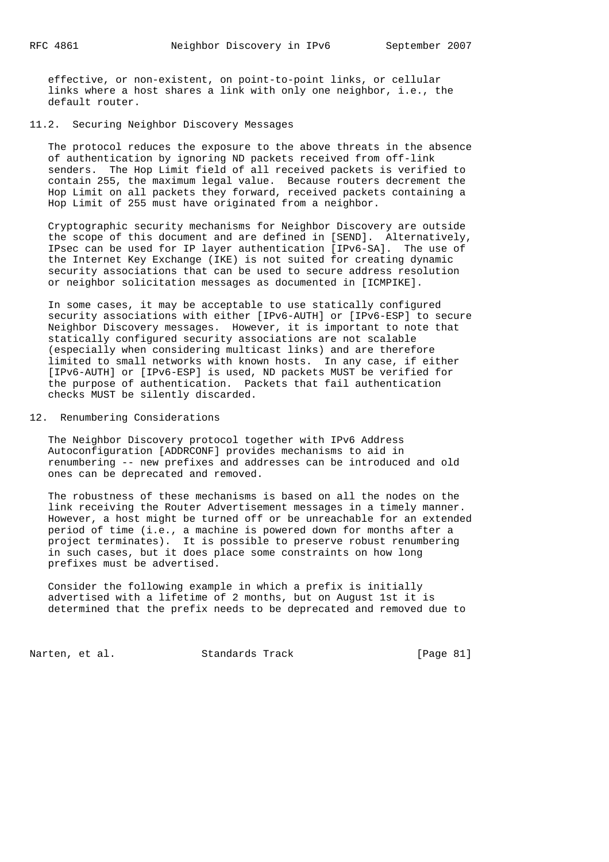effective, or non-existent, on point-to-point links, or cellular links where a host shares a link with only one neighbor, i.e., the default router.

## 11.2. Securing Neighbor Discovery Messages

 The protocol reduces the exposure to the above threats in the absence of authentication by ignoring ND packets received from off-link senders. The Hop Limit field of all received packets is verified to contain 255, the maximum legal value. Because routers decrement the Hop Limit on all packets they forward, received packets containing a Hop Limit of 255 must have originated from a neighbor.

 Cryptographic security mechanisms for Neighbor Discovery are outside the scope of this document and are defined in [SEND]. Alternatively, IPsec can be used for IP layer authentication [IPv6-SA]. The use of the Internet Key Exchange (IKE) is not suited for creating dynamic security associations that can be used to secure address resolution or neighbor solicitation messages as documented in [ICMPIKE].

 In some cases, it may be acceptable to use statically configured security associations with either [IPv6-AUTH] or [IPv6-ESP] to secure Neighbor Discovery messages. However, it is important to note that statically configured security associations are not scalable (especially when considering multicast links) and are therefore limited to small networks with known hosts. In any case, if either [IPv6-AUTH] or [IPv6-ESP] is used, ND packets MUST be verified for the purpose of authentication. Packets that fail authentication checks MUST be silently discarded.

## 12. Renumbering Considerations

 The Neighbor Discovery protocol together with IPv6 Address Autoconfiguration [ADDRCONF] provides mechanisms to aid in renumbering -- new prefixes and addresses can be introduced and old ones can be deprecated and removed.

 The robustness of these mechanisms is based on all the nodes on the link receiving the Router Advertisement messages in a timely manner. However, a host might be turned off or be unreachable for an extended period of time (i.e., a machine is powered down for months after a project terminates). It is possible to preserve robust renumbering in such cases, but it does place some constraints on how long prefixes must be advertised.

 Consider the following example in which a prefix is initially advertised with a lifetime of 2 months, but on August 1st it is determined that the prefix needs to be deprecated and removed due to

Narten, et al. Standards Track [Page 81]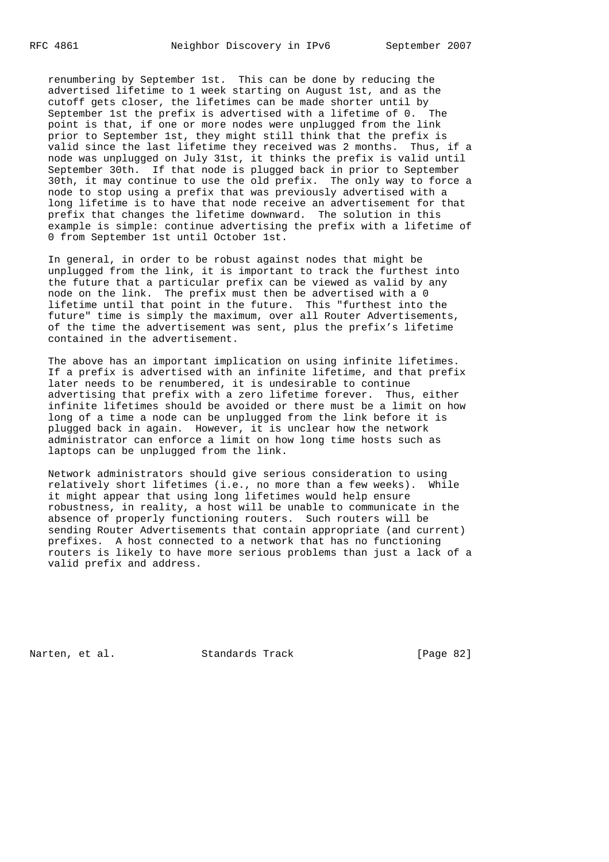renumbering by September 1st. This can be done by reducing the advertised lifetime to 1 week starting on August 1st, and as the cutoff gets closer, the lifetimes can be made shorter until by September 1st the prefix is advertised with a lifetime of 0. The point is that, if one or more nodes were unplugged from the link prior to September 1st, they might still think that the prefix is valid since the last lifetime they received was 2 months. Thus, if a node was unplugged on July 31st, it thinks the prefix is valid until September 30th. If that node is plugged back in prior to September 30th, it may continue to use the old prefix. The only way to force a node to stop using a prefix that was previously advertised with a long lifetime is to have that node receive an advertisement for that prefix that changes the lifetime downward. The solution in this example is simple: continue advertising the prefix with a lifetime of 0 from September 1st until October 1st.

 In general, in order to be robust against nodes that might be unplugged from the link, it is important to track the furthest into the future that a particular prefix can be viewed as valid by any node on the link. The prefix must then be advertised with a 0 lifetime until that point in the future. This "furthest into the future" time is simply the maximum, over all Router Advertisements, of the time the advertisement was sent, plus the prefix's lifetime contained in the advertisement.

 The above has an important implication on using infinite lifetimes. If a prefix is advertised with an infinite lifetime, and that prefix later needs to be renumbered, it is undesirable to continue advertising that prefix with a zero lifetime forever. Thus, either infinite lifetimes should be avoided or there must be a limit on how long of a time a node can be unplugged from the link before it is plugged back in again. However, it is unclear how the network administrator can enforce a limit on how long time hosts such as laptops can be unplugged from the link.

 Network administrators should give serious consideration to using relatively short lifetimes (i.e., no more than a few weeks). While it might appear that using long lifetimes would help ensure robustness, in reality, a host will be unable to communicate in the absence of properly functioning routers. Such routers will be sending Router Advertisements that contain appropriate (and current) prefixes. A host connected to a network that has no functioning routers is likely to have more serious problems than just a lack of a valid prefix and address.

Narten, et al. Standards Track [Page 82]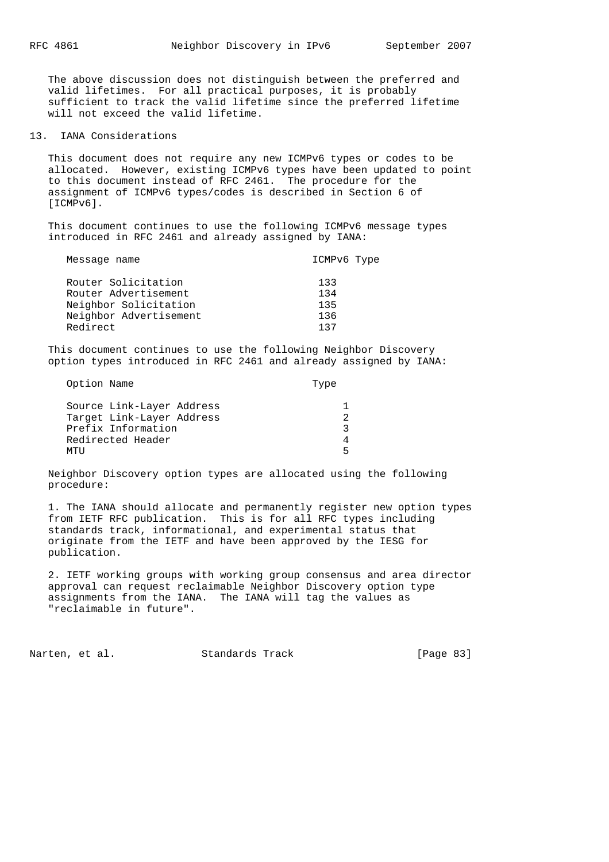The above discussion does not distinguish between the preferred and valid lifetimes. For all practical purposes, it is probably sufficient to track the valid lifetime since the preferred lifetime will not exceed the valid lifetime.

# 13. IANA Considerations

 This document does not require any new ICMPv6 types or codes to be allocated. However, existing ICMPv6 types have been updated to point to this document instead of RFC 2461. The procedure for the assignment of ICMPv6 types/codes is described in Section 6 of [ICMPv6].

 This document continues to use the following ICMPv6 message types introduced in RFC 2461 and already assigned by IANA:

| Message name           | ICMPv6 Type |
|------------------------|-------------|
| Router Solicitation    | 133         |
| Router Advertisement   | 134         |
| Neighbor Solicitation  | 135         |
| Neighbor Advertisement | 136         |
| Redirect               | 137         |

 This document continues to use the following Neighbor Discovery option types introduced in RFC 2461 and already assigned by IANA:

| Option Name               | Type |
|---------------------------|------|
| Source Link-Layer Address |      |
| Target Link-Layer Address |      |
| Prefix Information        | 2    |
| Redirected Header         |      |
|                           | ᄃ    |

 Neighbor Discovery option types are allocated using the following procedure:

 1. The IANA should allocate and permanently register new option types from IETF RFC publication. This is for all RFC types including standards track, informational, and experimental status that originate from the IETF and have been approved by the IESG for publication.

 2. IETF working groups with working group consensus and area director approval can request reclaimable Neighbor Discovery option type assignments from the IANA. The IANA will tag the values as "reclaimable in future".

Narten, et al. Standards Track [Page 83]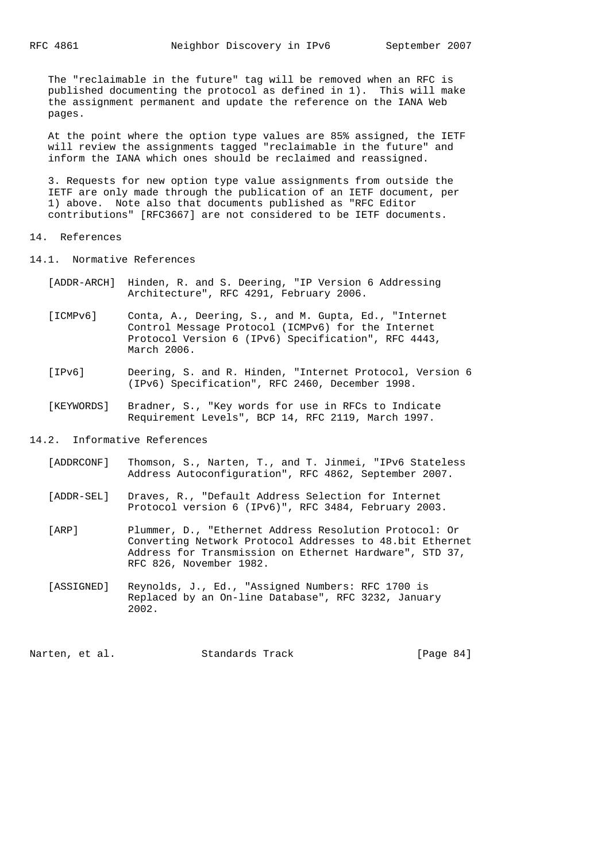The "reclaimable in the future" tag will be removed when an RFC is published documenting the protocol as defined in 1). This will make the assignment permanent and update the reference on the IANA Web pages.

 At the point where the option type values are 85% assigned, the IETF will review the assignments tagged "reclaimable in the future" and inform the IANA which ones should be reclaimed and reassigned.

 3. Requests for new option type value assignments from outside the IETF are only made through the publication of an IETF document, per 1) above. Note also that documents published as "RFC Editor contributions" [RFC3667] are not considered to be IETF documents.

## 14. References

- 14.1. Normative References
	- [ADDR-ARCH] Hinden, R. and S. Deering, "IP Version 6 Addressing Architecture", RFC 4291, February 2006.
	- [ICMPv6] Conta, A., Deering, S., and M. Gupta, Ed., "Internet Control Message Protocol (ICMPv6) for the Internet Protocol Version 6 (IPv6) Specification", RFC 4443, March 2006.
	- [IPv6] Deering, S. and R. Hinden, "Internet Protocol, Version 6 (IPv6) Specification", RFC 2460, December 1998.
	- [KEYWORDS] Bradner, S., "Key words for use in RFCs to Indicate Requirement Levels", BCP 14, RFC 2119, March 1997.

### 14.2. Informative References

- [ADDRCONF] Thomson, S., Narten, T., and T. Jinmei, "IPv6 Stateless Address Autoconfiguration", RFC 4862, September 2007.
- [ADDR-SEL] Draves, R., "Default Address Selection for Internet Protocol version 6 (IPv6)", RFC 3484, February 2003.
- [ARP] Plummer, D., "Ethernet Address Resolution Protocol: Or Converting Network Protocol Addresses to 48.bit Ethernet Address for Transmission on Ethernet Hardware", STD 37, RFC 826, November 1982.
- [ASSIGNED] Reynolds, J., Ed., "Assigned Numbers: RFC 1700 is Replaced by an On-line Database", RFC 3232, January 2002.

Narten, et al. Standards Track [Page 84]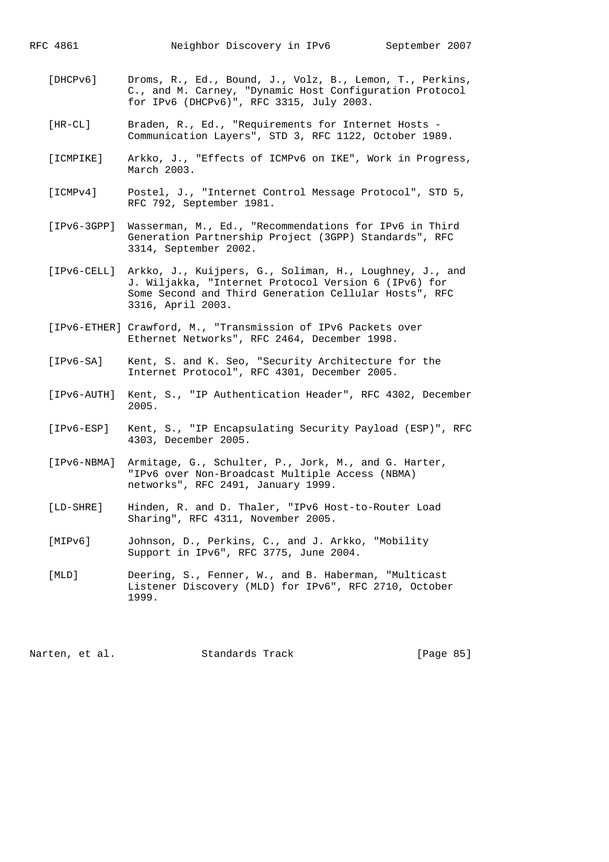- [DHCPv6] Droms, R., Ed., Bound, J., Volz, B., Lemon, T., Perkins, C., and M. Carney, "Dynamic Host Configuration Protocol for IPv6 (DHCPv6)", RFC 3315, July 2003.
	- [HR-CL] Braden, R., Ed., "Requirements for Internet Hosts Communication Layers", STD 3, RFC 1122, October 1989.
	- [ICMPIKE] Arkko, J., "Effects of ICMPv6 on IKE", Work in Progress, March 2003.
	- [ICMPv4] Postel, J., "Internet Control Message Protocol", STD 5, RFC 792, September 1981.
	- [IPv6-3GPP] Wasserman, M., Ed., "Recommendations for IPv6 in Third Generation Partnership Project (3GPP) Standards", RFC 3314, September 2002.
	- [IPv6-CELL] Arkko, J., Kuijpers, G., Soliman, H., Loughney, J., and J. Wiljakka, "Internet Protocol Version 6 (IPv6) for Some Second and Third Generation Cellular Hosts", RFC 3316, April 2003.
	- [IPv6-ETHER] Crawford, M., "Transmission of IPv6 Packets over Ethernet Networks", RFC 2464, December 1998.
	- [IPv6-SA] Kent, S. and K. Seo, "Security Architecture for the Internet Protocol", RFC 4301, December 2005.
	- [IPv6-AUTH] Kent, S., "IP Authentication Header", RFC 4302, December 2005.
	- [IPv6-ESP] Kent, S., "IP Encapsulating Security Payload (ESP)", RFC 4303, December 2005.
	- [IPv6-NBMA] Armitage, G., Schulter, P., Jork, M., and G. Harter, "IPv6 over Non-Broadcast Multiple Access (NBMA) networks", RFC 2491, January 1999.
	- [LD-SHRE] Hinden, R. and D. Thaler, "IPv6 Host-to-Router Load Sharing", RFC 4311, November 2005.
	- [MIPv6] Johnson, D., Perkins, C., and J. Arkko, "Mobility Support in IPv6", RFC 3775, June 2004.
	- [MLD] Deering, S., Fenner, W., and B. Haberman, "Multicast Listener Discovery (MLD) for IPv6", RFC 2710, October 1999.

Narten, et al. Standards Track [Page 85]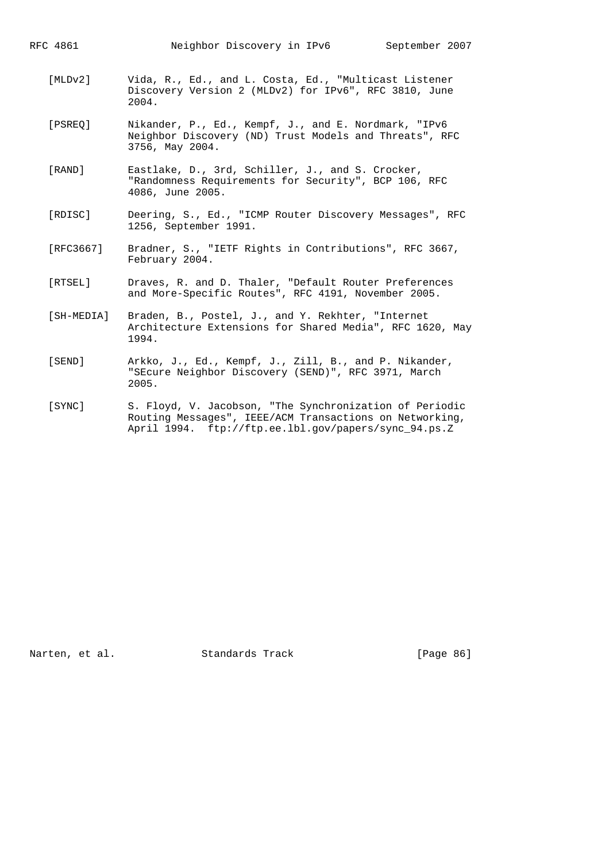| RFC 4861   | Neighbor Discovery in IPv6<br>September 2007                                                                                                                               |
|------------|----------------------------------------------------------------------------------------------------------------------------------------------------------------------------|
| [MLDv2]    | Vida, R., Ed., and L. Costa, Ed., "Multicast Listener<br>Discovery Version 2 (MLDv2) for IPv6", RFC 3810, June<br>2004.                                                    |
| [PSREQ]    | Nikander, P., Ed., Kempf, J., and E. Nordmark, "IPv6<br>Neighbor Discovery (ND) Trust Models and Threats", RFC<br>3756, May 2004.                                          |
| [RAND]     | Eastlake, D., 3rd, Schiller, J., and S. Crocker,<br>"Randomness Requirements for Security", BCP 106, RFC<br>4086, June 2005.                                               |
| [RDISC]    | Deering, S., Ed., "ICMP Router Discovery Messages", RFC<br>1256, September 1991.                                                                                           |
| [RFC3667]  | Bradner, S., "IETF Rights in Contributions", RFC 3667,<br>February 2004.                                                                                                   |
| [RTSEL]    | Draves, R. and D. Thaler, "Default Router Preferences<br>and More-Specific Routes", RFC 4191, November 2005.                                                               |
| [SH-MEDIA] | Braden, B., Postel, J., and Y. Rekhter, "Internet<br>Architecture Extensions for Shared Media", RFC 1620, May<br>1994.                                                     |
| [SEND]     | Arkko, J., Ed., Kempf, J., Zill, B., and P. Nikander,<br>"SEcure Neighbor Discovery (SEND)", RFC 3971, March<br>2005.                                                      |
| [SYNC]     | S. Floyd, V. Jacobson, "The Synchronization of Periodic<br>Routing Messages", IEEE/ACM Transactions on Networking,<br>April 1994. ftp://ftp.ee.lbl.gov/papers/sync_94.ps.Z |

Narten, et al. Standards Track [Page 86]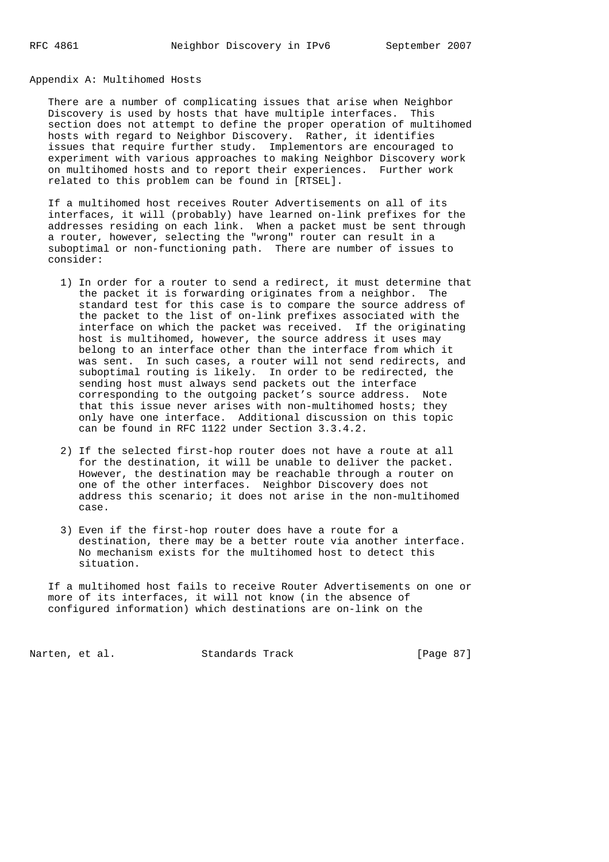### Appendix A: Multihomed Hosts

 There are a number of complicating issues that arise when Neighbor Discovery is used by hosts that have multiple interfaces. This section does not attempt to define the proper operation of multihomed hosts with regard to Neighbor Discovery. Rather, it identifies issues that require further study. Implementors are encouraged to experiment with various approaches to making Neighbor Discovery work on multihomed hosts and to report their experiences. Further work related to this problem can be found in [RTSEL].

 If a multihomed host receives Router Advertisements on all of its interfaces, it will (probably) have learned on-link prefixes for the addresses residing on each link. When a packet must be sent through a router, however, selecting the "wrong" router can result in a suboptimal or non-functioning path. There are number of issues to consider:

- 1) In order for a router to send a redirect, it must determine that the packet it is forwarding originates from a neighbor. The standard test for this case is to compare the source address of the packet to the list of on-link prefixes associated with the interface on which the packet was received. If the originating host is multihomed, however, the source address it uses may belong to an interface other than the interface from which it was sent. In such cases, a router will not send redirects, and suboptimal routing is likely. In order to be redirected, the sending host must always send packets out the interface corresponding to the outgoing packet's source address. Note that this issue never arises with non-multihomed hosts; they only have one interface. Additional discussion on this topic can be found in RFC 1122 under Section 3.3.4.2.
	- 2) If the selected first-hop router does not have a route at all for the destination, it will be unable to deliver the packet. However, the destination may be reachable through a router on one of the other interfaces. Neighbor Discovery does not address this scenario; it does not arise in the non-multihomed case.
	- 3) Even if the first-hop router does have a route for a destination, there may be a better route via another interface. No mechanism exists for the multihomed host to detect this situation.

 If a multihomed host fails to receive Router Advertisements on one or more of its interfaces, it will not know (in the absence of configured information) which destinations are on-link on the

Narten, et al. Standards Track [Page 87]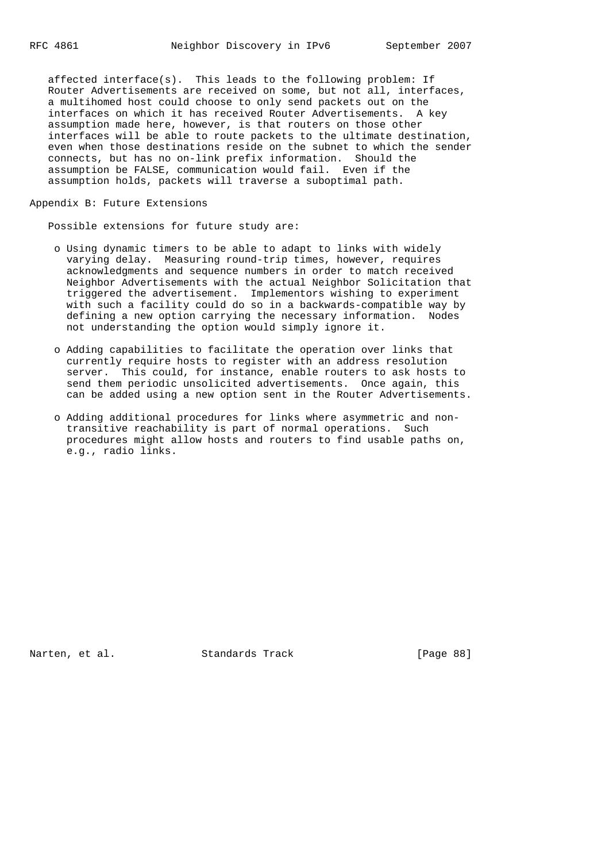affected interface(s). This leads to the following problem: If Router Advertisements are received on some, but not all, interfaces, a multihomed host could choose to only send packets out on the interfaces on which it has received Router Advertisements. A key assumption made here, however, is that routers on those other interfaces will be able to route packets to the ultimate destination, even when those destinations reside on the subnet to which the sender connects, but has no on-link prefix information. Should the assumption be FALSE, communication would fail. Even if the assumption holds, packets will traverse a suboptimal path.

#### Appendix B: Future Extensions

Possible extensions for future study are:

- o Using dynamic timers to be able to adapt to links with widely varying delay. Measuring round-trip times, however, requires acknowledgments and sequence numbers in order to match received Neighbor Advertisements with the actual Neighbor Solicitation that triggered the advertisement. Implementors wishing to experiment with such a facility could do so in a backwards-compatible way by defining a new option carrying the necessary information. Nodes not understanding the option would simply ignore it.
- o Adding capabilities to facilitate the operation over links that currently require hosts to register with an address resolution server. This could, for instance, enable routers to ask hosts to send them periodic unsolicited advertisements. Once again, this can be added using a new option sent in the Router Advertisements.
- o Adding additional procedures for links where asymmetric and non transitive reachability is part of normal operations. Such procedures might allow hosts and routers to find usable paths on, e.g., radio links.

Narten, et al. Standards Track [Page 88]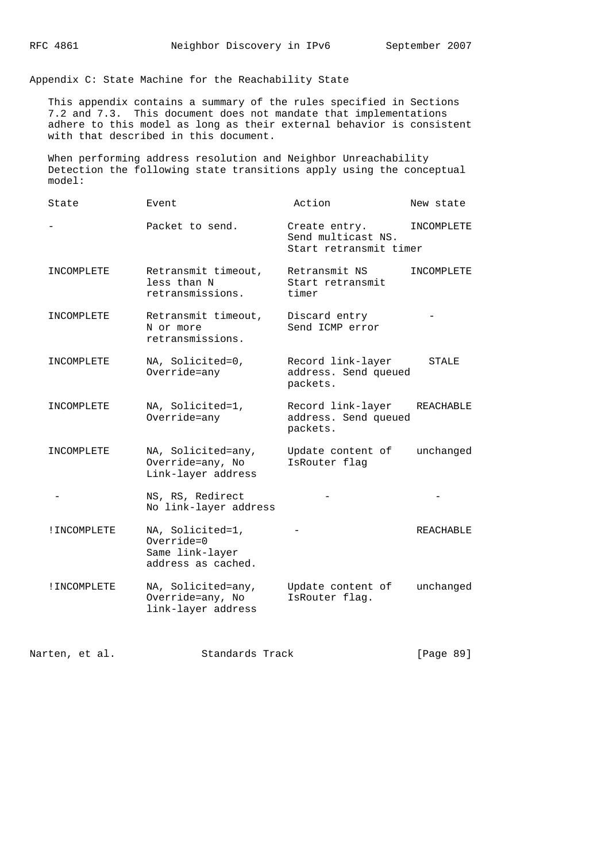Appendix C: State Machine for the Reachability State

 This appendix contains a summary of the rules specified in Sections 7.2 and 7.3. This document does not mandate that implementations adhere to this model as long as their external behavior is consistent with that described in this document.

 When performing address resolution and Neighbor Unreachability Detection the following state transitions apply using the conceptual model:

| State        | Event                                                                   | Action                                                        | New state        |
|--------------|-------------------------------------------------------------------------|---------------------------------------------------------------|------------------|
|              | Packet to send.                                                         | Create entry.<br>Send multicast NS.<br>Start retransmit timer | INCOMPLETE       |
| INCOMPLETE   | Retransmit timeout,<br>less than N<br>retransmissions.                  | Retransmit NS<br>Start retransmit<br>timer                    | INCOMPLETE       |
| INCOMPLETE   | Retransmit timeout,<br>N or more<br>retransmissions.                    | Discard entry<br>Send ICMP error                              |                  |
| INCOMPLETE   | NA, Solicited=0,<br>Override=any                                        | Record link-layer<br>address. Send queued<br>packets.         | STALE            |
| INCOMPLETE   | NA, Solicited=1,<br>Override=any                                        | Record link-layer<br>address. Send queued<br>packets.         | REACHABLE        |
| INCOMPLETE   | NA, Solicited=any,<br>Override=any, No<br>Link-layer address            | Update content of<br>IsRouter flag                            | unchanged        |
|              | NS, RS, Redirect<br>No link-layer address                               |                                                               |                  |
| ! INCOMPLETE | NA, Solicited=1,<br>Override=0<br>Same link-layer<br>address as cached. |                                                               | <b>REACHABLE</b> |
| ! INCOMPLETE | NA, Solicited=any,<br>Override=any, No<br>link-layer address            | Update content of<br>IsRouter flag.                           | unchanged        |
|              |                                                                         |                                                               |                  |

Narten, et al. Standards Track [Page 89]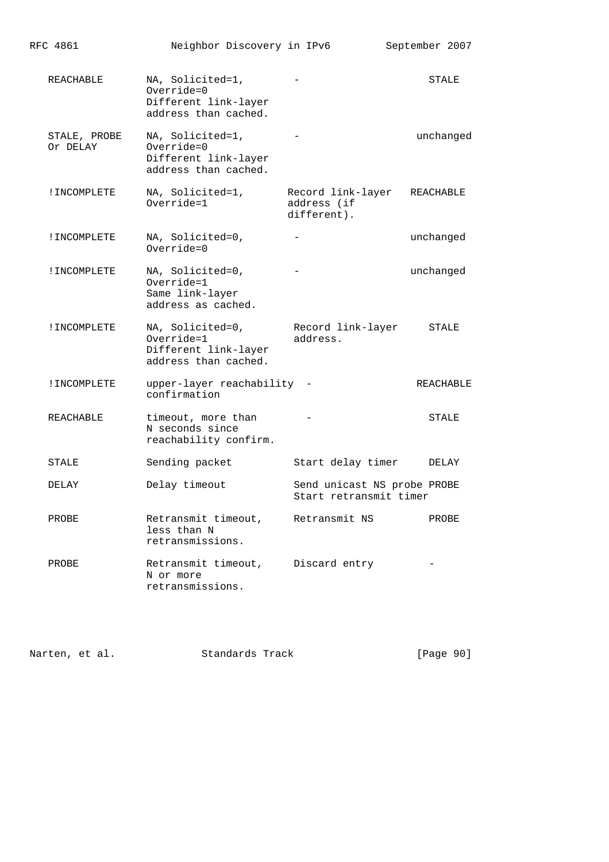| RFC 4861                 | Neighbor Discovery in IPv6                                                     |                                                       | September 2007 |
|--------------------------|--------------------------------------------------------------------------------|-------------------------------------------------------|----------------|
| REACHABLE                | NA, Solicited=1,<br>Override=0<br>Different link-layer<br>address than cached. |                                                       | STALE          |
| STALE, PROBE<br>Or DELAY | NA, Solicited=1,<br>Override=0<br>Different link-layer<br>address than cached. |                                                       | unchanged      |
| ! INCOMPLETE             | NA, Solicited=1,<br>Override=1                                                 | Record link-layer<br>address (if<br>different).       | REACHABLE      |
| ! INCOMPLETE             | NA, Solicited=0,<br>Override=0                                                 |                                                       | unchanged      |
| ! INCOMPLETE             | NA, Solicited=0,<br>$Override=1$<br>Same link-layer<br>address as cached.      |                                                       | unchanged      |
| ! INCOMPLETE             | NA, Solicited=0,<br>Override=1<br>Different link-layer<br>address than cached. | Record link-layer<br>address.                         | STALE          |
| ! INCOMPLETE             | upper-layer reachability -<br>confirmation                                     |                                                       | REACHABLE      |
| REACHABLE                | timeout, more than<br>N seconds since<br>reachability confirm.                 |                                                       | STALE          |
| STALE                    | Sending packet                                                                 | Start delay timer                                     | DELAY          |
| DELAY                    | Delay timeout                                                                  | Send unicast NS probe PROBE<br>Start retransmit timer |                |
| PROBE                    | Retransmit timeout, Retransmit NS<br>less than N<br>retransmissions.           |                                                       | PROBE          |
| PROBE                    | Retransmit timeout, Discard entry<br>N or more<br>retransmissions.             |                                                       |                |

Narten, et al. Standards Track [Page 90]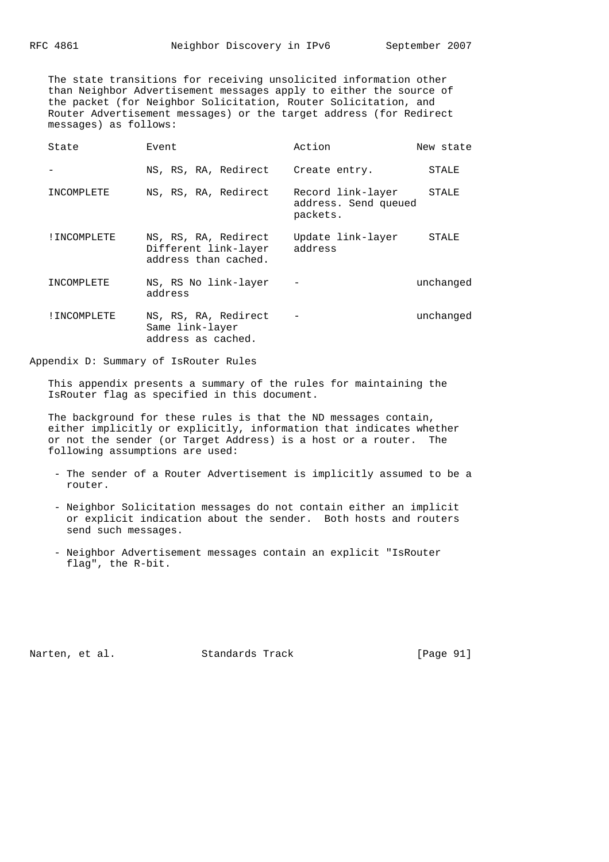The state transitions for receiving unsolicited information other than Neighbor Advertisement messages apply to either the source of the packet (for Neighbor Solicitation, Router Solicitation, and Router Advertisement messages) or the target address (for Redirect messages) as follows:

| State        | Event                                                                | Action                                                | New state |
|--------------|----------------------------------------------------------------------|-------------------------------------------------------|-----------|
|              | NS, RS, RA, Redirect                                                 | Create entry.                                         | STALE     |
| INCOMPLETE   | NS, RS, RA, Redirect                                                 | Record link-layer<br>address. Send queued<br>packets. | STALE     |
| ! INCOMPLETE | NS, RS, RA, Redirect<br>Different link-layer<br>address than cached. | Update link-layer<br>address                          | STALE     |
| INCOMPLETE   | NS, RS No link-layer<br>address                                      |                                                       | unchanged |
| ! INCOMPLETE | NS, RS, RA, Redirect<br>Same link-layer<br>address as cached.        |                                                       | unchanged |

Appendix D: Summary of IsRouter Rules

 This appendix presents a summary of the rules for maintaining the IsRouter flag as specified in this document.

 The background for these rules is that the ND messages contain, either implicitly or explicitly, information that indicates whether or not the sender (or Target Address) is a host or a router. The following assumptions are used:

- The sender of a Router Advertisement is implicitly assumed to be a router.
- Neighbor Solicitation messages do not contain either an implicit or explicit indication about the sender. Both hosts and routers send such messages.
- Neighbor Advertisement messages contain an explicit "IsRouter flag", the R-bit.

Narten, et al. Standards Track [Page 91]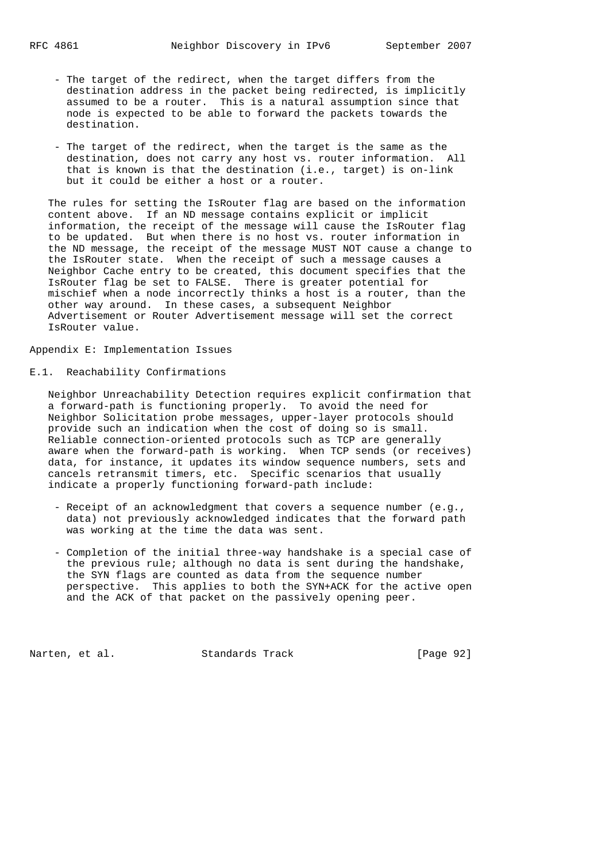- The target of the redirect, when the target differs from the destination address in the packet being redirected, is implicitly assumed to be a router. This is a natural assumption since that node is expected to be able to forward the packets towards the destination.
- The target of the redirect, when the target is the same as the destination, does not carry any host vs. router information. All that is known is that the destination (i.e., target) is on-link but it could be either a host or a router.

 The rules for setting the IsRouter flag are based on the information content above. If an ND message contains explicit or implicit information, the receipt of the message will cause the IsRouter flag to be updated. But when there is no host vs. router information in the ND message, the receipt of the message MUST NOT cause a change to the IsRouter state. When the receipt of such a message causes a Neighbor Cache entry to be created, this document specifies that the IsRouter flag be set to FALSE. There is greater potential for mischief when a node incorrectly thinks a host is a router, than the other way around. In these cases, a subsequent Neighbor Advertisement or Router Advertisement message will set the correct IsRouter value.

#### Appendix E: Implementation Issues

E.1. Reachability Confirmations

 Neighbor Unreachability Detection requires explicit confirmation that a forward-path is functioning properly. To avoid the need for Neighbor Solicitation probe messages, upper-layer protocols should provide such an indication when the cost of doing so is small. Reliable connection-oriented protocols such as TCP are generally aware when the forward-path is working. When TCP sends (or receives) data, for instance, it updates its window sequence numbers, sets and cancels retransmit timers, etc. Specific scenarios that usually indicate a properly functioning forward-path include:

- Receipt of an acknowledgment that covers a sequence number (e.g., data) not previously acknowledged indicates that the forward path was working at the time the data was sent.
- Completion of the initial three-way handshake is a special case of the previous rule; although no data is sent during the handshake, the SYN flags are counted as data from the sequence number perspective. This applies to both the SYN+ACK for the active open and the ACK of that packet on the passively opening peer.

Narten, et al. Standards Track [Page 92]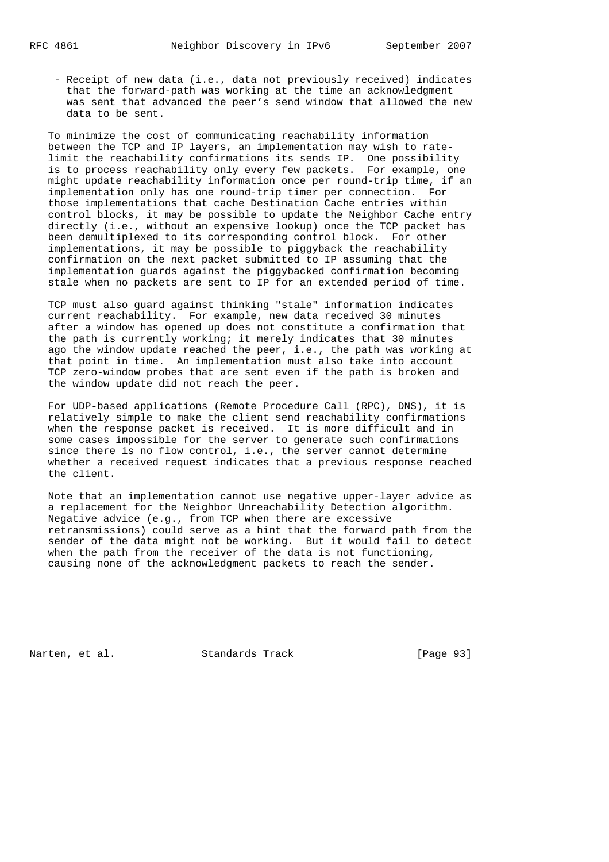- Receipt of new data (i.e., data not previously received) indicates that the forward-path was working at the time an acknowledgment was sent that advanced the peer's send window that allowed the new data to be sent.

 To minimize the cost of communicating reachability information between the TCP and IP layers, an implementation may wish to rate limit the reachability confirmations its sends IP. One possibility is to process reachability only every few packets. For example, one might update reachability information once per round-trip time, if an implementation only has one round-trip timer per connection. For those implementations that cache Destination Cache entries within control blocks, it may be possible to update the Neighbor Cache entry directly (i.e., without an expensive lookup) once the TCP packet has been demultiplexed to its corresponding control block. For other implementations, it may be possible to piggyback the reachability confirmation on the next packet submitted to IP assuming that the implementation guards against the piggybacked confirmation becoming stale when no packets are sent to IP for an extended period of time.

 TCP must also guard against thinking "stale" information indicates current reachability. For example, new data received 30 minutes after a window has opened up does not constitute a confirmation that the path is currently working; it merely indicates that 30 minutes ago the window update reached the peer, i.e., the path was working at that point in time. An implementation must also take into account TCP zero-window probes that are sent even if the path is broken and the window update did not reach the peer.

 For UDP-based applications (Remote Procedure Call (RPC), DNS), it is relatively simple to make the client send reachability confirmations when the response packet is received. It is more difficult and in some cases impossible for the server to generate such confirmations since there is no flow control, i.e., the server cannot determine whether a received request indicates that a previous response reached the client.

 Note that an implementation cannot use negative upper-layer advice as a replacement for the Neighbor Unreachability Detection algorithm. Negative advice (e.g., from TCP when there are excessive retransmissions) could serve as a hint that the forward path from the sender of the data might not be working. But it would fail to detect when the path from the receiver of the data is not functioning, causing none of the acknowledgment packets to reach the sender.

Narten, et al. Standards Track [Page 93]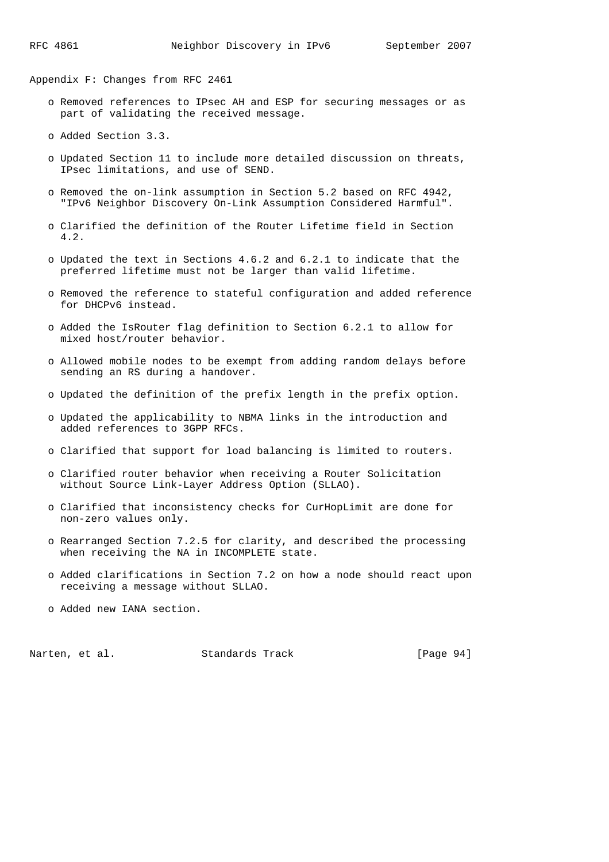Appendix F: Changes from RFC 2461

- o Removed references to IPsec AH and ESP for securing messages or as part of validating the received message.
- o Added Section 3.3.
- o Updated Section 11 to include more detailed discussion on threats, IPsec limitations, and use of SEND.
- o Removed the on-link assumption in Section 5.2 based on RFC 4942, "IPv6 Neighbor Discovery On-Link Assumption Considered Harmful".
- o Clarified the definition of the Router Lifetime field in Section 4.2.
- o Updated the text in Sections 4.6.2 and 6.2.1 to indicate that the preferred lifetime must not be larger than valid lifetime.
- o Removed the reference to stateful configuration and added reference for DHCPv6 instead.
- o Added the IsRouter flag definition to Section 6.2.1 to allow for mixed host/router behavior.
- o Allowed mobile nodes to be exempt from adding random delays before sending an RS during a handover.
- o Updated the definition of the prefix length in the prefix option.
- o Updated the applicability to NBMA links in the introduction and added references to 3GPP RFCs.
- o Clarified that support for load balancing is limited to routers.
- o Clarified router behavior when receiving a Router Solicitation without Source Link-Layer Address Option (SLLAO).
- o Clarified that inconsistency checks for CurHopLimit are done for non-zero values only.
- o Rearranged Section 7.2.5 for clarity, and described the processing when receiving the NA in INCOMPLETE state.
- o Added clarifications in Section 7.2 on how a node should react upon receiving a message without SLLAO.
- o Added new IANA section.

Narten, et al. Standards Track [Page 94]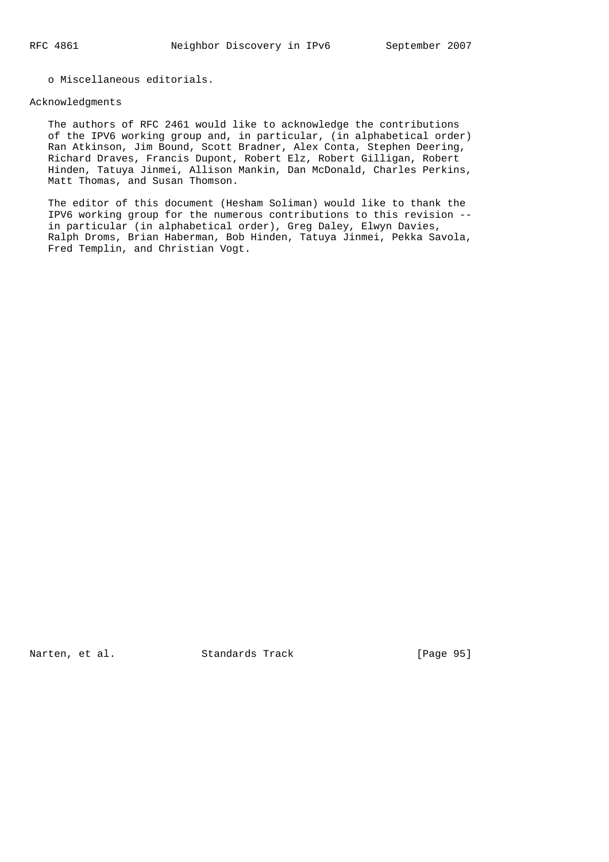o Miscellaneous editorials.

# Acknowledgments

 The authors of RFC 2461 would like to acknowledge the contributions of the IPV6 working group and, in particular, (in alphabetical order) Ran Atkinson, Jim Bound, Scott Bradner, Alex Conta, Stephen Deering, Richard Draves, Francis Dupont, Robert Elz, Robert Gilligan, Robert Hinden, Tatuya Jinmei, Allison Mankin, Dan McDonald, Charles Perkins, Matt Thomas, and Susan Thomson.

 The editor of this document (Hesham Soliman) would like to thank the IPV6 working group for the numerous contributions to this revision - in particular (in alphabetical order), Greg Daley, Elwyn Davies, Ralph Droms, Brian Haberman, Bob Hinden, Tatuya Jinmei, Pekka Savola, Fred Templin, and Christian Vogt.

Narten, et al. Standards Track [Page 95]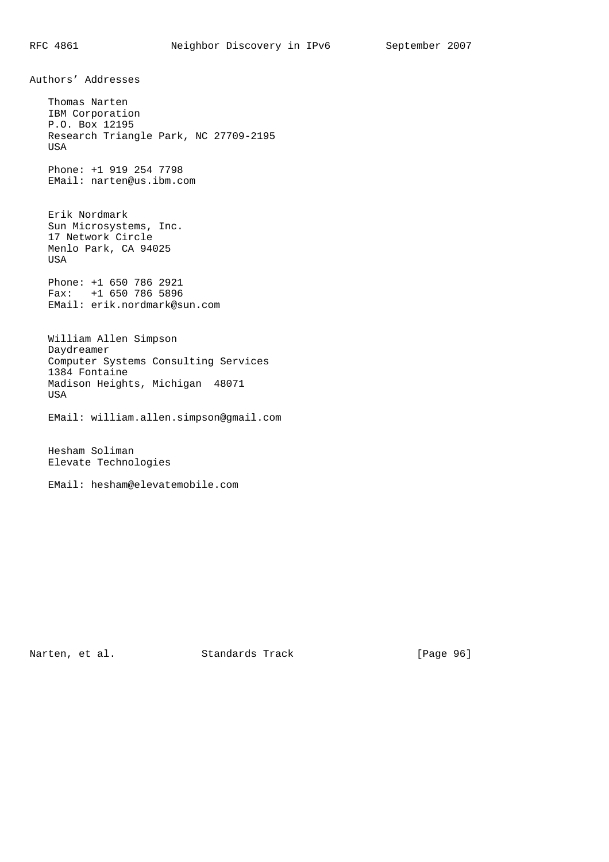Authors' Addresses

 Thomas Narten IBM Corporation P.O. Box 12195 Research Triangle Park, NC 27709-2195 USA

 Phone: +1 919 254 7798 EMail: narten@us.ibm.com

 Erik Nordmark Sun Microsystems, Inc. 17 Network Circle Menlo Park, CA 94025 USA

 Phone: +1 650 786 2921 Fax: +1 650 786 5896 EMail: erik.nordmark@sun.com

 William Allen Simpson Daydreamer Computer Systems Consulting Services 1384 Fontaine Madison Heights, Michigan 48071 USA

EMail: william.allen.simpson@gmail.com

 Hesham Soliman Elevate Technologies

EMail: hesham@elevatemobile.com

Narten, et al. Standards Track [Page 96]